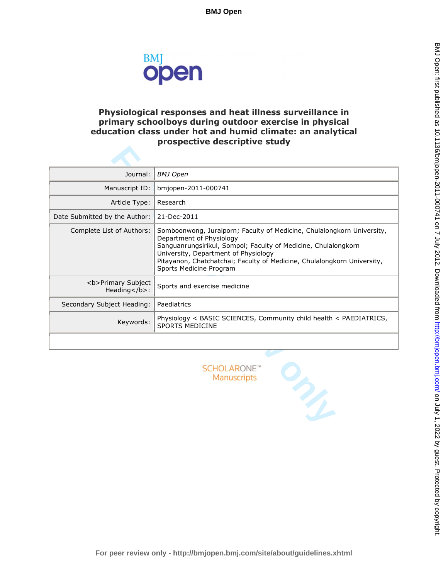

# **Physiological responses and heat illness surveillance in primary schoolboys during outdoor exercise in physical education class under hot and humid climate: an analytical prospective descriptive study**

| Journal:                             | <b>BMJ</b> Open                                                                                                                                                                                                                                                                                                    |
|--------------------------------------|--------------------------------------------------------------------------------------------------------------------------------------------------------------------------------------------------------------------------------------------------------------------------------------------------------------------|
| Manuscript ID:                       | bmjopen-2011-000741                                                                                                                                                                                                                                                                                                |
| Article Type:                        | Research                                                                                                                                                                                                                                                                                                           |
| Date Submitted by the Author:        | 21-Dec-2011                                                                                                                                                                                                                                                                                                        |
| Complete List of Authors:            | Somboonwong, Juraiporn; Faculty of Medicine, Chulalongkorn University,<br>Department of Physiology<br>Sanguanrungsirikul, Sompol; Faculty of Medicine, Chulalongkorn<br>University, Department of Physiology<br>Pitayanon, Chatchatchai; Faculty of Medicine, Chulalongkorn University,<br>Sports Medicine Program |
| <b>Primary Subject<br/>Heading</b> : | Sports and exercise medicine                                                                                                                                                                                                                                                                                       |
| Secondary Subject Heading:           | Paediatrics                                                                                                                                                                                                                                                                                                        |
| Keywords:                            | Physiology < BASIC SCIENCES, Community child health < PAEDIATRICS,<br>SPORTS MEDICINE                                                                                                                                                                                                                              |
|                                      |                                                                                                                                                                                                                                                                                                                    |
|                                      | <b>SCHOLARONE<sup>™</sup></b><br><b>Manuscripts</b><br><b>By</b>                                                                                                                                                                                                                                                   |

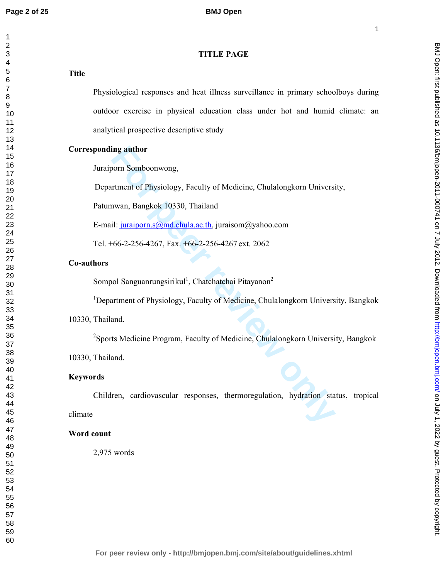|                 | <b>TITLE PAGE</b>                                                                             |
|-----------------|-----------------------------------------------------------------------------------------------|
| <b>Title</b>    |                                                                                               |
|                 | Physiological responses and heat illness surveillance in primary schoolboys during            |
|                 | outdoor exercise in physical education class under hot and humid climate: an                  |
|                 | analytical prospective descriptive study                                                      |
|                 | <b>Corresponding author</b>                                                                   |
|                 | Juraiporn Somboonwong,                                                                        |
|                 | Department of Physiology, Faculty of Medicine, Chulalongkorn University,                      |
|                 | Patumwan, Bangkok 10330, Thailand                                                             |
|                 | E-mail: juraiporn.s@md.chula.ac.th, juraisom@yahoo.com                                        |
|                 | Tel. +66-2-256-4267, Fax. +66-2-256-4267 ext. 2062                                            |
|                 | Co-authors                                                                                    |
|                 | Sompol Sanguanrungsirikul <sup>1</sup> , Chatchatchai Pitayanon <sup>2</sup>                  |
|                 | <sup>1</sup> Department of Physiology, Faculty of Medicine, Chulalongkorn University, Bangkok |
|                 | 10330, Thailand.                                                                              |
|                 | <sup>2</sup> Sports Medicine Program, Faculty of Medicine, Chulalongkorn University, Bangkok  |
|                 | 10330, Thailand.                                                                              |
| <b>Keywords</b> |                                                                                               |
|                 | Children, cardiovascular responses, thermoregulation, hydration status, tropical              |
| climate         |                                                                                               |
|                 | Word count                                                                                    |
|                 | $2,975$ words                                                                                 |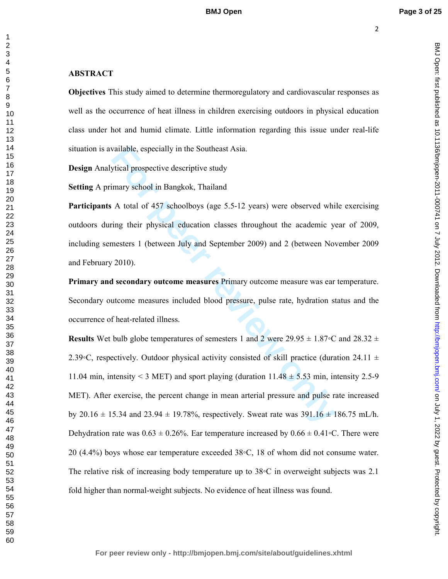### **ABSTRACT**

**Objectives** This study aimed to determine thermoregulatory and cardiovascular responses as well as the occurrence of heat illness in children exercising outdoors in physical education class under hot and humid climate. Little information regarding this issue under real-life situation is available, especially in the Southeast Asia.

**Design** Analytical prospective descriptive study

**Setting** A primary school in Bangkok, Thailand

**Participants** A total of 457 schoolboys (age 5.5-12 years) were observed while exercising outdoors during their physical education classes throughout the academic year of 2009, including semesters 1 (between July and September 2009) and 2 (between November 2009 and February 2010).

**Primary and secondary outcome measures** Primary outcome measure was ear temperature. Secondary outcome measures included blood pressure, pulse rate, hydration status and the occurrence of heat-related illness.

wailable, especially in the Southeast Asia.<br>
strical prospective descriptive study<br>
finary school in Bangkok, Thailand<br>
A total of 457 schoolboys (age 5.5-12 years) were observed which<br>
fing their physical education cla **Results** Wet bulb globe temperatures of semesters 1 and 2 were  $29.95 \pm 1.87$ <sup>o</sup>C and  $28.32 \pm 1.87$ <sup>o</sup>C 2.39◦C, respectively. Outdoor physical activity consisted of skill practice (duration 24.11  $\pm$ 11.04 min, intensity < 3 MET) and sport playing (duration  $11.48 \pm 5.53$  min, intensity 2.5-9 MET). After exercise, the percent change in mean arterial pressure and pulse rate increased by 20.16  $\pm$  15.34 and 23.94  $\pm$  19.78%, respectively. Sweat rate was 391.16  $\pm$  186.75 mL/h. Dehydration rate was  $0.63 \pm 0.26\%$ . Ear temperature increased by  $0.66 \pm 0.41 \degree C$ . There were 20 (4.4%) boys whose ear temperature exceeded 38◦C, 18 of whom did not consume water. The relative risk of increasing body temperature up to 38◦C in overweight subjects was 2.1 fold higher than normal-weight subjects. No evidence of heat illness was found.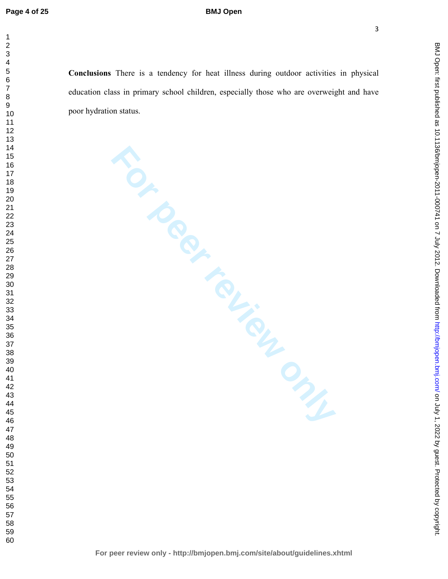### **BMJ Open**

BMJ Open: first published as 10.1136/bmijopen-2011-000741 on 7 July 2012. Downloaded from http://bmjopen.bmj.com/ on July 1, 2022 by guest. Protected by copyright on July 1, 2022 by guest. Protected by copyright. <http://bmjopen.bmj.com/> BMJ Open: first published as 10.1136/bmjopen-2011-000741 on 7 July 2012. Downloaded from

**Conclusions** There is a tendency for heat illness during outdoor activities in physical education class in primary school children, especially those who are overweight and have poor hydration status.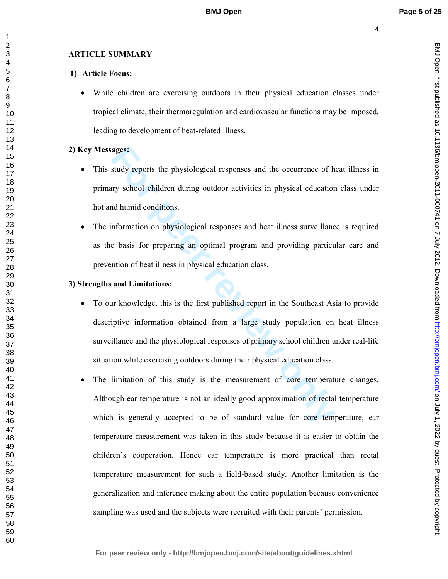# **ARTICLE SUMMARY**

# **1) Article Focus:**

• While children are exercising outdoors in their physical education classes under tropical climate, their thermoregulation and cardiovascular functions may be imposed, leading to development of heat-related illness.

# **2) Key Messages:**

- This study reports the physiological responses and the occurrence of heat illness in primary school children during outdoor activities in physical education class under hot and humid conditions.
- The information on physiological responses and heat illness surveillance is required as the basis for preparing an optimal program and providing particular care and prevention of heat illness in physical education class.
- **3) Strengths and Limitations:**
- **Example 18 Example 10** is generally accepted to be of standard value for corresponses and the securities in physical education of humid conditions.<br> **For properting** an optimal program and providing particular<br> **For prope** • To our knowledge, this is the first published report in the Southeast Asia to provide descriptive information obtained from a large study population on heat illness surveillance and the physiological responses of primary school children under real-life situation while exercising outdoors during their physical education class.
	- The limitation of this study is the measurement of core temperature changes. Although ear temperature is not an ideally good approximation of rectal temperature which is generally accepted to be of standard value for core temperature, ear temperature measurement was taken in this study because it is easier to obtain the children's cooperation. Hence ear temperature is more practical than rectal temperature measurement for such a field-based study. Another limitation is the generalization and inference making about the entire population because convenience sampling was used and the subjects were recruited with their parents' permission.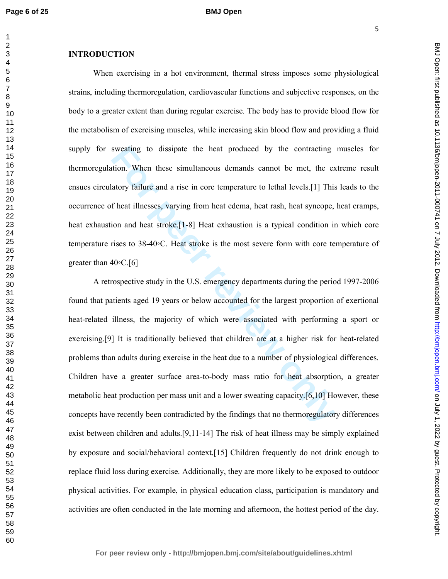### **INTRODUCTION**

When exercising in a hot environment, thermal stress imposes some physiological strains, including thermoregulation, cardiovascular functions and subjective responses, on the body to a greater extent than during regular exercise. The body has to provide blood flow for the metabolism of exercising muscles, while increasing skin blood flow and providing a fluid supply for sweating to dissipate the heat produced by the contracting muscles for thermoregulation. When these simultaneous demands cannot be met, the extreme result ensues circulatory failure and a rise in core temperature to lethal levels.[1] This leads to the occurrence of heat illnesses, varying from heat edema, heat rash, heat syncope, heat cramps, heat exhaustion and heat stroke.[1-8] Heat exhaustion is a typical condition in which core temperature rises to 38-40◦C. Heat stroke is the most severe form with core temperature of greater than  $40 \circ C.$ [6]

sweating to dissipate the heat produced by the contracting<br>tion. When these simultaneous demands cannot be met, the ex<br>latory failure and a rise in core temperature to lethal levels.[1] This<br>f heat illnesses, varying from A retrospective study in the U.S. emergency departments during the period 1997-2006 found that patients aged 19 years or below accounted for the largest proportion of exertional heat-related illness, the majority of which were associated with performing a sport or exercising.[9] It is traditionally believed that children are at a higher risk for heat-related problems than adults during exercise in the heat due to a number of physiological differences. Children have a greater surface area-to-body mass ratio for heat absorption, a greater metabolic heat production per mass unit and a lower sweating capacity.[6,10] However, these concepts have recently been contradicted by the findings that no thermoregulatory differences exist between children and adults.[9,11-14] The risk of heat illness may be simply explained by exposure and social/behavioral context.[15] Children frequently do not drink enough to replace fluid loss during exercise. Additionally, they are more likely to be exposed to outdoor physical activities. For example, in physical education class, participation is mandatory and activities are often conducted in the late morning and afternoon, the hottest period of the day.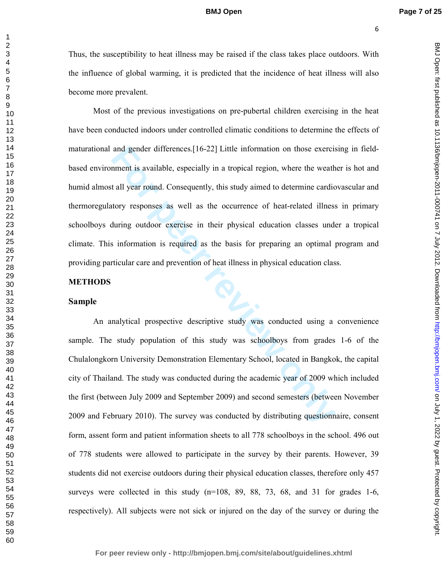Thus, the susceptibility to heat illness may be raised if the class takes place outdoors. With the influence of global warming, it is predicted that the incidence of heat illness will also become more prevalent.

and gender differences.[16-22] Little information on those exercisement is available, especially in a tropical region, where the weath tall year round. Consequently, this study aimed to determine cardictory responses as we Most of the previous investigations on pre-pubertal children exercising in the heat have been conducted indoors under controlled climatic conditions to determine the effects of maturational and gender differences.[16-22] Little information on those exercising in fieldbased environment is available, especially in a tropical region, where the weather is hot and humid almost all year round. Consequently, this study aimed to determine cardiovascular and thermoregulatory responses as well as the occurrence of heat-related illness in primary schoolboys during outdoor exercise in their physical education classes under a tropical climate. This information is required as the basis for preparing an optimal program and providing particular care and prevention of heat illness in physical education class.

# **METHODS**

# **Sample**

An analytical prospective descriptive study was conducted using a convenience sample. The study population of this study was schoolboys from grades 1-6 of the Chulalongkorn University Demonstration Elementary School, located in Bangkok, the capital city of Thailand. The study was conducted during the academic year of 2009 which included the first (between July 2009 and September 2009) and second semesters (between November 2009 and February 2010). The survey was conducted by distributing questionnaire, consent form, assent form and patient information sheets to all 778 schoolboys in the school. 496 out of 778 students were allowed to participate in the survey by their parents. However, 39 students did not exercise outdoors during their physical education classes, therefore only 457 surveys were collected in this study  $(n=108, 89, 88, 73, 68,$  and 31 for grades 1-6, respectively). All subjects were not sick or injured on the day of the survey or during the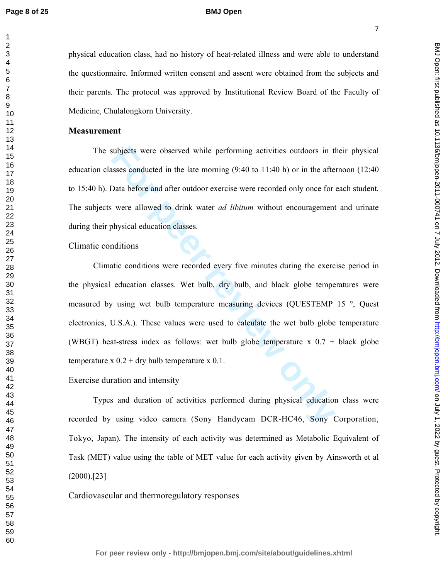BMJ Open: first published as 10.1136/bmjopen-2011-000741 on 7 July 2012. Downloaded from http://bmjopen.bmj.com/ on July 1, 2022 by guest. Protected by copyright on July 1, 2022 by guest. Protected by copyright. <http://bmjopen.bmj.com/> BMJ Open: first published as 10.1136/bmjopen-2011-000741 on 7 July 2012. Downloaded from

physical education class, had no history of heat-related illness and were able to understand the questionnaire. Informed written consent and assent were obtained from the subjects and their parents. The protocol was approved by Institutional Review Board of the Faculty of Medicine, Chulalongkorn University.

#### **Measurement**

The subjects were observed while performing activities outdoors in their physical education classes conducted in the late morning (9:40 to 11:40 h) or in the afternoon (12:40 to 15:40 h). Data before and after outdoor exercise were recorded only once for each student. The subjects were allowed to drink water *ad libitum* without encouragement and urinate during their physical education classes.

Climatic conditions

subjects were observed while performing activities outdoors in thusses conducted in the late morning (9:40 to 11:40 h) or in the after Data before and after outdoor exercise were recorded only once for were allowed to drin Climatic conditions were recorded every five minutes during the exercise period in the physical education classes. Wet bulb, dry bulb, and black globe temperatures were measured by using wet bulb temperature measuring devices (QUESTEMP 15 °, Quest electronics, U.S.A.). These values were used to calculate the wet bulb globe temperature (WBGT) heat-stress index as follows: wet bulb globe temperature  $x \cdot 0.7 + b$ lack globe temperature x  $0.2 +$  dry bulb temperature x 0.1.

Exercise duration and intensity

Types and duration of activities performed during physical education class were recorded by using video camera (Sony Handycam DCR-HC46, Sony Corporation, Tokyo, Japan). The intensity of each activity was determined as Metabolic Equivalent of Task (MET) value using the table of MET value for each activity given by Ainsworth et al (2000).[23]

Cardiovascular and thermoregulatory responses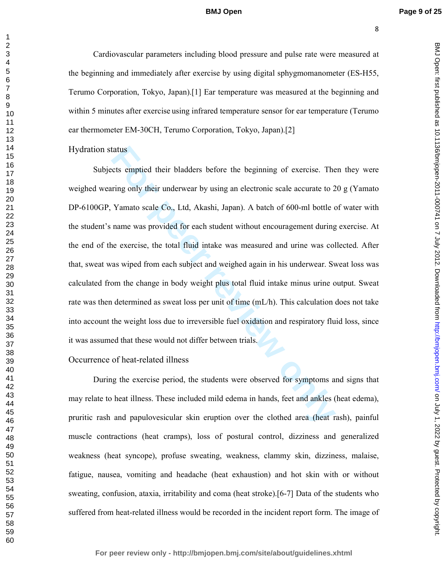Cardiovascular parameters including blood pressure and pulse rate were measured at

BMJ Open: first published as 10.1136/bmjopen-2011-000741 on 7 July 2012. Downloaded from http://bmjopen.bmj.com/ on July 1, 2022 by guest. Protected by copyright on July 1, 2022 by guest. Protected by copyright. <http://bmjopen.bmj.com/> BMJ Open: first published as 10.1136/bmjopen-2011-000741 on 7 July 2012. Downloaded from

tatus<br>
tatus<br>
tatus<br>
test emptied their bladders before the beginning of exercise. The<br>
tring only their underwear by using an electronic scale accurate to 2<br>
Yamato scale Co., Ltd, Akashi, Japan). A batch of 600-ml bottle the beginning and immediately after exercise by using digital sphygmomanometer (ES-H55, Terumo Corporation, Tokyo, Japan).[1] Ear temperature was measured at the beginning and within 5 minutes after exercise using infrared temperature sensor for ear temperature (Terumo ear thermometer EM-30CH, Terumo Corporation, Tokyo, Japan).[2] Subjects emptied their bladders before the beginning of exercise. Then they were weighed wearing only their underwear by using an electronic scale accurate to 20 g (Yamato DP-6100GP, Yamato scale Co., Ltd, Akashi, Japan). A batch of 600-ml bottle of water with the student's name was provided for each student without encouragement during exercise. At the end of the exercise, the total fluid intake was measured and urine was collected. After that, sweat was wiped from each subject and weighed again in his underwear. Sweat loss was calculated from the change in body weight plus total fluid intake minus urine output. Sweat rate was then determined as sweat loss per unit of time (mL/h). This calculation does not take into account the weight loss due to irreversible fuel oxidation and respiratory fluid loss, since it was assumed that these would not differ between trials.

### Occurrence of heat-related illness

Hydration status

 During the exercise period, the students were observed for symptoms and signs that may relate to heat illness. These included mild edema in hands, feet and ankles (heat edema), pruritic rash and papulovesicular skin eruption over the clothed area (heat rash), painful muscle contractions (heat cramps), loss of postural control, dizziness and generalized weakness (heat syncope), profuse sweating, weakness, clammy skin, dizziness, malaise, fatigue, nausea, vomiting and headache (heat exhaustion) and hot skin with or without sweating, confusion, ataxia, irritability and coma (heat stroke).[6-7] Data of the students who suffered from heat-related illness would be recorded in the incident report form. The image of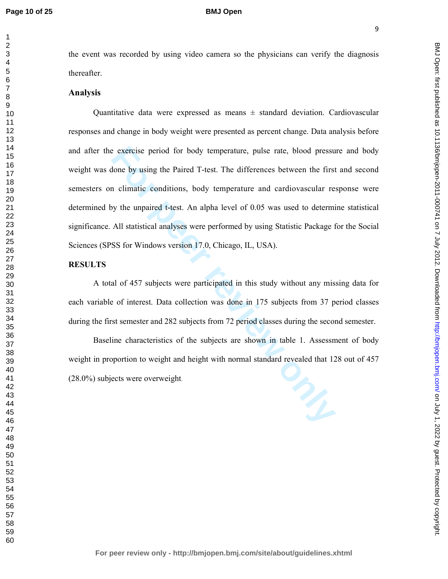### **BMJ Open**

BMJ Open: first published as 10.1136/bmjopen-2011-000741 on 7 July 2012. Downloaded from http://bmjopen.bmj.com/ on July 1, 2022 by guest. Protected by copyright on July 1, 2022 by guest. Protected by copyright. <http://bmjopen.bmj.com/> BMJ Open: first published as 10.1136/bmjopen-2011-000741 on 7 July 2012. Downloaded from

the event was recorded by using video camera so the physicians can verify the diagnosis thereafter.

# **Analysis**

Exercise period for body temperature, pulse rate, blood pressue<br>tone by using the Paired T-test. The differences between the first<br>n climatic conditions, body temperature and cardiovascular res<br>not permement and the perfor Quantitative data were expressed as means  $\pm$  standard deviation. Cardiovascular responses and change in body weight were presented as percent change. Data analysis before and after the exercise period for body temperature, pulse rate, blood pressure and body weight was done by using the Paired T-test. The differences between the first and second semesters on climatic conditions, body temperature and cardiovascular response were determined by the unpaired t-test. An alpha level of 0.05 was used to determine statistical significance. All statistical analyses were performed by using Statistic Package for the Social Sciences (SPSS for Windows version 17.0, Chicago, IL, USA).

# **RESULTS**

A total of 457 subjects were participated in this study without any missing data for each variable of interest. Data collection was done in 175 subjects from 37 period classes during the first semester and 282 subjects from 72 period classes during the second semester.

Baseline characteristics of the subjects are shown in table 1. Assessment of body weight in proportion to weight and height with normal standard revealed that 128 out of 457 (28.0%) subjects were overweight.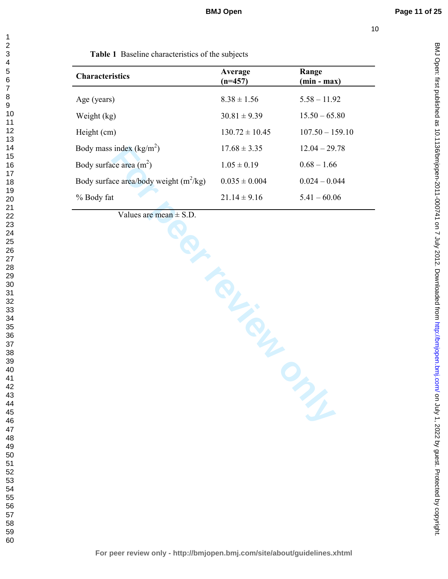BMJ Open: first published as 10.1136/bmjopen-2011-000741 on 7 July 2012. Downloaded from http://bmjopen.bmj.com/ on July 1, 2022 by guest. Protected by copyright on July 1, 2022 by guest. Protected by copyright. <http://bmjopen.bmj.com/> BMJ Open: first published as 10.1136/bmjopen-2011-000741 on 7 July 2012. Downloaded from

**Table 1** Baseline characteristics of the subjects

| <b>Characteristics</b>                   | Average<br>$(n=457)$ | Range<br>$(min - max)$ |
|------------------------------------------|----------------------|------------------------|
| Age (years)                              | $8.38 \pm 1.56$      | $5.58 - 11.92$         |
| Weight (kg)                              | $30.81 \pm 9.39$     | $15.50 - 65.80$        |
| Height (cm)                              | $130.72 \pm 10.45$   | $107.50 - 159.10$      |
| Body mass index $(kg/m2)$                | $17.68 \pm 3.35$     | $12.04 - 29.78$        |
| Body surface area $(m^2)$                | $1.05 \pm 0.19$      | $0.68 - 1.66$          |
| Body surface area/body weight $(m^2/kg)$ | $0.035 \pm 0.004$    | $0.024 - 0.044$        |
| % Body fat                               | $21.14 \pm 9.16$     | $5.41 - 60.06$         |
|                                          |                      |                        |

Values are mean  $\pm$  S.D.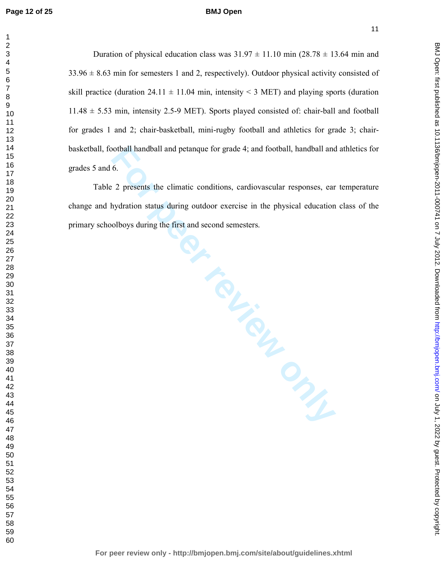#### **BMJ Open**

BMJ Open: first published as 10.1136/bmijopen-2011-000741 on 7 July 2012. Downloaded from http://bmjopen.bmj.com/ on July 1, 2022 by guest. Protected by copyright on July 1, 2022 by guest. Protected by copyright. <http://bmjopen.bmj.com/> BMJ Open: first published as 10.1136/bmjopen-2011-000741 on 7 July 2012. Downloaded from

Duration of physical education class was  $31.97 \pm 11.10$  min (28.78  $\pm$  13.64 min and  $33.96 \pm 8.63$  min for semesters 1 and 2, respectively). Outdoor physical activity consisted of skill practice (duration 24.11  $\pm$  11.04 min, intensity < 3 MET) and playing sports (duration  $11.48 \pm 5.53$  min, intensity 2.5-9 MET). Sports played consisted of: chair-ball and football for grades 1 and 2; chair-basketball, mini-rugby football and athletics for grade 3; chairbasketball, football handball and petanque for grade 4; and football, handball and athletics for grades 5 and 6.

**For Form Phillips** Table 2 presents the climatic conditions, cardiovascular responses, ear temperature change and hydration status during outdoor exercise in the physical education class of the primary schoolboys during the first and second semesters.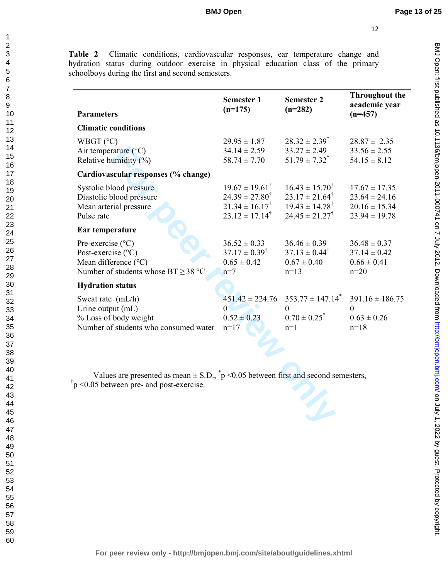12

**Table 2** Climatic conditions, cardiovascular responses, ear temperature change and hydration status during outdoor exercise in physical education class of the primary schoolboys during the first and second semesters.

| <b>Parameters</b>                                                                                                                   | <b>Semester 1</b><br>$(n=175)$                                                                                           | <b>Semester 2</b><br>$(n=282)$                                                                                           | <b>Throughout the</b><br>academic year<br>$(n=457)$                              |
|-------------------------------------------------------------------------------------------------------------------------------------|--------------------------------------------------------------------------------------------------------------------------|--------------------------------------------------------------------------------------------------------------------------|----------------------------------------------------------------------------------|
| <b>Climatic conditions</b>                                                                                                          |                                                                                                                          |                                                                                                                          |                                                                                  |
| WBGT $(^{\circ}C)$<br>Air temperature $(^{\circ}C)$<br>Relative humidity (%)                                                        | $29.95 \pm 1.87$<br>$34.14 \pm 2.59$<br>$58.74 \pm 7.70$                                                                 | $28.32 \pm 2.39^*$<br>$33.27 \pm 2.49$<br>$51.79 \pm 7.32$ <sup>*</sup>                                                  | $28.87 \pm 2.35$<br>$33.56 \pm 2.55$<br>$54.15 \pm 8.12$                         |
| Cardiovascular responses (% change)                                                                                                 |                                                                                                                          |                                                                                                                          |                                                                                  |
| Systolic blood pressure<br>Diastolic blood pressure<br>Mean arterial pressure<br>Pulse rate                                         | $19.67 \pm 19.61^{\dagger}$<br>$24.39 \pm 27.80^{\dagger}$<br>$21.34 \pm 16.17^{\dagger}$<br>$23.12 \pm 17.14^{\dagger}$ | $16.43 \pm 15.70^{\dagger}$<br>$23.17 \pm 21.64^{\dagger}$<br>$19.43 \pm 14.78^{\dagger}$<br>$24.45 \pm 21.27^{\dagger}$ | $17.67 \pm 17.35$<br>$23.64 \pm 24.16$<br>$20.16 \pm 15.34$<br>$23.94 \pm 19.78$ |
| Ear temperature                                                                                                                     |                                                                                                                          |                                                                                                                          |                                                                                  |
| Pre-exercise $(^{\circ}C)$<br>Post-exercise (°C)<br>Mean difference $(^{\circ}C)$<br>Number of students whose BT $\geq$ 38 °C       | $36.52 \pm 0.33$<br>$37.17 \pm 0.39^{\dagger}$<br>$0.65 \pm 0.42$<br>$n=7$                                               | $36.46 \pm 0.39$<br>$37.13 \pm 0.44^{\dagger}$<br>$0.67 \pm 0.40$<br>$n=13$                                              | $36.48 \pm 0.37$<br>$37.14 \pm 0.42$<br>$0.66 \pm 0.41$<br>$n=20$                |
| <b>Hydration status</b>                                                                                                             |                                                                                                                          |                                                                                                                          |                                                                                  |
| Sweat rate (mL/h)<br>Urine output (mL)<br>% Loss of body weight<br>Number of students who consumed water                            | $451.42 \pm 224.76$<br>$\Omega$<br>$0.52 \pm 0.23$<br>$n=17$                                                             | $353.77 \pm 147.14$ <sup>*</sup><br>$\overline{0}$<br>$0.70 \pm 0.25$ <sup>*</sup><br>$n=1$                              | $391.16 \pm 186.75$<br>$\mathbf{0}$<br>$0.63 \pm 0.26$<br>$n=18$                 |
| Values are presented as mean $\pm$ S.D., $\phi$ = 0.05 between first and second semesters,<br>$\phi$ to the pre- and post-exercise. |                                                                                                                          |                                                                                                                          |                                                                                  |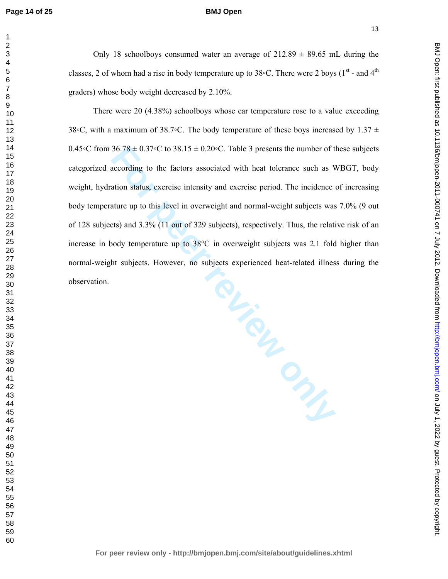#### **BMJ Open**

Only 18 schoolboys consumed water an average of  $212.89 \pm 89.65$  mL during the classes, 2 of whom had a rise in body temperature up to  $38°C$ . There were 2 boys ( $1<sup>st</sup>$  - and  $4<sup>th</sup>$ ) graders) whose body weight decreased by 2.10%.

**For Primer Planet** There were 20 (4.38%) schoolboys whose ear temperature rose to a value exceeding 38◦C, with a maximum of 38.7◦C. The body temperature of these boys increased by 1.37  $\pm$ 0.45◦C from 36.78  $\pm$  0.37◦C to 38.15  $\pm$  0.20◦C. Table 3 presents the number of these subjects categorized according to the factors associated with heat tolerance such as WBGT, body weight, hydration status, exercise intensity and exercise period. The incidence of increasing body temperature up to this level in overweight and normal-weight subjects was 7.0% (9 out of 128 subjects) and 3.3% (11 out of 329 subjects), respectively. Thus, the relative risk of an increase in body temperature up to  $38^{\circ}$ C in overweight subjects was 2.1 fold higher than normal-weight subjects. However, no subjects experienced heat-related illness during the observation.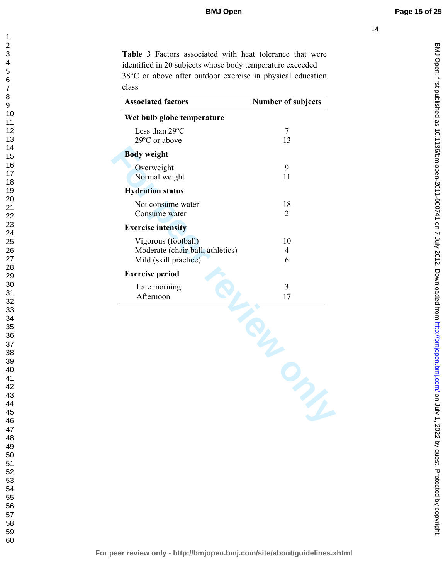**Table 3** Factors associated with heat tolerance that were identified in 20 subjects whose body temperature exceeded 38°C or above after outdoor exercise in physical education class

| <b>Associated factors</b>                                                        | <b>Number of subjects</b> |
|----------------------------------------------------------------------------------|---------------------------|
| Wet bulb globe temperature                                                       |                           |
| Less than 29°C<br>29°C or above                                                  | 7<br>13                   |
| <b>Body</b> weight                                                               |                           |
| Overweight<br>Normal weight                                                      | 9<br>11                   |
| <b>Hydration status</b>                                                          |                           |
| Not consume water<br>Consume water                                               | 18<br>$\overline{2}$      |
| <b>Exercise intensity</b>                                                        |                           |
| Vigorous (football)<br>Moderate (chair-ball, athletics)<br>Mild (skill practice) | 10<br>$\overline{4}$<br>6 |
| <b>Exercise period</b>                                                           |                           |
| Late morning<br>Afternoon                                                        | 3<br>17                   |
|                                                                                  |                           |
|                                                                                  |                           |

BMJ Open: first published as 10.1136/bmjopen-2011-000741 on 7 July 2012. Downloaded from http://bmjopen.bmj.com/ on July 1, 2022 by guest. Protected by copyright on July 1, 2022 by guest. Protected by copyright. <http://bmjopen.bmj.com/> BMJ Open: first published as 10.1136/bmjopen-2011-000741 on 7 July 2012. Downloaded from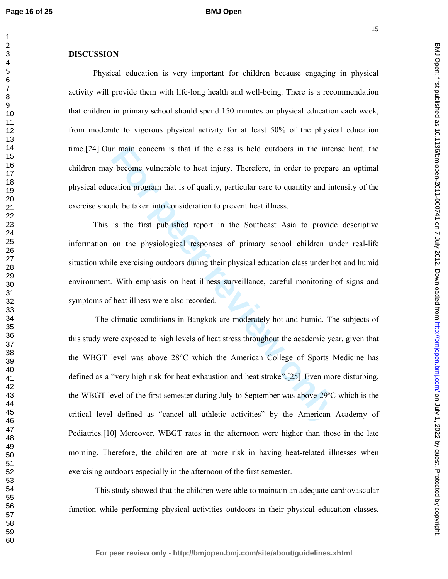### **BMJ Open**

BMJ Open: first published as 10.1136/bmijopen-2011-000741 on 7 July 2012. Downloaded from http://bmjopen.bmj.com/ on July 1, 2022 by guest. Protected by copyright on July 1, 2022 by guest. Protected by copyright. <http://bmjopen.bmj.com/> BMJ Open: first published as 10.1136/bmjopen-2011-000741 on 7 July 2012. Downloaded from

### **DISCUSSION**

 Physical education is very important for children because engaging in physical activity will provide them with life-long health and well-being. There is a recommendation that children in primary school should spend 150 minutes on physical education each week, from moderate to vigorous physical activity for at least 50% of the physical education time.[24] Our main concern is that if the class is held outdoors in the intense heat, the children may become vulnerable to heat injury. Therefore, in order to prepare an optimal physical education program that is of quality, particular care to quantity and intensity of the exercise should be taken into consideration to prevent heat illness.

This is the first published report in the Southeast Asia to provide descriptive information on the physiological responses of primary school children under real-life situation while exercising outdoors during their physical education class under hot and humid environment. With emphasis on heat illness surveillance, careful monitoring of signs and symptoms of heat illness were also recorded.

It main concern is that if the class is held outdoors in the inter<br>  $\mu$  become vulnerable to heat injury. Therefore, in order to prepare<br>
reation program that is of quality, particular care to quantity and int<br>
luld be ta The climatic conditions in Bangkok are moderately hot and humid. The subjects of this study were exposed to high levels of heat stress throughout the academic year, given that the WBGT level was above 28°C which the American College of Sports Medicine has defined as a "very high risk for heat exhaustion and heat stroke".[25] Even more disturbing, the WBGT level of the first semester during July to September was above 29ºC which is the critical level defined as "cancel all athletic activities" by the American Academy of Pediatrics.[10] Moreover, WBGT rates in the afternoon were higher than those in the late morning. Therefore, the children are at more risk in having heat-related illnesses when exercising outdoors especially in the afternoon of the first semester.

 This study showed that the children were able to maintain an adequate cardiovascular function while performing physical activities outdoors in their physical education classes.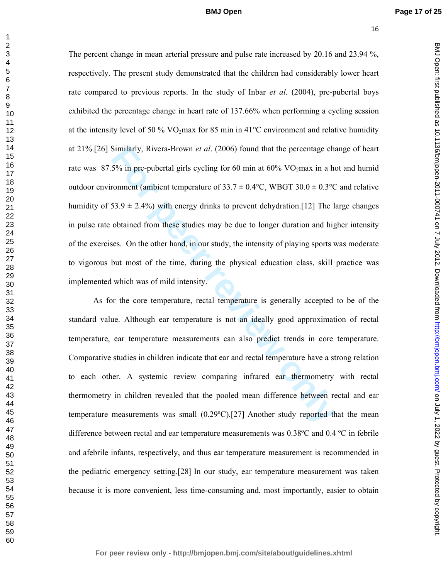Similarly, Rivera-Brown *et al.* (2006) found that the percentage chases of the percentage chases of the percentral girls cycling for 60 min at 60% VO<sub>2</sub>max in a hard nonment (ambient temperature of 33.7 ± 0.4 °C, WBGT 30 The percent change in mean arterial pressure and pulse rate increased by 20.16 and 23.94 %, respectively. The present study demonstrated that the children had considerably lower heart rate compared to previous reports. In the study of Inbar *et al*. (2004), pre-pubertal boys exhibited the percentage change in heart rate of 137.66% when performing a cycling session at the intensity level of 50 % VO<sub>2</sub>max for 85 min in 41 $\degree$ C environment and relative humidity at 21%.[26] Similarly, Rivera-Brown *et al*. (2006) found that the percentage change of heart rate was  $87.5\%$  in pre-pubertal girls cycling for 60 min at  $60\%$  VO<sub>2</sub>max in a hot and humid outdoor environment (ambient temperature of  $33.7 \pm 0.4$ °C, WBGT  $30.0 \pm 0.3$ °C and relative humidity of  $53.9 \pm 2.4\%$ ) with energy drinks to prevent dehydration. [12] The large changes in pulse rate obtained from these studies may be due to longer duration and higher intensity of the exercises. On the other hand, in our study, the intensity of playing sports was moderate to vigorous but most of the time, during the physical education class, skill practice was implemented which was of mild intensity.

As for the core temperature, rectal temperature is generally accepted to be of the standard value. Although ear temperature is not an ideally good approximation of rectal temperature, ear temperature measurements can also predict trends in core temperature. Comparative studies in children indicate that ear and rectal temperature have a strong relation to each other. A systemic review comparing infrared ear thermometry with rectal thermometry in children revealed that the pooled mean difference between rectal and ear temperature measurements was small (0.29ºC).[27] Another study reported that the mean difference between rectal and ear temperature measurements was 0.38ºC and 0.4 ºC in febrile and afebrile infants, respectively, and thus ear temperature measurement is recommended in the pediatric emergency setting.[28] In our study, ear temperature measurement was taken because it is more convenient, less time-consuming and, most importantly, easier to obtain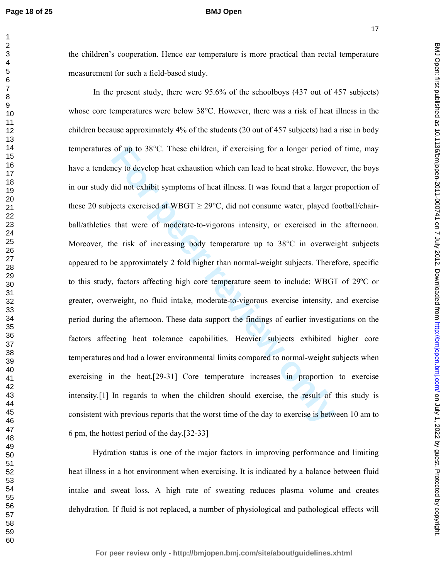#### **BMJ Open**

BMJ Open: first published as 10.1136/bmijopen-2011-000741 on 7 July 2012. Downloaded from http://bmjopen.bmj.com/ on July 1, 2022 by guest. Protected by copyright on July 1, 2022 by guest. Protected by copyright. <http://bmjopen.bmj.com/> BMJ Open: first published as 10.1136/bmjopen-2011-000741 on 7 July 2012. Downloaded from

the children's cooperation. Hence ear temperature is more practical than rectal temperature measurement for such a field-based study.

of up to 38°C. These children, if exercising for a longer period oncy to develop heat exhaustion which can lead to heat stroke. Howe<br>did not exhibit symptoms of heat illness. It was found that a larger period of<br>exhibit s In the present study, there were 95.6% of the schoolboys (437 out of 457 subjects) whose core temperatures were below 38°C. However, there was a risk of heat illness in the children because approximately 4% of the students (20 out of 457 subjects) had a rise in body temperatures of up to 38°C. These children, if exercising for a longer period of time, may have a tendency to develop heat exhaustion which can lead to heat stroke. However, the boys in our study did not exhibit symptoms of heat illness. It was found that a larger proportion of these 20 subjects exercised at WBGT  $\geq$  29 $\degree$ C, did not consume water, played football/chairball/athletics that were of moderate-to-vigorous intensity, or exercised in the afternoon. Moreover, the risk of increasing body temperature up to 38°C in overweight subjects appeared to be approximately 2 fold higher than normal-weight subjects. Therefore, specific to this study, factors affecting high core temperature seem to include: WBGT of 29ºC or greater, overweight, no fluid intake, moderate-to-vigorous exercise intensity, and exercise period during the afternoon. These data support the findings of earlier investigations on the factors affecting heat tolerance capabilities. Heavier subjects exhibited higher core temperatures and had a lower environmental limits compared to normal-weight subjects when exercising in the heat.[29-31] Core temperature increases in proportion to exercise intensity.[1] In regards to when the children should exercise, the result of this study is consistent with previous reports that the worst time of the day to exercise is between 10 am to 6 pm, the hottest period of the day.[32-33]

 Hydration status is one of the major factors in improving performance and limiting heat illness in a hot environment when exercising. It is indicated by a balance between fluid intake and sweat loss. A high rate of sweating reduces plasma volume and creates dehydration. If fluid is not replaced, a number of physiological and pathological effects will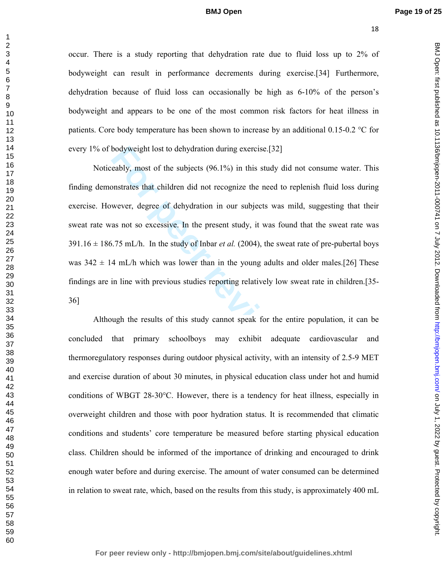occur. There is a study reporting that dehydration rate due to fluid loss up to 2% of bodyweight can result in performance decrements during exercise.[34] Furthermore, dehydration because of fluid loss can occasionally be high as 6-10% of the person's bodyweight and appears to be one of the most common risk factors for heat illness in patients. Core body temperature has been shown to increase by an additional 0.15-0.2 °C for every 1% of bodyweight lost to dehydration during exercise.[32]

bodyweight lost to dehydration during exercise.[32]<br>eably, most of the subjects (96.1%) in this study did not consume<br>onstrates that children did not recognize the need to replenish fluid<br>wever, degree of dehydration in ou Noticeably, most of the subjects (96.1%) in this study did not consume water. This finding demonstrates that children did not recognize the need to replenish fluid loss during exercise. However, degree of dehydration in our subjects was mild, suggesting that their sweat rate was not so excessive. In the present study, it was found that the sweat rate was  $391.16 \pm 186.75$  mL/h. In the study of Inbar *et al.* (2004), the sweat rate of pre-pubertal boys was  $342 \pm 14$  mL/h which was lower than in the young adults and older males.[26] These findings are in line with previous studies reporting relatively low sweat rate in children.[35- 36]

Although the results of this study cannot speak for the entire population, it can be concluded that primary schoolboys may exhibit adequate cardiovascular and thermoregulatory responses during outdoor physical activity, with an intensity of 2.5-9 MET and exercise duration of about 30 minutes, in physical education class under hot and humid conditions of WBGT 28-30°C. However, there is a tendency for heat illness, especially in overweight children and those with poor hydration status. It is recommended that climatic conditions and students' core temperature be measured before starting physical education class. Children should be informed of the importance of drinking and encouraged to drink enough water before and during exercise. The amount of water consumed can be determined in relation to sweat rate, which, based on the results from this study, is approximately 400 mL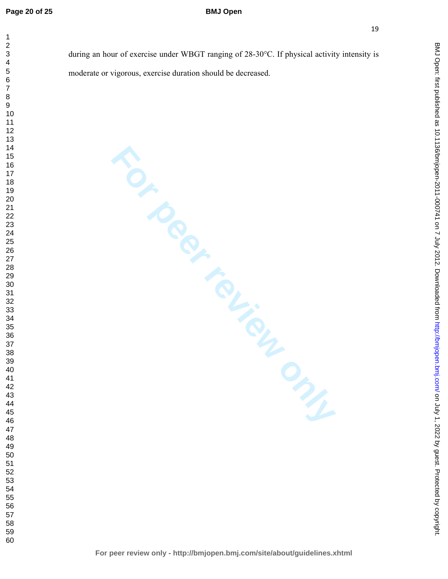### **BMJ Open**

BMJ Open: first published as 10.1136/bmijopen-2011-000741 on 7 July 2012. Downloaded from http://bmjopen.bmj.com/ on July 1, 2022 by guest. Protected by copyright on July 1, 2022 by guest. Protected by copyright. <http://bmjopen.bmj.com/> BMJ Open: first published as 10.1136/bmjopen-2011-000741 on 7 July 2012. Downloaded from

during an hour of exercise under WBGT ranging of 28-30°C. If physical activity intensity is moderate or vigorous, exercise duration should be decreased.

**For peer review only - http://bmjopen.bmj.com/site/about/guidelines.xhtml**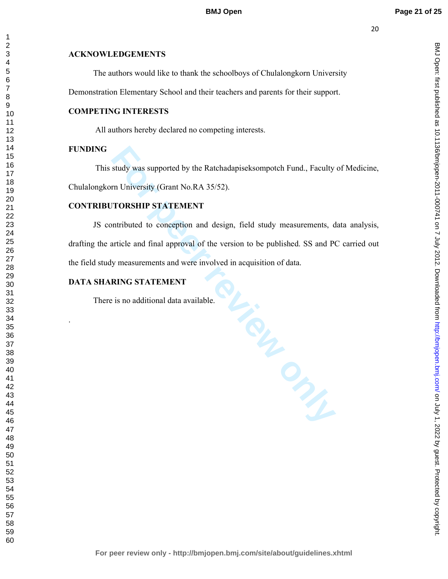# **ACKNOWLEDGEMENTS**

The authors would like to thank the schoolboys of Chulalongkorn University

Demonstration Elementary School and their teachers and parents for their support.

# **COMPETING INTERESTS**

All authors hereby declared no competing interests.

# **FUNDING**

.

This study was supported by the Ratchadapiseksompotch Fund., Faculty of Medicine,

Chulalongkorn University (Grant No.RA 35/52).

# **CONTRIBUTORSHIP STATEMENT**

JS contributed to conception and design, field study measurements, data analysis, drafting the article and final approval of the version to be published. SS and PC carried out the field study measurements and were involved in acquisition of data.

# **DATA SHARING STATEMENT**

**PL.: PROPER** There is no additional data available.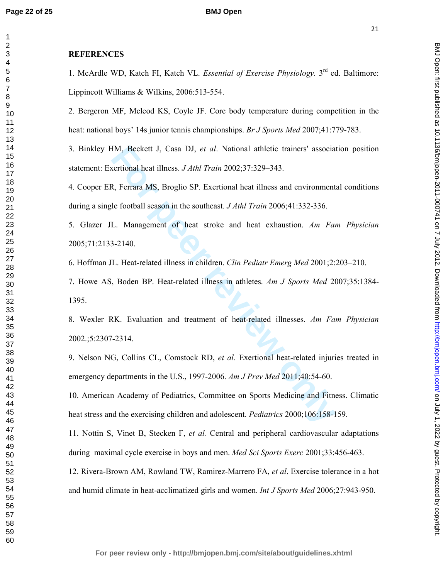### **BMJ Open**

# **REFERENCES**

1. McArdle WD, Katch FI, Katch VL. *Essential of Exercise Physiology.* 3rd ed. Baltimore: Lippincott Williams & Wilkins, 2006:513-554.

2. Bergeron MF, Mcleod KS, Coyle JF. Core body temperature during competition in the heat: national boys' 14s junior tennis championships. *Br J Sports Med* 2007;41:779-783.

HM, Beckett J, Casa DJ, *et al.* National athletic trainers' associates exertional heat illness. *J Athl Train* 2002;37:329–343.<br>
R, Ferrara MS, Broglio SP. Exertional heat illness and environment le football season in the 3. Binkley HM, Beckett J, Casa DJ, *et al*. National athletic trainers' association position statement: Exertional heat illness. *J Athl Train* 2002;37:329–343.

4. Cooper ER, Ferrara MS, Broglio SP. Exertional heat illness and environmental conditions during a single football season in the southeast*. J Athl Train* 2006;41:332-336.

5. Glazer JL. Management of heat stroke and heat exhaustion. *Am Fam Physician* 2005;71:2133-2140.

6. Hoffman JL. Heat-related illness in children. *Clin Pediatr Emerg Med* 2001;2:203–210.

7. Howe AS, Boden BP. Heat-related illness in athletes. *Am J Sports Med* 2007;35:1384- 1395.

8. Wexler RK. Evaluation and treatment of heat-related illnesses. *Am Fam Physician* 2002.;5:2307-2314.

9. Nelson NG, Collins CL, Comstock RD, *et al.* Exertional heat-related injuries treated in emergency departments in the U.S., 1997-2006. *Am J Prev Med* 2011;40:54-60.

10. American Academy of Pediatrics, Committee on Sports Medicine and Fitness. Climatic heat stress and the exercising children and adolescent. *Pediatrics* 2000;106:158-159.

11. Nottin S, Vinet B, Stecken F, *et al.* Central and peripheral cardiovascular adaptations during maximal cycle exercise in boys and men. *Med Sci Sports Exerc* 2001;33:456-463.

12. Rivera-Brown AM, Rowland TW, Ramirez-Marrero FA, *et al*. Exercise tolerance in a hot and humid climate in heat-acclimatized girls and women. *Int J Sports Med* 2006;27:943-950.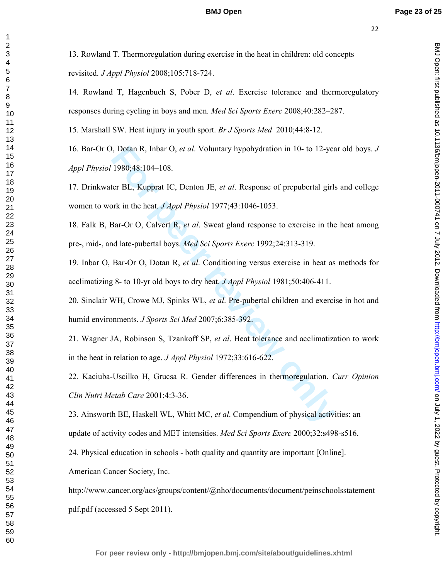BMJ Open: first published as 10.1136/bmijopen-2011-000741 on 7 July 2012. Downloaded from http://bmjopen.bmj.com/ on July 1, 2022 by guest. Protected by copyright on July 1, 2022 by guest. Protected by copyright. <http://bmjopen.bmj.com/> BMJ Open: first published as 10.1136/bmjopen-2011-000741 on 7 July 2012. Downloaded from

13. Rowland T. Thermoregulation during exercise in the heat in children: old concepts revisited. *J Appl Physiol* 2008;105:718-724.

14. Rowland T, Hagenbuch S, Pober D, *et al*. Exercise tolerance and thermoregulatory responses during cycling in boys and men. *Med Sci Sports Exerc* 2008;40:282–287.

15. Marshall SW. Heat injury in youth sport. *Br J Sports Med* 2010;44:8-12.

16. Bar-Or O, Dotan R, Inbar O, *et al*. Voluntary hypohydration in 10- to 12-year old boys. *J Appl Physiol* 1980;48:104–108.

17. Drinkwater BL, Kupprat IC, Denton JE, *et al*. Response of prepubertal girls and college women to work in the heat. *J Appl Physiol* 1977;43:1046-1053.

18. Falk B, Bar-Or O, Calvert R, *et al*. Sweat gland response to exercise in the heat among pre-, mid-, and late-pubertal boys. *Med Sci Sports Exerc* 1992;24:313-319.

19. Inbar O, Bar-Or O, Dotan R, *et al*. Conditioning versus exercise in heat as methods for acclimatizing 8- to 10-yr old boys to dry heat. *J Appl Physiol* 1981;50:406-411.

**For PE 12 SONAL ASSET ASSET ASSET UP:** The EVALUATE THANGED IDED. Here BL., Kupprat IC, Denton JE, *et al.* Response of prepubertal girls only the heat *J Appl Physiol* 1977;43:1046-1053.<br>Bar-Or O, Calvert R, *et al.* Swe 20. Sinclair WH, Crowe MJ, Spinks WL, *et al*. Pre-pubertal children and exercise in hot and humid environments. *J Sports Sci Med* 2007;6:385-392.

21. Wagner JA, Robinson S, Tzankoff SP, *et al*. Heat tolerance and acclimatization to work in the heat in relation to age. *J Appl Physiol* 1972;33:616-622.

22. Kaciuba-Uscilko H, Grucsa R. Gender differences in thermoregulation. *Curr Opinion Clin Nutri Metab Care* 2001;4:3-36.

23. Ainsworth BE, Haskell WL, Whitt MC, *et al*. Compendium of physical activities: an update of activity codes and MET intensities. *Med Sci Sports Exerc* 2000;32:s498-s516.

24. Physical education in schools - both quality and quantity are important [Online].

American Cancer Society, Inc.

http://www.cancer.org/acs/groups/content/@nho/documents/document/peinschoolsstatement pdf.pdf (accessed 5 Sept 2011).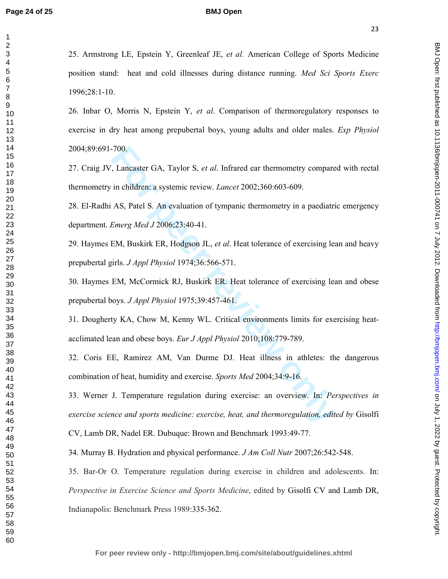#### **BMJ Open**

25. Armstrong LE, Epstein Y, Greenleaf JE, *et al.* American College of Sports Medicine position stand: heat and cold illnesses during distance running. *Med Sci Sports Exerc* 1996;28:1-10.

26. Inbar O, Morris N, Epstein Y, *et al*. Comparison of thermoregulatory responses to exercise in dry heat among prepubertal boys, young adults and older males. *Exp Physiol* 2004;89:691-700.

27. Craig JV, Lancaster GA, Taylor S, *et al*. Infrared ear thermometry compared with rectal thermometry in children: a systemic review. *Lancet* 2002;360:603-609.

28. El-Radhi AS, Patel S. An evaluation of tympanic thermometry in a paediatric emergency department. *Emerg Med J* 2006;23:40-41.

29. Haymes EM, Buskirk ER, Hodgson JL, *et al*. Heat tolerance of exercising lean and heavy prepubertal girls. *J Appl Physiol* 1974;36:566-571.

30. Haymes EM, McCormick RJ, Buskirk ER. Heat tolerance of exercising lean and obese prepubertal boys. *J Appl Physiol* 1975;39:457-461.

31. Dougherty KA, Chow M, Kenny WL. Critical environments limits for exercising heatacclimated lean and obese boys. *Eur J Appl Physiol* 2010;108:779-789.

32. Coris EE, Ramirez AM, Van Durme DJ. Heat illness in athletes: the dangerous combination of heat, humidity and exercise. *Sports Med* 2004;34:9-16.

700.<br> **Follow Example 1**, Laylor S, et al. Infrared ear thermometry compare<br>
in children: a systemic review. *Lancet* 2002;360:603-609.<br>
AS, Patel S. An evaluation of tympanic thermometry in a paediatri<br> *Emerg Med J* 2006 33. Werner J. Temperature regulation during exercise: an overview. In: *Perspectives in exercise science and sports medicine: exercise, heat, and thermoregulation, edited by* Gisolfi

CV, Lamb DR, Nadel ER. Dubuque: Brown and Benchmark 1993:49-77.

34. Murray B. Hydration and physical performance. *J Am Coll Nutr* 2007;26:542-548.

35. Bar-Or O. Temperature regulation during exercise in children and adolescents. In: *Perspective in Exercise Science and Sports Medicine*, edited by Gisolfi CV and Lamb DR, Indianapolis: Benchmark Press 1989:335-362.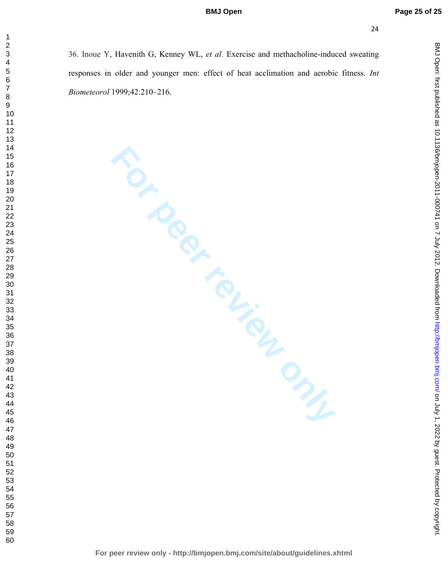BMJ Open: first published as 10.1136/bmjopen-2011-000741 on 7 July 2012. Downloaded from http://bmjopen.bmj.com/ on July 1, 2022 by guest. Protected by copyright on July 1, 2022 by guest. Protected by copyright. <http://bmjopen.bmj.com/> BMJ Open: first published as 10.1136/bmjopen-2011-000741 on 7 July 2012. Downloaded from

  36. Inoue Y, Havenith G, Kenney WL, *et al.* Exercise and methacholine-induced sweating responses in older and younger men: effect of heat acclimation and aerobic fitness. *Int Biometeorol* 1999;42:210–216.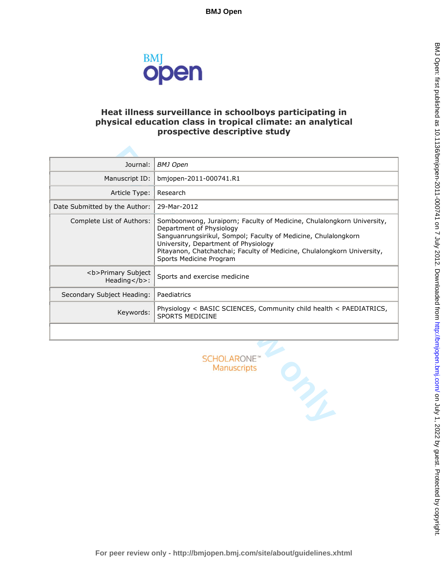

# **Heat illness surveillance in schoolboys participating in physical education class in tropical climate: an analytical prospective descriptive study**

| Journal:                             | <b>BMJ</b> Open                                                                                                                                                                                                                                                                                                    |
|--------------------------------------|--------------------------------------------------------------------------------------------------------------------------------------------------------------------------------------------------------------------------------------------------------------------------------------------------------------------|
| Manuscript ID:                       | bmjopen-2011-000741.R1                                                                                                                                                                                                                                                                                             |
| Article Type:                        | Research                                                                                                                                                                                                                                                                                                           |
| Date Submitted by the Author:        | 29-Mar-2012                                                                                                                                                                                                                                                                                                        |
| Complete List of Authors:            | Somboonwong, Juraiporn; Faculty of Medicine, Chulalongkorn University,<br>Department of Physiology<br>Sanguanrungsirikul, Sompol; Faculty of Medicine, Chulalongkorn<br>University, Department of Physiology<br>Pitayanon, Chatchatchai; Faculty of Medicine, Chulalongkorn University,<br>Sports Medicine Program |
| <b>Primary Subject<br/>Heading</b> : | Sports and exercise medicine                                                                                                                                                                                                                                                                                       |
| Secondary Subject Heading:           | Paediatrics                                                                                                                                                                                                                                                                                                        |
| Keywords:                            | Physiology < BASIC SCIENCES, Community child health < PAEDIATRICS,<br>SPORTS MEDICINE                                                                                                                                                                                                                              |
|                                      |                                                                                                                                                                                                                                                                                                                    |
|                                      | <b>SCHOLARONE</b><br>Manuscripts<br>ma                                                                                                                                                                                                                                                                             |

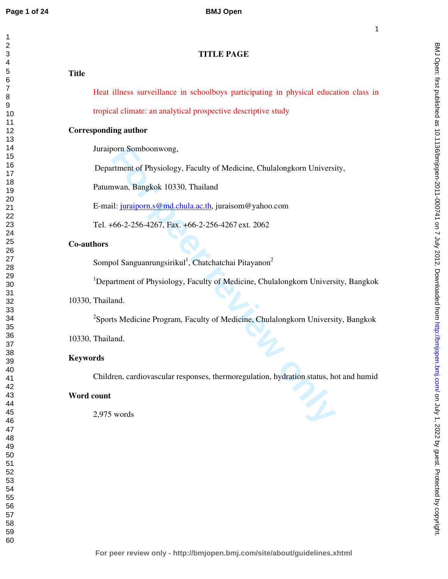| <b>Title</b>    | <b>TITLE PAGE</b>                                                                             |
|-----------------|-----------------------------------------------------------------------------------------------|
|                 | Heat illness surveillance in schoolboys participating in physical education class in          |
|                 |                                                                                               |
|                 | tropical climate: an analytical prospective descriptive study                                 |
|                 | <b>Corresponding author</b>                                                                   |
|                 | Juraiporn Somboonwong,                                                                        |
|                 | Department of Physiology, Faculty of Medicine, Chulalongkorn University,                      |
|                 | Patumwan, Bangkok 10330, Thailand                                                             |
|                 | E-mail: juraiporn.s@md.chula.ac.th, juraisom@yahoo.com                                        |
|                 | Tel. +66-2-256-4267, Fax. +66-2-256-4267 ext. 2062                                            |
| Co-authors      |                                                                                               |
|                 | Sompol Sanguanrungsirikul <sup>1</sup> , Chatchatchai Pitayanon <sup>2</sup>                  |
|                 | <sup>1</sup> Department of Physiology, Faculty of Medicine, Chulalongkorn University, Bangkok |
|                 | 10330, Thailand.                                                                              |
|                 | <sup>2</sup> Sports Medicine Program, Faculty of Medicine, Chulalongkorn University, Bangkok  |
|                 | 10330, Thailand.                                                                              |
| <b>Keywords</b> |                                                                                               |
|                 | Children, cardiovascular responses, thermoregulation, hydration status, hot and humid         |
|                 | Word count                                                                                    |
|                 | 2,975 words                                                                                   |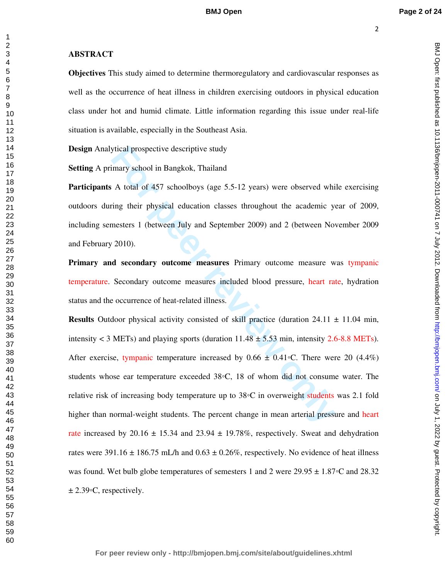BMJ Open: first published as 10.1136/bmijopen-2011-000741 on 7 July 2012. Downloaded from http://bmjopen.bmj.com/ on July 1, 2022 by guest. Protected by copyright on July 1, 2022 by guest. Protected by copyright. <http://bmjopen.bmj.com/> BMJ Open: first published as 10.1136/bmjopen-2011-000741 on 7 July 2012. Downloaded from

## **ABSTRACT**

**Objectives** This study aimed to determine thermoregulatory and cardiovascular responses as well as the occurrence of heat illness in children exercising outdoors in physical education class under hot and humid climate. Little information regarding this issue under real-life situation is available, especially in the Southeast Asia.

**Design** Analytical prospective descriptive study

**Setting** A primary school in Bangkok, Thailand

**Participants** A total of 457 schoolboys (age 5.5-12 years) were observed while exercising outdoors during their physical education classes throughout the academic year of 2009, including semesters 1 (between July and September 2009) and 2 (between November 2009 and February 2010).

**Primary and secondary outcome measures** Primary outcome measure was tympanic temperature. Secondary outcome measures included blood pressure, heart rate, hydration status and the occurrence of heat-related illness.

prospective descriptive study<br>
Formary school in Bangkok, Thailand<br>
A total of 457 schoolboys (age 5.5-12 years) were observed which<br>
ring their physical education classes throughout the academic year<br>
mesters 1 (between J **Results** Outdoor physical activity consisted of skill practice (duration 24.11 ± 11.04 min, intensity  $<$  3 METs) and playing sports (duration  $11.48 \pm 5.53$  min, intensity 2.6-8.8 METs). After exercise, tympanic temperature increased by  $0.66 \pm 0.41$ <sup>o</sup>C. There were 20 (4.4%) students whose ear temperature exceeded 38◦C, 18 of whom did not consume water. The relative risk of increasing body temperature up to 38◦C in overweight students was 2.1 fold higher than normal-weight students. The percent change in mean arterial pressure and heart rate increased by 20.16  $\pm$  15.34 and 23.94  $\pm$  19.78%, respectively. Sweat and dehydration rates were 391.16  $\pm$  186.75 mL/h and 0.63  $\pm$  0.26%, respectively. No evidence of heat illness was found. Wet bulb globe temperatures of semesters 1 and 2 were  $29.95 \pm 1.87$ <sup>o</sup>C and 28.32  $± 2.39°C$ , respectively.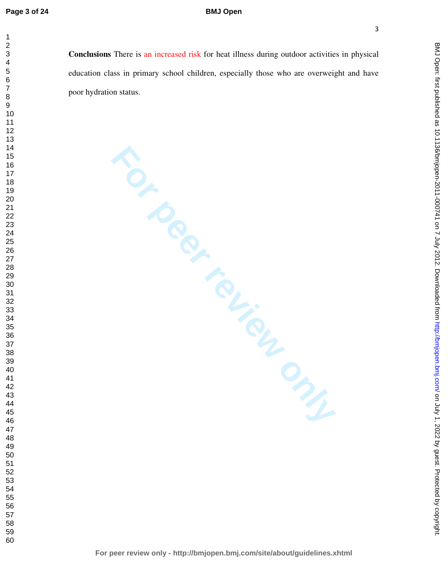### **BMJ Open**

**Conclusions** There is an increased risk for heat illness during outdoor activities in physical education class in primary school children, especially those who are overweight and have poor hydration status.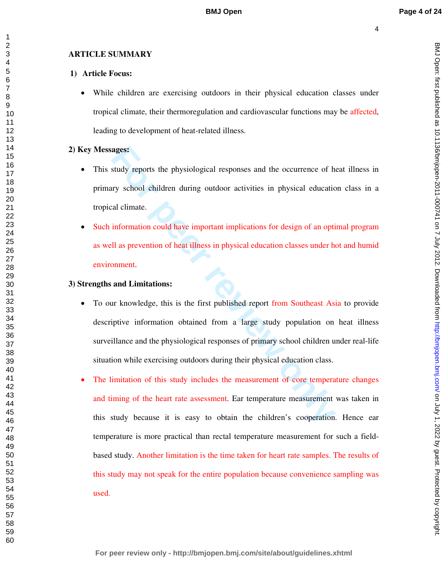# **ARTICLE SUMMARY**

# **1) Article Focus:**

• While children are exercising outdoors in their physical education classes under tropical climate, their thermoregulation and cardiovascular functions may be affected, leading to development of heat-related illness.

# **2) Key Messages:**

- This study reports the physiological responses and the occurrence of heat illness in primary school children during outdoor activities in physical education class in a tropical climate.
- Such information could have important implications for design of an optimal program as well as prevention of heat illness in physical education classes under hot and humid environment.

# **3) Strengths and Limitations:**

- **Example 18 Example 10** statedy reports the physiological responses and the occurrence of hay school children during outdoor activities in physical education and term information could have important implications for desig • To our knowledge, this is the first published report from Southeast Asia to provide descriptive information obtained from a large study population on heat illness surveillance and the physiological responses of primary school children under real-life situation while exercising outdoors during their physical education class.
- The limitation of this study includes the measurement of core temperature changes and timing of the heart rate assessment. Ear temperature measurement was taken in this study because it is easy to obtain the children's cooperation. Hence ear temperature is more practical than rectal temperature measurement for such a fieldbased study. Another limitation is the time taken for heart rate samples. The results of this study may not speak for the entire population because convenience sampling was used.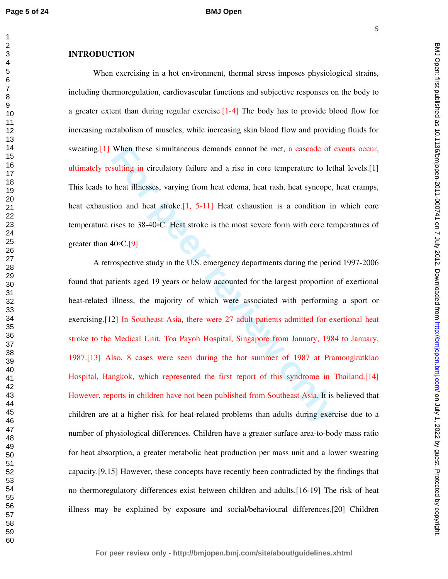### **BMJ Open**

### **INTRODUCTION**

When exercising in a hot environment, thermal stress imposes physiological strains, including thermoregulation, cardiovascular functions and subjective responses on the body to a greater extent than during regular exercise.[1-4] The body has to provide blood flow for increasing metabolism of muscles, while increasing skin blood flow and providing fluids for sweating.[1] When these simultaneous demands cannot be met, a cascade of events occur, ultimately resulting in circulatory failure and a rise in core temperature to lethal levels.[1] This leads to heat illnesses, varying from heat edema, heat rash, heat syncope, heat cramps, heat exhaustion and heat stroke.<sup>[1, 5-11]</sup> Heat exhaustion is a condition in which core temperature rises to 38-40◦C. Heat stroke is the most severe form with core temperatures of greater than  $40 \circ C$ . [9]

When these simultaneous demands cannot be met, a cascade of esulting in circulatory failure and a rise in core temperature to let heat illnesses, varying from heat edema, heat rash, heat syncope, ion and heat stroke.[1, 5-A retrospective study in the U.S. emergency departments during the period 1997-2006 found that patients aged 19 years or below accounted for the largest proportion of exertional heat-related illness, the majority of which were associated with performing a sport or exercising.[12] In Southeast Asia, there were 27 adult patients admitted for exertional heat stroke to the Medical Unit, Toa Payoh Hospital, Singapore from January, 1984 to January, 1987.[13] Also, 8 cases were seen during the hot summer of 1987 at Pramongkutklao Hospital, Bangkok, which represented the first report of this syndrome in Thailand.[14] However, reports in children have not been published from Southeast Asia. It is believed that children are at a higher risk for heat-related problems than adults during exercise due to a number of physiological differences. Children have a greater surface area-to-body mass ratio for heat absorption, a greater metabolic heat production per mass unit and a lower sweating capacity.[9,15] However, these concepts have recently been contradicted by the findings that no thermoregulatory differences exist between children and adults.[16-19] The risk of heat illness may be explained by exposure and social/behavioural differences.[20] Children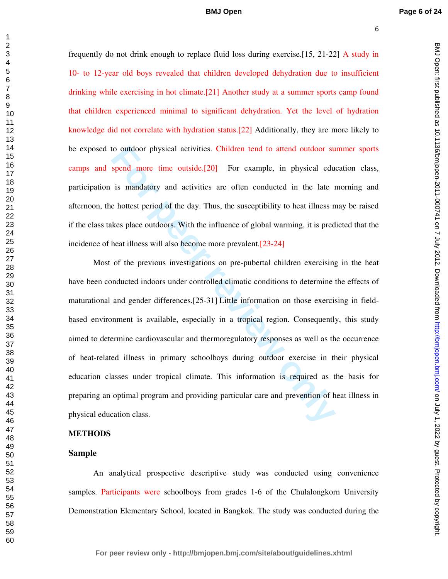BMJ Open: first published as 10.1136/bmijopen-2011-000741 on 7 July 2012. Downloaded from http://bmjopen.bmj.com/ on July 1, 2022 by guest. Protected by copyright on July 1, 2022 by guest. Protected by copyright. <http://bmjopen.bmj.com/> BMJ Open: first published as 10.1136/bmjopen-2011-000741 on 7 July 2012. Downloaded from

frequently do not drink enough to replace fluid loss during exercise.[15, 21-22] A study in 10- to 12-year old boys revealed that children developed dehydration due to insufficient drinking while exercising in hot climate.[21] Another study at a summer sports camp found that children experienced minimal to significant dehydration. Yet the level of hydration knowledge did not correlate with hydration status.[22] Additionally, they are more likely to be exposed to outdoor physical activities. Children tend to attend outdoor summer sports camps and spend more time outside.[20] For example, in physical education class, participation is mandatory and activities are often conducted in the late morning and afternoon, the hottest period of the day. Thus, the susceptibility to heat illness may be raised if the class takes place outdoors. With the influence of global warming, it is predicted that the incidence of heat illness will also become more prevalent.[23-24]

to outdoor physical activities. Children tend to attend outdoor su<br>spend more time outside.[20] For example, in physical edu<br>is mandatory and activities are often conducted in the late r<br>e hottest period of the day. Thus, Most of the previous investigations on pre-pubertal children exercising in the heat have been conducted indoors under controlled climatic conditions to determine the effects of maturational and gender differences.[25-31] Little information on those exercising in fieldbased environment is available, especially in a tropical region. Consequently, this study aimed to determine cardiovascular and thermoregulatory responses as well as the occurrence of heat-related illness in primary schoolboys during outdoor exercise in their physical education classes under tropical climate. This information is required as the basis for preparing an optimal program and providing particular care and prevention of heat illness in physical education class.

#### **METHODS**

#### **Sample**

An analytical prospective descriptive study was conducted using convenience samples. Participants were schoolboys from grades 1-6 of the Chulalongkorn University Demonstration Elementary School, located in Bangkok. The study was conducted during the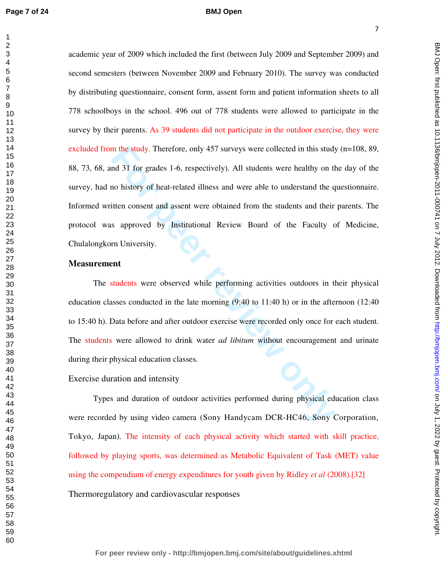#### **BMJ Open**

BMJ Open: first published as 10.1136/bmijopen-2011-000741 on 7 July 2012. Downloaded from http://bmjopen.bmj.com/ on July 1, 2022 by guest. Protected by copyright on July 1, 2022 by guest. Protected by copyright. <http://bmjopen.bmj.com/> BMJ Open: first published as 10.1136/bmjopen-2011-000741 on 7 July 2012. Downloaded from

m the study. Therefore, only 457 surveys were collected in this study<br>and 31 for grades 1-6, respectively). All students were healthy on the observed of heat-related illness and were able to understand the q<br>itten consent academic year of 2009 which included the first (between July 2009 and September 2009) and second semesters (between November 2009 and February 2010). The survey was conducted by distributing questionnaire, consent form, assent form and patient information sheets to all 778 schoolboys in the school. 496 out of 778 students were allowed to participate in the survey by their parents. As 39 students did not participate in the outdoor exercise, they were excluded from the study. Therefore, only 457 surveys were collected in this study (n=108, 89, 88, 73, 68, and 31 for grades 1-6, respectively). All students were healthy on the day of the survey, had no history of heat-related illness and were able to understand the questionnaire. Informed written consent and assent were obtained from the students and their parents. The protocol was approved by Institutional Review Board of the Faculty of Medicine, Chulalongkorn University.

#### **Measurement**

The students were observed while performing activities outdoors in their physical education classes conducted in the late morning (9:40 to 11:40 h) or in the afternoon (12:40 to 15:40 h). Data before and after outdoor exercise were recorded only once for each student. The students were allowed to drink water *ad libitum* without encouragement and urinate during their physical education classes.

#### Exercise duration and intensity

Types and duration of outdoor activities performed during physical education class were recorded by using video camera (Sony Handycam DCR-HC46, Sony Corporation, Tokyo, Japan). The intensity of each physical activity which started with skill practice, followed by playing sports, was determined as Metabolic Equivalent of Task (MET) value using the compendium of energy expenditures for youth given by Ridley *et al* (2008).[32] Thermoregulatory and cardiovascular responses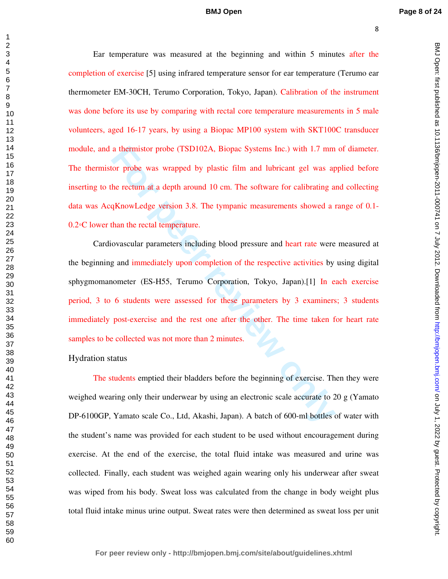BMJ Open: first published as 10.1136/bmijopen-2011-000741 on 7 July 2012. Downloaded from http://bmjopen.bmj.com/ on July 1, 2022 by guest. Protected by copyright on July 1, 2022 by guest. Protected by copyright. <http://bmjopen.bmj.com/> BMJ Open: first published as 10.1136/bmjopen-2011-000741 on 7 July 2012. Downloaded from

0.2 ° C lower than the rectal temperature. Hydration status

Ear temperature was measured at the beginning and within 5 minutes after the completion of exercise [5] using infrared temperature sensor for ear temperature (Terumo ear thermometer EM-30CH, Terumo Corporation, Tokyo, Japan). Calibration of the instrument was done before its use by comparing with rectal core temperature measurements in 5 male volunteers, aged 16-17 years, by using a Biopac MP100 system with SKT100C transducer module, and a thermistor probe (TSD102A, Biopac Systems Inc.) with 1.7 mm of diameter. The thermistor probe was wrapped by plastic film and lubricant gel was applied before inserting to the rectum at a depth around 10 cm. The software for calibrating and collecting data was AcqKnowLedge version 3.8. The tympanic measurements showed a range of 0.1-

a thermistor probe (TSD102A, Biopac Systems Inc.) with 1.7 mm<br>tor probe was wrapped by plastic film and lubricant gel was ap<br>the rectum at a depth around 10 cm. The software for calibrating an<br>qKnowLedge version 3.8. The t Cardiovascular parameters including blood pressure and heart rate were measured at the beginning and immediately upon completion of the respective activities by using digital sphygmomanometer (ES-H55, Terumo Corporation, Tokyo, Japan).[1] In each exercise period, 3 to 6 students were assessed for these parameters by 3 examiners; 3 students immediately post-exercise and the rest one after the other. The time taken for heart rate samples to be collected was not more than 2 minutes.

The students emptied their bladders before the beginning of exercise. Then they were weighed wearing only their underwear by using an electronic scale accurate to 20 g (Yamato DP-6100GP, Yamato scale Co., Ltd, Akashi, Japan). A batch of 600-ml bottles of water with the student's name was provided for each student to be used without encouragement during exercise. At the end of the exercise, the total fluid intake was measured and urine was collected. Finally, each student was weighed again wearing only his underwear after sweat was wiped from his body. Sweat loss was calculated from the change in body weight plus total fluid intake minus urine output. Sweat rates were then determined as sweat loss per unit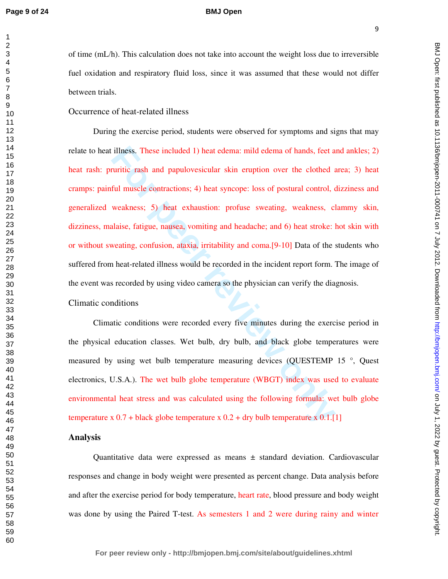### **BMJ Open**

of time (mL/h). This calculation does not take into account the weight loss due to irreversible fuel oxidation and respiratory fluid loss, since it was assumed that these would not differ between trials.

Occurrence of heat-related illness

illness. These included 1) heat edema: mild edema of hands, feet a<br>ruritic rash and papulovesicular skin eruption over the clothed a<br>ful muscle contractions; 4) heat syncope: loss of postural control, c<br>weakness; 5) heat During the exercise period, students were observed for symptoms and signs that may relate to heat illness. These included 1) heat edema: mild edema of hands, feet and ankles; 2) heat rash: pruritic rash and papulovesicular skin eruption over the clothed area; 3) heat cramps: painful muscle contractions; 4) heat syncope: loss of postural control, dizziness and generalized weakness; 5) heat exhaustion: profuse sweating, weakness, clammy skin, dizziness, malaise, fatigue, nausea, vomiting and headache; and 6) heat stroke: hot skin with or without sweating, confusion, ataxia, irritability and coma.[9-10] Data of the students who suffered from heat-related illness would be recorded in the incident report form. The image of the event was recorded by using video camera so the physician can verify the diagnosis.

Climatic conditions

Climatic conditions were recorded every five minutes during the exercise period in the physical education classes. Wet bulb, dry bulb, and black globe temperatures were measured by using wet bulb temperature measuring devices (QUESTEMP 15 °, Quest electronics, U.S.A.). The wet bulb globe temperature (WBGT) index was used to evaluate environmental heat stress and was calculated using the following formula: wet bulb globe temperature x  $0.7 +$  black globe temperature x  $0.2 +$  dry bulb temperature x  $0.1$ .[1]

#### **Analysis**

Quantitative data were expressed as means  $\pm$  standard deviation. Cardiovascular responses and change in body weight were presented as percent change. Data analysis before and after the exercise period for body temperature, heart rate, blood pressure and body weight was done by using the Paired T-test. As semesters 1 and 2 were during rainy and winter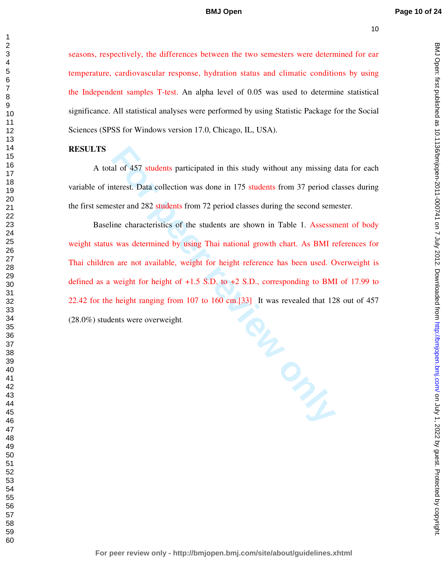BMJ Open: first published as 10.1136/bmjopen-2011-000741 on 7 July 2012. Downloaded from http://bmjopen.bmj.com/ on July 1, 2022 by guest. Protected by copyright on July 1, 2022 by guest. Protected by copyright. <http://bmjopen.bmj.com/> BMJ Open: first published as 10.1136/bmjopen-2011-000741 on 7 July 2012. Downloaded from

seasons, respectively, the differences between the two semesters were determined for ear temperature, cardiovascular response, hydration status and climatic conditions by using the Independent samples T-test. An alpha level of 0.05 was used to determine statistical significance. All statistical analyses were performed by using Statistic Package for the Social Sciences (SPSS for Windows version 17.0, Chicago, IL, USA).

# **RESULTS**

A total of 457 students participated in this study without any missing data for each variable of interest. Data collection was done in 175 students from 37 period classes during the first semester and 282 students from 72 period classes during the second semester.

Baseline characteristics of the students are shown in Table 1. Assessment of body weight status was determined by using Thai national growth chart. As BMI references for Thai children are not available, weight for height reference has been used. Overweight is defined as a weight for height of +1.5 S.D. to +2 S.D., corresponding to BMI of 17.99 to 22.42 for the height ranging from 107 to 160 cm.[33] It was revealed that 128 out of 457 (28.0%) students were overweight.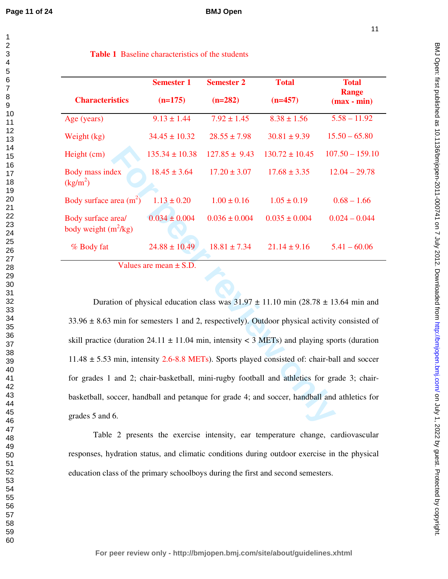BMJ Open: first published as 10.1136/bmijopen-2011-000741 on 7 July 2012. Downloaded from http://bmjopen.bmj.com/ on July 1, 2022 by guest. Protected by copyright on July 1, 2022 by guest. Protected by copyright. <http://bmjopen.bmj.com/> BMJ Open: first published as 10.1136/bmjopen-2011-000741 on 7 July 2012. Downloaded from

| 32<br>33<br>34<br>35<br>36<br>37<br>38<br>39<br>40<br>41<br>42<br>43<br>44<br>45<br>46<br>47<br>48 |
|----------------------------------------------------------------------------------------------------|
| 49                                                                                                 |

60

|  | <b>Table 1</b> Baseline characteristics of the students |  |
|--|---------------------------------------------------------|--|
|  |                                                         |  |

|                                                          | <b>Semester 1</b>  | <b>Semester 2</b> | <b>Total</b>       | <b>Total</b><br><b>Range</b> |
|----------------------------------------------------------|--------------------|-------------------|--------------------|------------------------------|
| <b>Characteristics</b>                                   | $(n=175)$          | $(n=282)$         | $(n=457)$          | $(max - min)$                |
| Age (years)                                              | $9.13 \pm 1.44$    | $7.92 \pm 1.45$   | $8.38 \pm 1.56$    | $5.58 - 11.92$               |
| Weight (kg)                                              | $34.45 \pm 10.32$  | $28.55 \pm 7.98$  | $30.81 \pm 9.39$   | $15.50 - 65.80$              |
| Height (cm)                                              | $135.34 \pm 10.38$ | $127.85 \pm 9.43$ | $130.72 \pm 10.45$ | $107.50 - 159.10$            |
| <b>Body mass index</b><br>$\frac{\text{kg}}{\text{m}^2}$ | $18.45 \pm 3.64$   | $17.20 \pm 3.07$  | $17.68 \pm 3.35$   | $12.04 - 29.78$              |
| Body surface area $(m^2)$                                | $1.13 \pm 0.20$    | $1.00 \pm 0.16$   | $1.05 \pm 0.19$    | $0.68 - 1.66$                |
| Body surface area/<br>body weight $(m^2/kg)$             | $0.034 \pm 0.004$  | $0.036 \pm 0.004$ | $0.035 \pm 0.004$  | $0.024 - 0.044$              |
| % Body fat                                               | $24.88 \pm 10.49$  | $18.81 \pm 7.34$  | $21.14 \pm 9.16$   | $5.41 - 60.06$               |

Values are mean  $\pm$  S.D.

**For 135.34** ± 10.38 127.85 ± 9.43 130.72 ± 10.45 107<br> **For 18.45** ± 3.64 17.20 ± 3.07 17.68 ± 3.35 12<br> **For and (m<sup>2</sup>)** 1.13 ± 0.20 1.00 ± 0.16 1.05 ± 0.19 0<br> **For and 1.03** ± 0.004 0.036 ± 0.004 0.035 ± 0.004 0.<br> **For a** Duration of physical education class was  $31.97 \pm 11.10$  min (28.78  $\pm$  13.64 min and  $33.96 \pm 8.63$  min for semesters 1 and 2, respectively). Outdoor physical activity consisted of skill practice (duration  $24.11 \pm 11.04$  min, intensity < 3 METs) and playing sports (duration 11.48 ± 5.53 min, intensity 2.6-8.8 METs). Sports played consisted of: chair-ball and soccer for grades 1 and 2; chair-basketball, mini-rugby football and athletics for grade 3; chairbasketball, soccer, handball and petanque for grade 4; and soccer, handball and athletics for grades 5 and 6.

Table 2 presents the exercise intensity, ear temperature change, cardiovascular responses, hydration status, and climatic conditions during outdoor exercise in the physical education class of the primary schoolboys during the first and second semesters.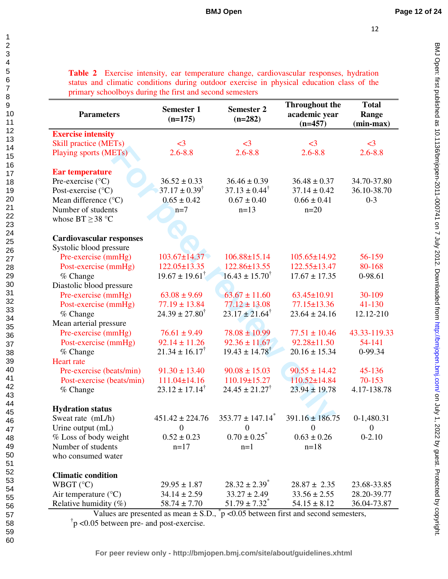BMJ Open: first published as 10.1136/bmjopen-2011-000741 on 7 July 2012. Downloaded from http://bmjopen.bmj.com/ on July 1, 2022 by guest. Protected by copyright. on July 1, 2022 by guest. Protected by copyright. <http://bmjopen.bmj.com/> BMJ Open: first published as 10.1136/bmjopen-2011-000741 on 7 July 2012. Downloaded from

**Table 2** Exercise intensity, ear temperature change, cardiovascular responses, hydration status and climatic conditions during outdoor exercise in physical education class of the primary schoolboys during the first and second semesters

| <b>Exercise intensity</b><br>$\leq$ 3<br>$\leq$ 3<br>$\leq$ 3<br>$\leq$ 3<br>Skill practice (METs)<br>$2.6 - 8.8$<br>$2.6 - 8.8$<br>$2.6 - 8.8$<br>$2.6 - 8.8$<br>Playing sports (METs)<br><b>Ear temperature</b><br>$36.52 \pm 0.33$<br>$36.46 \pm 0.39$<br>Pre-exercise $(^{\circ}C)$<br>$36.48 \pm 0.37$<br>34.70-37.80<br>$37.17 \pm 0.39^{\dagger}$<br>$37.13 \pm 0.44^{\dagger}$<br>$37.14 \pm 0.42$<br>36.10-38.70<br>Post-exercise $(^{\circ}C)$<br>$0.65 \pm 0.42$<br>Mean difference $({}^{\circ}C)$<br>$0.67 \pm 0.40$<br>$0.66 \pm 0.41$<br>$0 - 3$<br>Number of students<br>$n=20$<br>$n=7$<br>$n=13$<br>whose $BT \geq 38$ °C<br><b>Cardiovascular responses</b><br>Systolic blood pressure<br>Pre-exercise (mmHg)<br>$103.67 \pm 14.37$<br>106.88±15.14<br>$105.65 \pm 14.92$<br>56-159<br>122.55±13.47<br>$122.05 \pm 13.35$<br>$122.86 \pm 13.55$<br>80-168<br>Post-exercise (mmHg)<br>$19.67 \pm 19.61^{\dagger}$<br>$16.43 \pm 15.70^{\dagger}$<br>% Change<br>$17.67 \pm 17.35$<br>0-98.61<br>Diastolic blood pressure<br>Pre-exercise (mmHg)<br>$63.08 \pm 9.69$<br>$63.67 \pm 11.60$<br>$63.45 \pm 10.91$<br>30-109<br>$77.19 \pm 13.84$<br>$77.12 \pm 13.08$<br>$77.15 \pm 13.36$<br>Post-exercise (mmHg)<br>41-130<br>$24.39 \pm 27.80^{\dagger}$<br>$23.17 \pm 21.64^{\dagger}$<br>$23.64 \pm 24.16$<br>12.12-210<br>% Change<br>Mean arterial pressure<br>Pre-exercise (mmHg)<br>$76.61 \pm 9.49$<br>$78.08 \pm 10.99$<br>$77.51 \pm 10.46$<br>43.33-119.33<br>$92.14 \pm 11.26$<br>$92.36 \pm 11.67$<br>92.28±11.50<br>Post-exercise (mmHg)<br>54-141<br>$21.34 \pm 16.17^{\dagger}$<br>$19.43 \pm 14.78^{\dagger}$<br>$20.16 \pm 15.34$<br>0-99.34<br>% Change<br>Heart rate<br>$90.55 \pm 14.42$<br>Pre-exercise (beats/min)<br>$91.30 \pm 13.40$<br>$90.08 \pm 15.03$<br>45-136<br>110.19±15.27<br>$110.52 \pm 14.84$<br>$111.04 \pm 14.16$<br>70-153<br>Post-exercise (beats/min)<br>$23.12 \pm 17.14^{\dagger}$<br>$24.45 \pm 21.27^{\dagger}$<br>$23.94 \pm 19.78$<br>4.17-138.78<br>% Change<br><b>Hydration status</b><br>$353.77 \pm 147.14$ <sup>*</sup><br>$391.16 \pm 186.75$<br>Sweat rate (mL/h)<br>$451.42 \pm 224.76$<br>0-1,480.31<br>Urine output (mL)<br>$\overline{0}$<br>$\overline{0}$<br>$\overline{0}$<br>$\overline{\mathbf{0}}$<br>$0.70 \pm 0.25$ <sup>*</sup><br>% Loss of body weight<br>$0.63 \pm 0.26$<br>$0-2.10$<br>$0.52 \pm 0.23$<br>Number of students<br>$n=17$<br>$n=18$<br>$n=1$<br>who consumed water<br><b>Climatic condition</b><br>$28.32 \pm 2.39$ <sup>*</sup><br>WBGT $(^{\circ}C)$<br>$29.95 \pm 1.87$<br>$28.87 \pm 2.35$<br>23.68-33.85<br>$33.27 \pm 2.49$<br>Air temperature $({}^{\circ}C)$<br>$34.14 \pm 2.59$<br>$33.56 \pm 2.55$<br>28.20-39.77<br>$51.79 \pm 7.32$ <sup>*</sup><br>Relative humidity $(\%)$<br>$58.74 \pm 7.70$<br>$54.15 \pm 8.12$<br>36.04-73.87 | <b>Parameters</b> | <b>Semester 1</b><br>$(n=175)$ | <b>Semester 2</b><br>$(n=282)$ | <b>Throughout the</b><br>academic year<br>$(n=457)$ | <b>Total</b><br>Range<br>(min-max) |
|-------------------------------------------------------------------------------------------------------------------------------------------------------------------------------------------------------------------------------------------------------------------------------------------------------------------------------------------------------------------------------------------------------------------------------------------------------------------------------------------------------------------------------------------------------------------------------------------------------------------------------------------------------------------------------------------------------------------------------------------------------------------------------------------------------------------------------------------------------------------------------------------------------------------------------------------------------------------------------------------------------------------------------------------------------------------------------------------------------------------------------------------------------------------------------------------------------------------------------------------------------------------------------------------------------------------------------------------------------------------------------------------------------------------------------------------------------------------------------------------------------------------------------------------------------------------------------------------------------------------------------------------------------------------------------------------------------------------------------------------------------------------------------------------------------------------------------------------------------------------------------------------------------------------------------------------------------------------------------------------------------------------------------------------------------------------------------------------------------------------------------------------------------------------------------------------------------------------------------------------------------------------------------------------------------------------------------------------------------------------------------------------------------------------------------------------------------------------------------------------------------------------------------------------------------------------------------------------------------------------------------------------------------------------------------------------------------------------------------------------------------------------------------------------------------------------------------------------------------|-------------------|--------------------------------|--------------------------------|-----------------------------------------------------|------------------------------------|
|                                                                                                                                                                                                                                                                                                                                                                                                                                                                                                                                                                                                                                                                                                                                                                                                                                                                                                                                                                                                                                                                                                                                                                                                                                                                                                                                                                                                                                                                                                                                                                                                                                                                                                                                                                                                                                                                                                                                                                                                                                                                                                                                                                                                                                                                                                                                                                                                                                                                                                                                                                                                                                                                                                                                                                                                                                                       |                   |                                |                                |                                                     |                                    |
|                                                                                                                                                                                                                                                                                                                                                                                                                                                                                                                                                                                                                                                                                                                                                                                                                                                                                                                                                                                                                                                                                                                                                                                                                                                                                                                                                                                                                                                                                                                                                                                                                                                                                                                                                                                                                                                                                                                                                                                                                                                                                                                                                                                                                                                                                                                                                                                                                                                                                                                                                                                                                                                                                                                                                                                                                                                       |                   |                                |                                |                                                     |                                    |
|                                                                                                                                                                                                                                                                                                                                                                                                                                                                                                                                                                                                                                                                                                                                                                                                                                                                                                                                                                                                                                                                                                                                                                                                                                                                                                                                                                                                                                                                                                                                                                                                                                                                                                                                                                                                                                                                                                                                                                                                                                                                                                                                                                                                                                                                                                                                                                                                                                                                                                                                                                                                                                                                                                                                                                                                                                                       |                   |                                |                                |                                                     |                                    |
|                                                                                                                                                                                                                                                                                                                                                                                                                                                                                                                                                                                                                                                                                                                                                                                                                                                                                                                                                                                                                                                                                                                                                                                                                                                                                                                                                                                                                                                                                                                                                                                                                                                                                                                                                                                                                                                                                                                                                                                                                                                                                                                                                                                                                                                                                                                                                                                                                                                                                                                                                                                                                                                                                                                                                                                                                                                       |                   |                                |                                |                                                     |                                    |
|                                                                                                                                                                                                                                                                                                                                                                                                                                                                                                                                                                                                                                                                                                                                                                                                                                                                                                                                                                                                                                                                                                                                                                                                                                                                                                                                                                                                                                                                                                                                                                                                                                                                                                                                                                                                                                                                                                                                                                                                                                                                                                                                                                                                                                                                                                                                                                                                                                                                                                                                                                                                                                                                                                                                                                                                                                                       |                   |                                |                                |                                                     |                                    |
|                                                                                                                                                                                                                                                                                                                                                                                                                                                                                                                                                                                                                                                                                                                                                                                                                                                                                                                                                                                                                                                                                                                                                                                                                                                                                                                                                                                                                                                                                                                                                                                                                                                                                                                                                                                                                                                                                                                                                                                                                                                                                                                                                                                                                                                                                                                                                                                                                                                                                                                                                                                                                                                                                                                                                                                                                                                       |                   |                                |                                |                                                     |                                    |
|                                                                                                                                                                                                                                                                                                                                                                                                                                                                                                                                                                                                                                                                                                                                                                                                                                                                                                                                                                                                                                                                                                                                                                                                                                                                                                                                                                                                                                                                                                                                                                                                                                                                                                                                                                                                                                                                                                                                                                                                                                                                                                                                                                                                                                                                                                                                                                                                                                                                                                                                                                                                                                                                                                                                                                                                                                                       |                   |                                |                                |                                                     |                                    |
|                                                                                                                                                                                                                                                                                                                                                                                                                                                                                                                                                                                                                                                                                                                                                                                                                                                                                                                                                                                                                                                                                                                                                                                                                                                                                                                                                                                                                                                                                                                                                                                                                                                                                                                                                                                                                                                                                                                                                                                                                                                                                                                                                                                                                                                                                                                                                                                                                                                                                                                                                                                                                                                                                                                                                                                                                                                       |                   |                                |                                |                                                     |                                    |
|                                                                                                                                                                                                                                                                                                                                                                                                                                                                                                                                                                                                                                                                                                                                                                                                                                                                                                                                                                                                                                                                                                                                                                                                                                                                                                                                                                                                                                                                                                                                                                                                                                                                                                                                                                                                                                                                                                                                                                                                                                                                                                                                                                                                                                                                                                                                                                                                                                                                                                                                                                                                                                                                                                                                                                                                                                                       |                   |                                |                                |                                                     |                                    |
|                                                                                                                                                                                                                                                                                                                                                                                                                                                                                                                                                                                                                                                                                                                                                                                                                                                                                                                                                                                                                                                                                                                                                                                                                                                                                                                                                                                                                                                                                                                                                                                                                                                                                                                                                                                                                                                                                                                                                                                                                                                                                                                                                                                                                                                                                                                                                                                                                                                                                                                                                                                                                                                                                                                                                                                                                                                       |                   |                                |                                |                                                     |                                    |
|                                                                                                                                                                                                                                                                                                                                                                                                                                                                                                                                                                                                                                                                                                                                                                                                                                                                                                                                                                                                                                                                                                                                                                                                                                                                                                                                                                                                                                                                                                                                                                                                                                                                                                                                                                                                                                                                                                                                                                                                                                                                                                                                                                                                                                                                                                                                                                                                                                                                                                                                                                                                                                                                                                                                                                                                                                                       |                   |                                |                                |                                                     |                                    |
|                                                                                                                                                                                                                                                                                                                                                                                                                                                                                                                                                                                                                                                                                                                                                                                                                                                                                                                                                                                                                                                                                                                                                                                                                                                                                                                                                                                                                                                                                                                                                                                                                                                                                                                                                                                                                                                                                                                                                                                                                                                                                                                                                                                                                                                                                                                                                                                                                                                                                                                                                                                                                                                                                                                                                                                                                                                       |                   |                                |                                |                                                     |                                    |
|                                                                                                                                                                                                                                                                                                                                                                                                                                                                                                                                                                                                                                                                                                                                                                                                                                                                                                                                                                                                                                                                                                                                                                                                                                                                                                                                                                                                                                                                                                                                                                                                                                                                                                                                                                                                                                                                                                                                                                                                                                                                                                                                                                                                                                                                                                                                                                                                                                                                                                                                                                                                                                                                                                                                                                                                                                                       |                   |                                |                                |                                                     |                                    |
|                                                                                                                                                                                                                                                                                                                                                                                                                                                                                                                                                                                                                                                                                                                                                                                                                                                                                                                                                                                                                                                                                                                                                                                                                                                                                                                                                                                                                                                                                                                                                                                                                                                                                                                                                                                                                                                                                                                                                                                                                                                                                                                                                                                                                                                                                                                                                                                                                                                                                                                                                                                                                                                                                                                                                                                                                                                       |                   |                                |                                |                                                     |                                    |
|                                                                                                                                                                                                                                                                                                                                                                                                                                                                                                                                                                                                                                                                                                                                                                                                                                                                                                                                                                                                                                                                                                                                                                                                                                                                                                                                                                                                                                                                                                                                                                                                                                                                                                                                                                                                                                                                                                                                                                                                                                                                                                                                                                                                                                                                                                                                                                                                                                                                                                                                                                                                                                                                                                                                                                                                                                                       |                   |                                |                                |                                                     |                                    |
|                                                                                                                                                                                                                                                                                                                                                                                                                                                                                                                                                                                                                                                                                                                                                                                                                                                                                                                                                                                                                                                                                                                                                                                                                                                                                                                                                                                                                                                                                                                                                                                                                                                                                                                                                                                                                                                                                                                                                                                                                                                                                                                                                                                                                                                                                                                                                                                                                                                                                                                                                                                                                                                                                                                                                                                                                                                       |                   |                                |                                |                                                     |                                    |
|                                                                                                                                                                                                                                                                                                                                                                                                                                                                                                                                                                                                                                                                                                                                                                                                                                                                                                                                                                                                                                                                                                                                                                                                                                                                                                                                                                                                                                                                                                                                                                                                                                                                                                                                                                                                                                                                                                                                                                                                                                                                                                                                                                                                                                                                                                                                                                                                                                                                                                                                                                                                                                                                                                                                                                                                                                                       |                   |                                |                                |                                                     |                                    |
|                                                                                                                                                                                                                                                                                                                                                                                                                                                                                                                                                                                                                                                                                                                                                                                                                                                                                                                                                                                                                                                                                                                                                                                                                                                                                                                                                                                                                                                                                                                                                                                                                                                                                                                                                                                                                                                                                                                                                                                                                                                                                                                                                                                                                                                                                                                                                                                                                                                                                                                                                                                                                                                                                                                                                                                                                                                       |                   |                                |                                |                                                     |                                    |
|                                                                                                                                                                                                                                                                                                                                                                                                                                                                                                                                                                                                                                                                                                                                                                                                                                                                                                                                                                                                                                                                                                                                                                                                                                                                                                                                                                                                                                                                                                                                                                                                                                                                                                                                                                                                                                                                                                                                                                                                                                                                                                                                                                                                                                                                                                                                                                                                                                                                                                                                                                                                                                                                                                                                                                                                                                                       |                   |                                |                                |                                                     |                                    |
|                                                                                                                                                                                                                                                                                                                                                                                                                                                                                                                                                                                                                                                                                                                                                                                                                                                                                                                                                                                                                                                                                                                                                                                                                                                                                                                                                                                                                                                                                                                                                                                                                                                                                                                                                                                                                                                                                                                                                                                                                                                                                                                                                                                                                                                                                                                                                                                                                                                                                                                                                                                                                                                                                                                                                                                                                                                       |                   |                                |                                |                                                     |                                    |
|                                                                                                                                                                                                                                                                                                                                                                                                                                                                                                                                                                                                                                                                                                                                                                                                                                                                                                                                                                                                                                                                                                                                                                                                                                                                                                                                                                                                                                                                                                                                                                                                                                                                                                                                                                                                                                                                                                                                                                                                                                                                                                                                                                                                                                                                                                                                                                                                                                                                                                                                                                                                                                                                                                                                                                                                                                                       |                   |                                |                                |                                                     |                                    |
|                                                                                                                                                                                                                                                                                                                                                                                                                                                                                                                                                                                                                                                                                                                                                                                                                                                                                                                                                                                                                                                                                                                                                                                                                                                                                                                                                                                                                                                                                                                                                                                                                                                                                                                                                                                                                                                                                                                                                                                                                                                                                                                                                                                                                                                                                                                                                                                                                                                                                                                                                                                                                                                                                                                                                                                                                                                       |                   |                                |                                |                                                     |                                    |
|                                                                                                                                                                                                                                                                                                                                                                                                                                                                                                                                                                                                                                                                                                                                                                                                                                                                                                                                                                                                                                                                                                                                                                                                                                                                                                                                                                                                                                                                                                                                                                                                                                                                                                                                                                                                                                                                                                                                                                                                                                                                                                                                                                                                                                                                                                                                                                                                                                                                                                                                                                                                                                                                                                                                                                                                                                                       |                   |                                |                                |                                                     |                                    |
|                                                                                                                                                                                                                                                                                                                                                                                                                                                                                                                                                                                                                                                                                                                                                                                                                                                                                                                                                                                                                                                                                                                                                                                                                                                                                                                                                                                                                                                                                                                                                                                                                                                                                                                                                                                                                                                                                                                                                                                                                                                                                                                                                                                                                                                                                                                                                                                                                                                                                                                                                                                                                                                                                                                                                                                                                                                       |                   |                                |                                |                                                     |                                    |
|                                                                                                                                                                                                                                                                                                                                                                                                                                                                                                                                                                                                                                                                                                                                                                                                                                                                                                                                                                                                                                                                                                                                                                                                                                                                                                                                                                                                                                                                                                                                                                                                                                                                                                                                                                                                                                                                                                                                                                                                                                                                                                                                                                                                                                                                                                                                                                                                                                                                                                                                                                                                                                                                                                                                                                                                                                                       |                   |                                |                                |                                                     |                                    |
|                                                                                                                                                                                                                                                                                                                                                                                                                                                                                                                                                                                                                                                                                                                                                                                                                                                                                                                                                                                                                                                                                                                                                                                                                                                                                                                                                                                                                                                                                                                                                                                                                                                                                                                                                                                                                                                                                                                                                                                                                                                                                                                                                                                                                                                                                                                                                                                                                                                                                                                                                                                                                                                                                                                                                                                                                                                       |                   |                                |                                |                                                     |                                    |
|                                                                                                                                                                                                                                                                                                                                                                                                                                                                                                                                                                                                                                                                                                                                                                                                                                                                                                                                                                                                                                                                                                                                                                                                                                                                                                                                                                                                                                                                                                                                                                                                                                                                                                                                                                                                                                                                                                                                                                                                                                                                                                                                                                                                                                                                                                                                                                                                                                                                                                                                                                                                                                                                                                                                                                                                                                                       |                   |                                |                                |                                                     |                                    |
|                                                                                                                                                                                                                                                                                                                                                                                                                                                                                                                                                                                                                                                                                                                                                                                                                                                                                                                                                                                                                                                                                                                                                                                                                                                                                                                                                                                                                                                                                                                                                                                                                                                                                                                                                                                                                                                                                                                                                                                                                                                                                                                                                                                                                                                                                                                                                                                                                                                                                                                                                                                                                                                                                                                                                                                                                                                       |                   |                                |                                |                                                     |                                    |
|                                                                                                                                                                                                                                                                                                                                                                                                                                                                                                                                                                                                                                                                                                                                                                                                                                                                                                                                                                                                                                                                                                                                                                                                                                                                                                                                                                                                                                                                                                                                                                                                                                                                                                                                                                                                                                                                                                                                                                                                                                                                                                                                                                                                                                                                                                                                                                                                                                                                                                                                                                                                                                                                                                                                                                                                                                                       |                   |                                |                                |                                                     |                                    |
|                                                                                                                                                                                                                                                                                                                                                                                                                                                                                                                                                                                                                                                                                                                                                                                                                                                                                                                                                                                                                                                                                                                                                                                                                                                                                                                                                                                                                                                                                                                                                                                                                                                                                                                                                                                                                                                                                                                                                                                                                                                                                                                                                                                                                                                                                                                                                                                                                                                                                                                                                                                                                                                                                                                                                                                                                                                       |                   |                                |                                |                                                     |                                    |
|                                                                                                                                                                                                                                                                                                                                                                                                                                                                                                                                                                                                                                                                                                                                                                                                                                                                                                                                                                                                                                                                                                                                                                                                                                                                                                                                                                                                                                                                                                                                                                                                                                                                                                                                                                                                                                                                                                                                                                                                                                                                                                                                                                                                                                                                                                                                                                                                                                                                                                                                                                                                                                                                                                                                                                                                                                                       |                   |                                |                                |                                                     |                                    |
|                                                                                                                                                                                                                                                                                                                                                                                                                                                                                                                                                                                                                                                                                                                                                                                                                                                                                                                                                                                                                                                                                                                                                                                                                                                                                                                                                                                                                                                                                                                                                                                                                                                                                                                                                                                                                                                                                                                                                                                                                                                                                                                                                                                                                                                                                                                                                                                                                                                                                                                                                                                                                                                                                                                                                                                                                                                       |                   |                                |                                |                                                     |                                    |
|                                                                                                                                                                                                                                                                                                                                                                                                                                                                                                                                                                                                                                                                                                                                                                                                                                                                                                                                                                                                                                                                                                                                                                                                                                                                                                                                                                                                                                                                                                                                                                                                                                                                                                                                                                                                                                                                                                                                                                                                                                                                                                                                                                                                                                                                                                                                                                                                                                                                                                                                                                                                                                                                                                                                                                                                                                                       |                   |                                |                                |                                                     |                                    |
|                                                                                                                                                                                                                                                                                                                                                                                                                                                                                                                                                                                                                                                                                                                                                                                                                                                                                                                                                                                                                                                                                                                                                                                                                                                                                                                                                                                                                                                                                                                                                                                                                                                                                                                                                                                                                                                                                                                                                                                                                                                                                                                                                                                                                                                                                                                                                                                                                                                                                                                                                                                                                                                                                                                                                                                                                                                       |                   |                                |                                |                                                     |                                    |
|                                                                                                                                                                                                                                                                                                                                                                                                                                                                                                                                                                                                                                                                                                                                                                                                                                                                                                                                                                                                                                                                                                                                                                                                                                                                                                                                                                                                                                                                                                                                                                                                                                                                                                                                                                                                                                                                                                                                                                                                                                                                                                                                                                                                                                                                                                                                                                                                                                                                                                                                                                                                                                                                                                                                                                                                                                                       |                   |                                |                                |                                                     |                                    |
|                                                                                                                                                                                                                                                                                                                                                                                                                                                                                                                                                                                                                                                                                                                                                                                                                                                                                                                                                                                                                                                                                                                                                                                                                                                                                                                                                                                                                                                                                                                                                                                                                                                                                                                                                                                                                                                                                                                                                                                                                                                                                                                                                                                                                                                                                                                                                                                                                                                                                                                                                                                                                                                                                                                                                                                                                                                       |                   |                                |                                |                                                     |                                    |
|                                                                                                                                                                                                                                                                                                                                                                                                                                                                                                                                                                                                                                                                                                                                                                                                                                                                                                                                                                                                                                                                                                                                                                                                                                                                                                                                                                                                                                                                                                                                                                                                                                                                                                                                                                                                                                                                                                                                                                                                                                                                                                                                                                                                                                                                                                                                                                                                                                                                                                                                                                                                                                                                                                                                                                                                                                                       |                   |                                |                                |                                                     |                                    |

Values are presented as mean  $\pm$  S.D.,  $\bar{p}$ p <0.05 between first and second semesters,

† p <0.05 between pre- and post-exercise.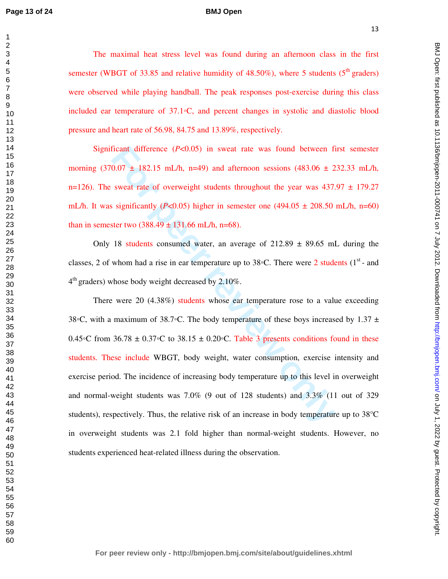### **BMJ Open**

The maximal heat stress level was found during an afternoon class in the first semester (WBGT of 33.85 and relative humidity of  $48.50\%$ ), where 5 students ( $5<sup>th</sup>$  graders) were observed while playing handball. The peak responses post-exercise during this class included ear temperature of 37.1◦C, and percent changes in systolic and diastolic blood pressure and heart rate of 56.98, 84.75 and 13.89%, respectively.

Significant difference  $(P<0.05)$  in sweat rate was found between first semester morning  $(370.07 \pm 182.15 \text{ mL/h}, \text{ n=49})$  and afternoon sessions  $(483.06 \pm 232.33 \text{ mL/h},$ n=126). The sweat rate of overweight students throughout the year was  $437.97 \pm 179.27$ mL/h. It was significantly ( $P<0.05$ ) higher in semester one ( $494.05 \pm 208.50$  mL/h, n=60) than in semester two  $(388.49 \pm 131.66 \text{ mL/h}, \text{n=68})$ .

Only 18 students consumed water, an average of  $212.89 \pm 89.65$  mL during the classes, 2 of whom had a rise in ear temperature up to 38 °C. There were 2 students ( $1<sup>st</sup>$  - and 4<sup>th</sup> graders) whose body weight decreased by 2.10%.

Ficant difference (*P*<0.05) in sweat rate was found between fi<br>
0.07 ± 182.15 mL/h, n=49) and afternoon sessions (483.06 ± 2<br>
sweat rate of overweight students throughout the year was 437.<br>
significantly (*P*<0.05) highe There were 20 (4.38%) students whose ear temperature rose to a value exceeding 38◦C, with a maximum of 38.7◦C. The body temperature of these boys increased by 1.37  $\pm$ 0.45◦C from 36.78  $\pm$  0.37◦C to 38.15  $\pm$  0.20◦C. Table 3 presents conditions found in these students. These include WBGT, body weight, water consumption, exercise intensity and exercise period. The incidence of increasing body temperature up to this level in overweight and normal-weight students was 7.0% (9 out of 128 students) and 3.3% (11 out of 329 students), respectively. Thus, the relative risk of an increase in body temperature up to 38°C in overweight students was 2.1 fold higher than normal-weight students. However, no students experienced heat-related illness during the observation.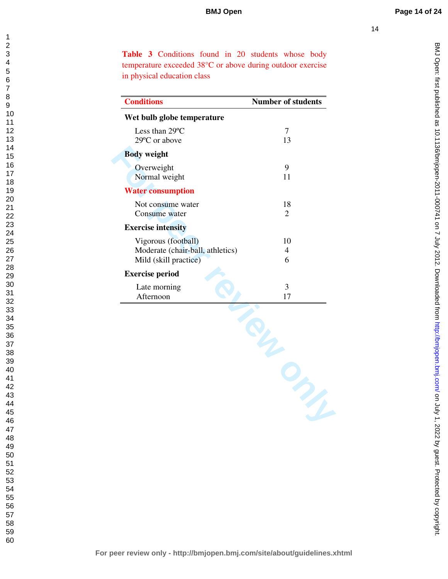BMJ Open: first published as 10.1136/bmjopen-2011-000741 on 7 July 2012. Downloaded from http://bmjopen.bmj.com/ on July 1, 2022 by guest. Protected by copyright on July 1, 2022 by guest. Protected by copyright. <http://bmjopen.bmj.com/> BMJ Open: first published as 10.1136/bmjopen-2011-000741 on 7 July 2012. Downloaded from

Table 3 Conditions found in 20 students whose body temperature exceeded 38°C or above during outdoor exercise in physical education class

| <b>Conditions</b>                                                                | <b>Number of students</b> |
|----------------------------------------------------------------------------------|---------------------------|
| Wet bulb globe temperature                                                       |                           |
| Less than 29°C<br>29°C or above                                                  | 7<br>13                   |
| <b>Body</b> weight                                                               |                           |
| Overweight<br>Normal weight                                                      | 9<br>11                   |
| <b>Water consumption</b>                                                         |                           |
| Not consume water<br>Consume water                                               | 18<br>$\overline{2}$      |
| <b>Exercise intensity</b>                                                        |                           |
| Vigorous (football)<br>Moderate (chair-ball, athletics)<br>Mild (skill practice) | 10<br>$\overline{4}$<br>6 |
| <b>Exercise period</b>                                                           |                           |
| Late morning<br>Afternoon                                                        | 3<br>17                   |
|                                                                                  |                           |
|                                                                                  |                           |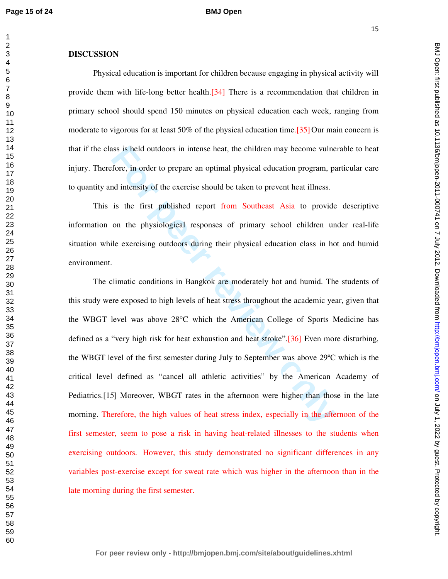## **BMJ Open**

### **DISCUSSION**

 Physical education is important for children because engaging in physical activity will provide them with life-long better health.[34] There is a recommendation that children in primary school should spend 150 minutes on physical education each week, ranging from moderate to vigorous for at least  $50\%$  of the physical education time. [35] Our main concern is that if the class is held outdoors in intense heat, the children may become vulnerable to heat injury. Therefore, in order to prepare an optimal physical education program, particular care to quantity and intensity of the exercise should be taken to prevent heat illness.

This is the first published report from Southeast Asia to provide descriptive information on the physiological responses of primary school children under real-life situation while exercising outdoors during their physical education class in hot and humid environment.

ass is held outdoors in intense heat, the children may become vulne<br>fore, in order to prepare an optimal physical education program, pa<br>d intensity of the exercise should be taken to prevent heat illness.<br>is the first publ The climatic conditions in Bangkok are moderately hot and humid. The students of this study were exposed to high levels of heat stress throughout the academic year, given that the WBGT level was above 28°C which the American College of Sports Medicine has defined as a "very high risk for heat exhaustion and heat stroke".[36] Even more disturbing, the WBGT level of the first semester during July to September was above 29ºC which is the critical level defined as "cancel all athletic activities" by the American Academy of Pediatrics.[15] Moreover, WBGT rates in the afternoon were higher than those in the late morning. Therefore, the high values of heat stress index, especially in the afternoon of the first semester, seem to pose a risk in having heat-related illnesses to the students when exercising outdoors. However, this study demonstrated no significant differences in any variables post-exercise except for sweat rate which was higher in the afternoon than in the late morning during the first semester.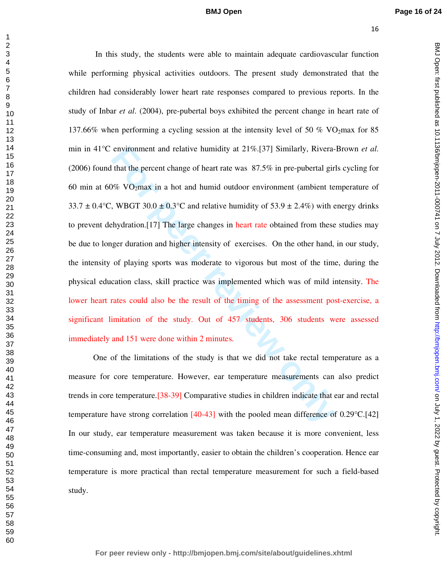BMJ Open: first published as 10.1136/bmijopen-2011-000741 on 7 July 2012. Downloaded from http://bmjopen.bmj.com/ on July 1, 2022 by guest. Protected by copyright on July 1, 2022 by guest. Protected by copyright. <http://bmjopen.bmj.com/> BMJ Open: first published as 10.1136/bmjopen-2011-000741 on 7 July 2012. Downloaded from

environment and relative humidity at 21%.[37] Similarly, Rivera-<br>that the percent change of heart rate was 87.5% in pre-pubertal girl<br>%  $VO_2max$  in a hot and humid outdoor environment (ambient te:<br>wBGT 30.0 ± 0.3°C and rela In this study, the students were able to maintain adequate cardiovascular function while performing physical activities outdoors. The present study demonstrated that the children had considerably lower heart rate responses compared to previous reports. In the study of Inbar *et al*. (2004), pre-pubertal boys exhibited the percent change in heart rate of 137.66% when performing a cycling session at the intensity level of 50 % VO<sub>2</sub>max for 85 min in 41°C environment and relative humidity at 21%.[37] Similarly, Rivera-Brown *et al*. (2006) found that the percent change of heart rate was 87.5% in pre-pubertal girls cycling for 60 min at 60% VO2max in a hot and humid outdoor environment (ambient temperature of  $33.7 \pm 0.4$ °C, WBGT  $30.0 \pm 0.3$ °C and relative humidity of  $53.9 \pm 2.4\%$ ) with energy drinks to prevent dehydration.[17] The large changes in heart rate obtained from these studies may be due to longer duration and higher intensity of exercises. On the other hand, in our study, the intensity of playing sports was moderate to vigorous but most of the time, during the physical education class, skill practice was implemented which was of mild intensity. The lower heart rates could also be the result of the timing of the assessment post-exercise, a significant limitation of the study. Out of 457 students, 306 students were assessed immediately and 151 were done within 2 minutes. One of the limitations of the study is that we did not take rectal temperature as a measure for core temperature. However, ear temperature measurements can also predict trends in core temperature.[38-39] Comparative studies in children indicate that ear and rectal temperature have strong correlation [40-43] with the pooled mean difference of 0.29°C.[42]

In our study, ear temperature measurement was taken because it is more convenient, less time-consuming and, most importantly, easier to obtain the children's cooperation. Hence ear temperature is more practical than rectal temperature measurement for such a field-based study.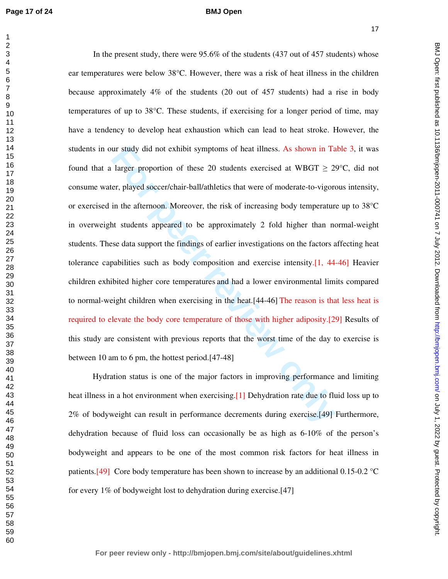#### **BMJ Open**

BMJ Open: first published as 10.1136/bmijopen-2011-000741 on 7 July 2012. Downloaded from http://bmjopen.bmj.com/ on July 1, 2022 by guest. Protected by copyright on July 1, 2022 by guest. Protected by copyright. <http://bmjopen.bmj.com/> BMJ Open: first published as 10.1136/bmjopen-2011-000741 on 7 July 2012. Downloaded from

our study did not exhibit symptoms of heat illness. As shown in Ta<br>larger proportion of these 20 students exercised at WBGT  $\geq$  2<sup>t</sup><br>er, played soccer/chair-ball/athletics that were of moderate-to-vigore<br>in the aftermoo In the present study, there were 95.6% of the students (437 out of 457 students) whose ear temperatures were below 38°C. However, there was a risk of heat illness in the children because approximately 4% of the students (20 out of 457 students) had a rise in body temperatures of up to 38°C. These students, if exercising for a longer period of time, may have a tendency to develop heat exhaustion which can lead to heat stroke. However, the students in our study did not exhibit symptoms of heat illness. As shown in Table 3, it was found that a larger proportion of these 20 students exercised at WBGT  $\geq 29^{\circ}$ C, did not consume water, played soccer/chair-ball/athletics that were of moderate-to-vigorous intensity, or exercised in the afternoon. Moreover, the risk of increasing body temperature up to 38°C in overweight students appeared to be approximately 2 fold higher than normal-weight students. These data support the findings of earlier investigations on the factors affecting heat tolerance capabilities such as body composition and exercise intensity.[1, 44-46] Heavier children exhibited higher core temperatures and had a lower environmental limits compared to normal-weight children when exercising in the heat.[44-46] The reason is that less heat is required to elevate the body core temperature of those with higher adiposity.[29] Results of this study are consistent with previous reports that the worst time of the day to exercise is between 10 am to 6 pm, the hottest period.[47-48]

 Hydration status is one of the major factors in improving performance and limiting heat illness in a hot environment when exercising.[1] Dehydration rate due to fluid loss up to 2% of bodyweight can result in performance decrements during exercise.[49] Furthermore, dehydration because of fluid loss can occasionally be as high as 6-10% of the person's bodyweight and appears to be one of the most common risk factors for heat illness in patients.[49] Core body temperature has been shown to increase by an additional 0.15-0.2 °C for every 1% of bodyweight lost to dehydration during exercise.[47]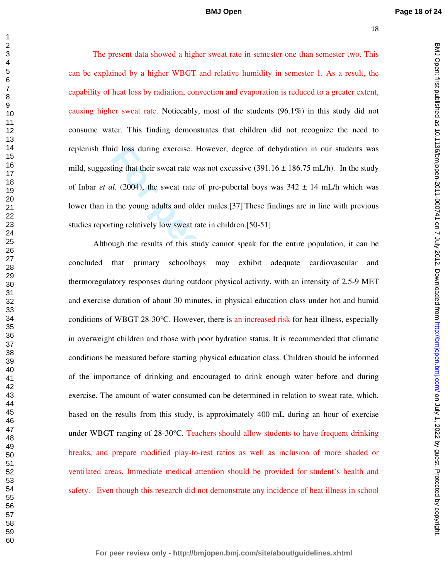BMJ Open: first published as 10.1136/bmjopen-2011-000741 on 7 July 2012. Downloaded from http://bmjopen.bmj.com/ on July 1, 2022 by guest. Protected by copyright on July 1, 2022 by guest. Protected by copyright. <http://bmjopen.bmj.com/> BMJ Open: first published as 10.1136/bmjopen-2011-000741 on 7 July 2012. Downloaded from

The present data showed a higher sweat rate in semester one than semester two. This can be explained by a higher WBGT and relative humidity in semester 1. As a result, the capability of heat loss by radiation, convection and evaporation is reduced to a greater extent, causing higher sweat rate. Noticeably, most of the students (96.1%) in this study did not consume water. This finding demonstrates that children did not recognize the need to replenish fluid loss during exercise. However, degree of dehydration in our students was mild, suggesting that their sweat rate was not excessive  $(391.16 \pm 186.75 \text{ mL/h})$ . In the study of Inbar *et al.* (2004), the sweat rate of pre-pubertal boys was  $342 \pm 14$  mL/h which was lower than in the young adults and older males.[37] These findings are in line with previous studies reporting relatively low sweat rate in children.[50-51]

id loss during exercise. However, degree of dehydration in our sting that their sweat rate was not excessive (391.16  $\pm$  186.75 mL/h).<br> *I.* (2004), the sweat rate of pre-pubertal boys was  $342 \pm 14$  mL/h and the young a Although the results of this study cannot speak for the entire population, it can be concluded that primary schoolboys may exhibit adequate cardiovascular and thermoregulatory responses during outdoor physical activity, with an intensity of 2.5-9 MET and exercise duration of about 30 minutes, in physical education class under hot and humid conditions of WBGT 28-30 $^{\circ}$ C. However, there is an increased risk for heat illness, especially in overweight children and those with poor hydration status. It is recommended that climatic conditions be measured before starting physical education class. Children should be informed of the importance of drinking and encouraged to drink enough water before and during exercise. The amount of water consumed can be determined in relation to sweat rate, which, based on the results from this study, is approximately 400 mL during an hour of exercise under WBGT ranging of 28-30°C. Teachers should allow students to have frequent drinking breaks, and prepare modified play-to-rest ratios as well as inclusion of more shaded or ventilated areas. Immediate medical attention should be provided for student's health and safety. Even though this research did not demonstrate any incidence of heat illness in school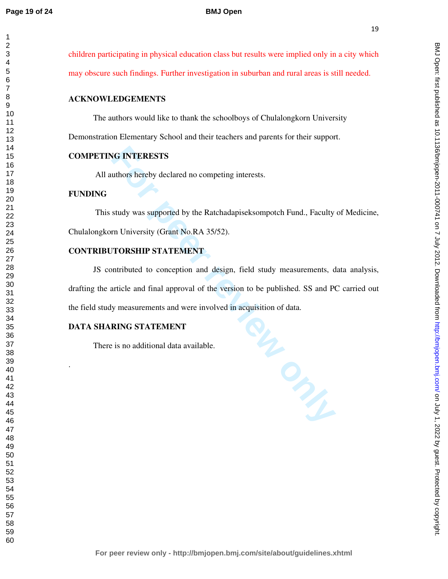## **BMJ Open**

 children participating in physical education class but results were implied only in a city which may obscure such findings. Further investigation in suburban and rural areas is still needed. **ACKNOWLEDGEMENTS**  The authors would like to thank the schoolboys of Chulalongkorn University Demonstration Elementary School and their teachers and parents for their support. **COMPETING INTERESTS**  All authors hereby declared no competing interests. **FUNDING**  This study was supported by the Ratchadapiseksompotch Fund., Faculty of Medicine, Chulalongkorn University (Grant No.RA 35/52). **CONTRIBUTORSHIP STATEMENT**  JS contributed to conception and design, field study measurements, data analysis, drafting the article and final approval of the version to be published. SS and PC carried out the field study measurements and were involved in acquisition of data. **DATA SHARING STATEMENT**  There is no additional data available. .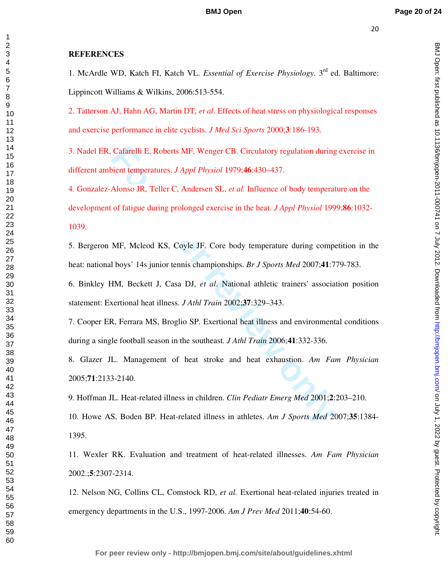# **REFERENCES**

1. McArdle WD, Katch FI, Katch VL. *Essential of Exercise Physiology.* 3rd ed. Baltimore: Lippincott Williams & Wilkins, 2006:513-554.

2. Tatterson AJ, Hahn AG, Martin DT, *et al*. Effects of heat stress on physiological responses and exercise performance in elite cyclists. *J Med Sci Sports* 2000;**3**:186-193.

3. Nadel ER, Cafarelli E, Roberts MF, Wenger CB. Circulatory regulation during exercise in different ambient temperatures. *J Appl Physiol* 1979;**46**:430–437.

Cafarelli E, Roberts MF, Wenger CB. Circulatory regulation during<br>
vient temperatures. *J Appl Physiol* 1979;46:430–437.<br>
Alonso JR, Teller C, Andersen SL, *et al.* Influence of body temperat<br>
of fatigue during prolonged e 4. Gonzalez-Alonso JR, Teller C, Andersen SL, *et al.* Influence of body temperature on the development of fatigue during prolonged exercise in the heat. *J Appl Physiol* 1999;**86**:1032- 1039.

5. Bergeron MF, Mcleod KS, Coyle JF. Core body temperature during competition in the heat: national boys' 14s junior tennis championships. *Br J Sports Med* 2007;**41**:779-783.

6. Binkley HM, Beckett J, Casa DJ, *et al*. National athletic trainers' association position statement: Exertional heat illness. *J Athl Train* 2002;**37**:329–343.

7. Cooper ER, Ferrara MS, Broglio SP. Exertional heat illness and environmental conditions during a single football season in the southeast*. J Athl Train* 2006;**41**:332-336.

8. Glazer JL. Management of heat stroke and heat exhaustion. *Am Fam Physician* 2005;**71**:2133-2140.

9. Hoffman JL. Heat-related illness in children. *Clin Pediatr Emerg Med* 2001;**2**:203–210.

10. Howe AS, Boden BP. Heat-related illness in athletes. *Am J Sports Med* 2007;**35**:1384- 1395.

11. Wexler RK. Evaluation and treatment of heat-related illnesses. *Am Fam Physician* 2002.;**5**:2307-2314.

12. Nelson NG, Collins CL, Comstock RD, *et al.* Exertional heat-related injuries treated in emergency departments in the U.S., 1997-2006. *Am J Prev Med* 2011;**40**:54-60.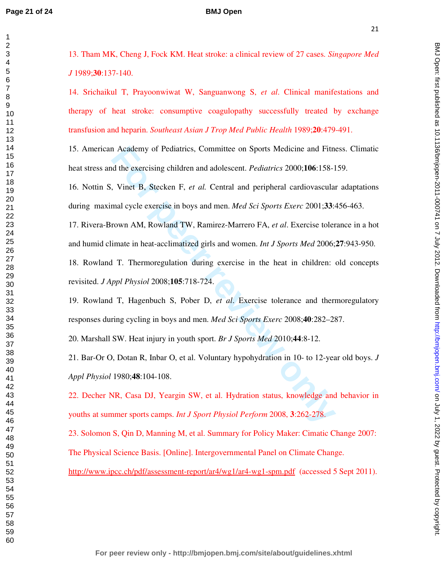### **BMJ Open**

13. Tham MK, Cheng J, Fock KM. Heat stroke: a clinical review of 27 cases. *Singapore Med J* 1989;**30**:137-140.

14. Srichaikul T, Prayoonwiwat W, Sanguanwong S, *et al*. Clinical manifestations and therapy of heat stroke: consumptive coagulopathy successfully treated by exchange transfusion and heparin. *Southeast Asian J Trop Med Public Health* 1989;**20**:479-491.

15. American Academy of Pediatrics, Committee on Sports Medicine and Fitness. Climatic heat stress and the exercising children and adolescent. *Pediatrics* 2000;**106**:158-159.

16. Nottin S, Vinet B, Stecken F, *et al.* Central and peripheral cardiovascular adaptations during maximal cycle exercise in boys and men. *Med Sci Sports Exerc* 2001;**33**:456-463.

17. Rivera-Brown AM, Rowland TW, Ramirez-Marrero FA, *et al*. Exercise tolerance in a hot and humid climate in heat-acclimatized girls and women. *Int J Sports Med* 2006;**27**:943-950.

n Academy of Pediatrics, Committee on Sports Medicine and Fitnd<br>
Id the exercising children and adolescent. *Pediatrics* 2000;106:158-1<br>
7. Vinet B, Stecken F, *et al.* Central and peripheral cardiovascular<br>
mal cycle exer 18. Rowland T. Thermoregulation during exercise in the heat in children: old concepts revisited. *J Appl Physiol* 2008;**105**:718-724.

19. Rowland T, Hagenbuch S, Pober D, *et al*. Exercise tolerance and thermoregulatory responses during cycling in boys and men. *Med Sci Sports Exerc* 2008;**40**:282–287.

20. Marshall SW. Heat injury in youth sport. *Br J Sports Med* 2010;**44**:8-12.

21. Bar-Or O, Dotan R, Inbar O, et al. Voluntary hypohydration in 10- to 12-year old boys. *J Appl Physiol* 1980;**48**:104-108.

22. Decher NR, Casa DJ, Yeargin SW, et al. Hydration status, knowledge and behavior in youths at summer sports camps. *Int J Sport Physiol Perform* 2008, **3**:262-278.

23. Solomon S, Qin D, Manning M, et al. Summary for Policy Maker: Cimatic Change 2007:

The Physical Science Basis. [Online]. Intergovernmental Panel on Climate Change.

http://www.ipcc.ch/pdf/assessment-report/ar4/wg1/ar4-wg1-spm.pdf (accessed 5 Sept 2011).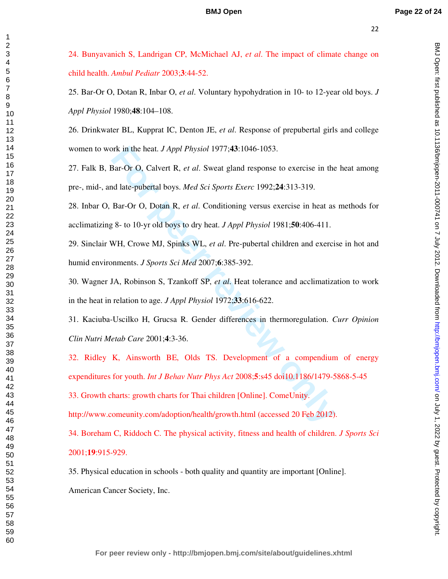24. Bunyavanich S, Landrigan CP, McMichael AJ, *et al*. The impact of climate change on child health. *Ambul Pediatr* 2003;**3**:44-52.

25. Bar-Or O, Dotan R, Inbar O, *et al*. Voluntary hypohydration in 10- to 12-year old boys. *J Appl Physiol* 1980;**48**:104–108.

26. Drinkwater BL, Kupprat IC, Denton JE, *et al*. Response of prepubertal girls and college women to work in the heat. *J Appl Physiol* 1977;**43**:1046-1053.

brk in the heat. *J Appl Physiol* 1977;43:1046-1053.<br>
Bar-Or O, Calvert R, *et al.* Sweat gland response to exercise in the dlate-pubertal boys. *Med Sci Sports Exerc* 1992;24:313-319.<br>
Bar-Or O, Dotan R, *et al.* Conditio 27. Falk B, Bar-Or O, Calvert R, *et al*. Sweat gland response to exercise in the heat among pre-, mid-, and late-pubertal boys. *Med Sci Sports Exerc* 1992;**24**:313-319.

28. Inbar O, Bar-Or O, Dotan R, *et al*. Conditioning versus exercise in heat as methods for acclimatizing 8- to 10-yr old boys to dry heat. *J Appl Physiol* 1981;**50**:406-411.

29. Sinclair WH, Crowe MJ, Spinks WL, *et al*. Pre-pubertal children and exercise in hot and humid environments. *J Sports Sci Med* 2007;**6**:385-392.

30. Wagner JA, Robinson S, Tzankoff SP, *et al*. Heat tolerance and acclimatization to work in the heat in relation to age. *J Appl Physiol* 1972;**33**:616-622.

31. Kaciuba-Uscilko H, Grucsa R. Gender differences in thermoregulation. *Curr Opinion Clin Nutri Metab Care* 2001;**4**:3-36.

32. Ridley K, Ainsworth BE, Olds TS. Development of a compendium of energy expenditures for youth. *Int J Behav Nutr Phys Act* 2008;**5**:s45 doi10.1186/1479-5868-5-45

33. Growth charts: growth charts for Thai children [Online]. ComeUnity.

http://www.comeunity.com/adoption/health/growth.html (accessed 20 Feb 2012).

34. Boreham C, Riddoch C. The physical activity, fitness and health of children. *J Sports Sci* 2001;**19**:915-929.

35. Physical education in schools - both quality and quantity are important [Online]. American Cancer Society, Inc.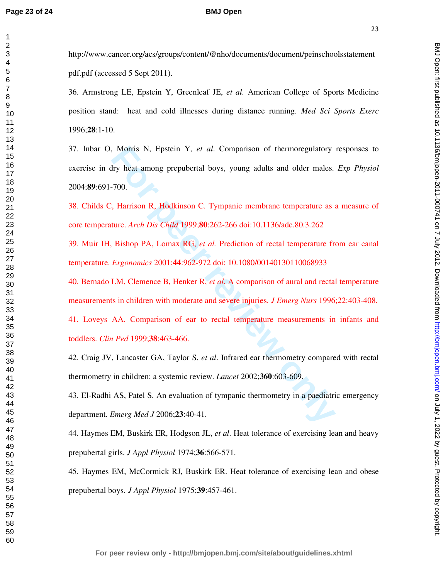#### **BMJ Open**

http://www.cancer.org/acs/groups/content/@nho/documents/document/peinschoolsstatement pdf.pdf (accessed 5 Sept 2011).

36. Armstrong LE, Epstein Y, Greenleaf JE, *et al.* American College of Sports Medicine position stand: heat and cold illnesses during distance running. *Med Sci Sports Exerc* 1996;**28**:1-10.

Morris N, Epstein Y, *et al.* Comparison of thermoregulatory<br>Iry heat among prepubertal boys, young adults and older males.<br>700.<br>F, Harrison R, Hodkinson C. Tympanic membrane temperature as ture. Arch Dis Child 1999;80:262 37. Inbar O, Morris N, Epstein Y, *et al*. Comparison of thermoregulatory responses to exercise in dry heat among prepubertal boys, young adults and older males. *Exp Physiol* 2004;**89**:691-700.

38. Childs C, Harrison R, Hodkinson C. Tympanic membrane temperature as a measure of core temperature. *Arch Dis Child* 1999;**80**:262-266 doi:10.1136/adc.80.3.262

39. Muir IH, Bishop PA, Lomax RG, *et al.* Prediction of rectal temperature from ear canal temperature. *Ergonomics* 2001;**44**:962-972 doi: 10.1080/00140130110068933

40. Bernado LM, Clemence B, Henker R, *et al.* A comparison of aural and rectal temperature measurements in children with moderate and severe injuries. *J Emerg Nurs* 1996;22:403-408.

41. Loveys AA. Comparison of ear to rectal temperature measurements in infants and toddlers. *Clin Ped* 1999;**38**:463-466.

42. Craig JV, Lancaster GA, Taylor S, *et al*. Infrared ear thermometry compared with rectal thermometry in children: a systemic review. *Lancet* 2002;**360**:603-609.

43. El-Radhi AS, Patel S. An evaluation of tympanic thermometry in a paediatric emergency department. *Emerg Med J* 2006;**23**:40-41.

44. Haymes EM, Buskirk ER, Hodgson JL, *et al*. Heat tolerance of exercising lean and heavy prepubertal girls. *J Appl Physiol* 1974;**36**:566-571.

45. Haymes EM, McCormick RJ, Buskirk ER. Heat tolerance of exercising lean and obese prepubertal boys. *J Appl Physiol* 1975;**39**:457-461.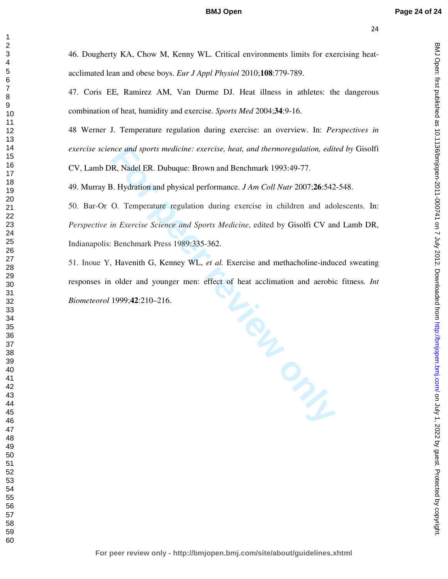BMJ Open: first published as 10.1136/bmjopen-2011-000741 on 7 July 2012. Downloaded from http://bmjopen.bmj.com/ on July 1, 2022 by guest. Protected by copyright on July 1, 2022 by guest. Protected by copyright. <http://bmjopen.bmj.com/> BMJ Open: first published as 10.1136/bmjopen-2011-000741 on 7 July 2012. Downloaded from

46. Dougherty KA, Chow M, Kenny WL. Critical environments limits for exercising heatacclimated lean and obese boys. *Eur J Appl Physiol* 2010;**108**:779-789.

47. Coris EE, Ramirez AM, Van Durme DJ. Heat illness in athletes: the dangerous combination of heat, humidity and exercise. *Sports Med* 2004;**34**:9-16.

48 Werner J. Temperature regulation during exercise: an overview. In: *Perspectives in exercise science and sports medicine: exercise, heat, and thermoregulation, edited by* Gisolfi

CV, Lamb DR, Nadel ER. Dubuque: Brown and Benchmark 1993:49-77.

49. Murray B. Hydration and physical performance. *J Am Coll Nutr* 2007;**26**:542-548.

50. Bar-Or O. Temperature regulation during exercise in children and adolescents. In: *Perspective in Exercise Science and Sports Medicine*, edited by Gisolfi CV and Lamb DR, Indianapolis: Benchmark Press 1989:335-362.

**Figure 11 PM** 51. Inoue Y, Havenith G, Kenney WL, *et al.* Exercise and methacholine-induced sweating responses in older and younger men: effect of heat acclimation and aerobic fitness. *Int Biometeorol* 1999;**42**:210–216.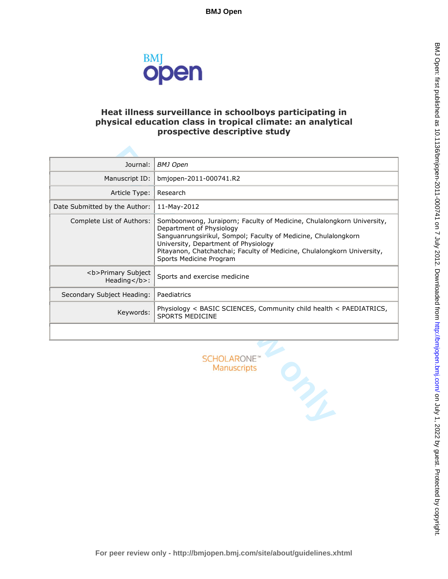

# **Heat illness surveillance in schoolboys participating in physical education class in tropical climate: an analytical prospective descriptive study**

| Journal:                             | <b>BMJ</b> Open                                                                                                                                                                                                                                                                                                    |
|--------------------------------------|--------------------------------------------------------------------------------------------------------------------------------------------------------------------------------------------------------------------------------------------------------------------------------------------------------------------|
| Manuscript ID:                       | bmjopen-2011-000741.R2                                                                                                                                                                                                                                                                                             |
| Article Type:                        | Research                                                                                                                                                                                                                                                                                                           |
| Date Submitted by the Author:        | 11-May-2012                                                                                                                                                                                                                                                                                                        |
| Complete List of Authors:            | Somboonwong, Juraiporn; Faculty of Medicine, Chulalongkorn University,<br>Department of Physiology<br>Sanguanrungsirikul, Sompol; Faculty of Medicine, Chulalongkorn<br>University, Department of Physiology<br>Pitayanon, Chatchatchai; Faculty of Medicine, Chulalongkorn University,<br>Sports Medicine Program |
| <b>Primary Subject<br/>Heading</b> : | Sports and exercise medicine                                                                                                                                                                                                                                                                                       |
| Secondary Subject Heading:           | Paediatrics                                                                                                                                                                                                                                                                                                        |
| Keywords:                            | Physiology < BASIC SCIENCES, Community child health < PAEDIATRICS,<br>SPORTS MEDICINE                                                                                                                                                                                                                              |
|                                      |                                                                                                                                                                                                                                                                                                                    |
|                                      | <b>SCHOLARONE</b><br>Manuscripts<br>MA                                                                                                                                                                                                                                                                             |

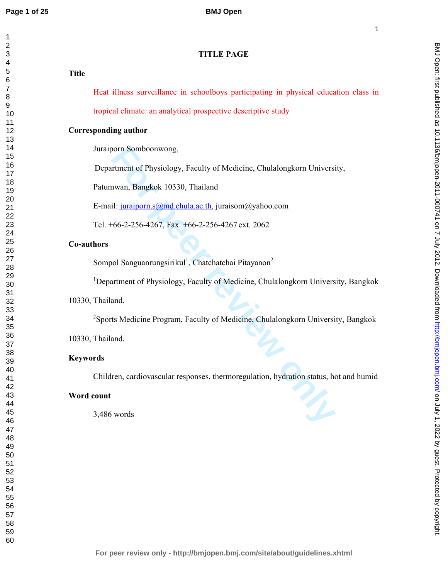| <b>Title</b>    |                                                                                               |
|-----------------|-----------------------------------------------------------------------------------------------|
|                 | Heat illness surveillance in schoolboys participating in physical education class in          |
|                 | tropical climate: an analytical prospective descriptive study                                 |
|                 | <b>Corresponding author</b>                                                                   |
|                 | Juraiporn Somboonwong,                                                                        |
|                 | Department of Physiology, Faculty of Medicine, Chulalongkorn University,                      |
|                 | Patumwan, Bangkok 10330, Thailand                                                             |
|                 | E-mail: juraiporn.s@md.chula.ac.th, juraisom@yahoo.com                                        |
|                 | Tel. +66-2-256-4267, Fax. +66-2-256-4267 ext. 2062                                            |
|                 | Co-authors                                                                                    |
|                 | Sompol Sanguanrungsirikul <sup>1</sup> , Chatchatchai Pitayanon <sup>2</sup>                  |
|                 | <sup>1</sup> Department of Physiology, Faculty of Medicine, Chulalongkorn University, Bangkok |
|                 | 10330, Thailand.                                                                              |
|                 | <sup>2</sup> Sports Medicine Program, Faculty of Medicine, Chulalongkorn University, Bangkok  |
|                 | 10330, Thailand.                                                                              |
| <b>Keywords</b> |                                                                                               |
|                 | Children, cardiovascular responses, thermoregulation, hydration status, hot and humid         |
|                 | Word count                                                                                    |
|                 | 3,486 words                                                                                   |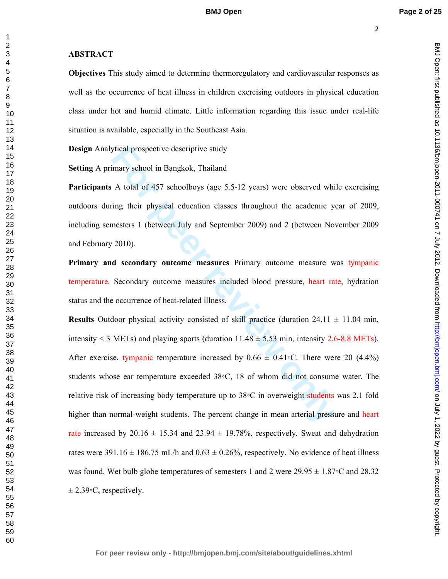BMJ Open: first published as 10.1136/bmijopen-2011-000741 on 7 July 2012. Downloaded from http://bmjopen.bmj.com/ on July 1, 2022 by guest. Protected by copyright on July 1, 2022 by guest. Protected by copyright. <http://bmjopen.bmj.com/> BMJ Open: first published as 10.1136/bmjopen-2011-000741 on 7 July 2012. Downloaded from

**ABSTRACT** 

**Objectives** This study aimed to determine thermoregulatory and cardiovascular responses as well as the occurrence of heat illness in children exercising outdoors in physical education class under hot and humid climate. Little information regarding this issue under real-life situation is available, especially in the Southeast Asia.

**Design** Analytical prospective descriptive study

**Setting** A primary school in Bangkok, Thailand

**Participants** A total of 457 schoolboys (age 5.5-12 years) were observed while exercising outdoors during their physical education classes throughout the academic year of 2009, including semesters 1 (between July and September 2009) and 2 (between November 2009 and February 2010).

**Primary and secondary outcome measures** Primary outcome measure was tympanic temperature. Secondary outcome measures included blood pressure, heart rate, hydration status and the occurrence of heat-related illness.

grical prospective descriptive study<br>
imary school in Bangkok, Thailand<br>
A total of 457 schoolboys (age 5.5-12 years) were observed whi<br>
ing their physical education classes throughout the academic year<br>
resters 1 (betwee **Results** Outdoor physical activity consisted of skill practice (duration  $24.11 \pm 11.04$  min, intensity < 3 METs) and playing sports (duration  $11.48 \pm 5.53$  min, intensity 2.6-8.8 METs). After exercise, tympanic temperature increased by  $0.66 \pm 0.41$ <sup>o</sup>C. There were 20 (4.4%) students whose ear temperature exceeded 38◦C, 18 of whom did not consume water. The relative risk of increasing body temperature up to 38◦C in overweight students was 2.1 fold higher than normal-weight students. The percent change in mean arterial pressure and heart rate increased by 20.16  $\pm$  15.34 and 23.94  $\pm$  19.78%, respectively. Sweat and dehydration rates were 391.16  $\pm$  186.75 mL/h and 0.63  $\pm$  0.26%, respectively. No evidence of heat illness was found. Wet bulb globe temperatures of semesters 1 and 2 were  $29.95 \pm 1.87$ <sup>o</sup>C and 28.32  $± 2.39°C$ , respectively.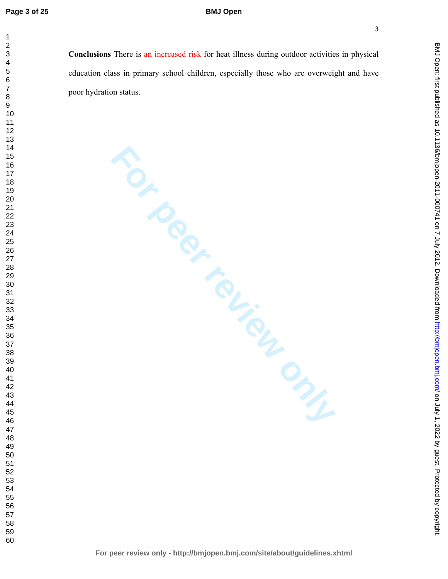## **BMJ Open**

**Conclusions** There is an increased risk for heat illness during outdoor activities in physical education class in primary school children, especially those who are overweight and have poor hydration status.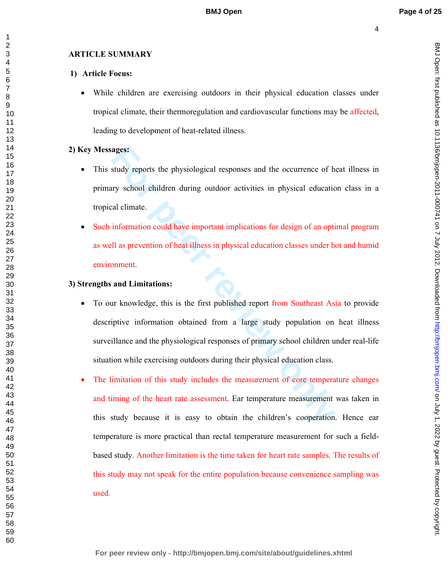# **ARTICLE SUMMARY**

# **1) Article Focus:**

While children are exercising outdoors in their physical education classes under tropical climate, their thermoregulation and cardiovascular functions may be affected, leading to development of heat-related illness.

# **2) Key Messages:**

- This study reports the physiological responses and the occurrence of heat illness in primary school children during outdoor activities in physical education class in a tropical climate.
- Such information could have important implications for design of an optimal program as well as prevention of heat illness in physical education classes under hot and humid environment.

# **3) Strengths and Limitations:**

- **Example 18 and Solution** standard the occurrence of hard standard standard standard standard standard standard cal climate.<br> **Example 19 and Solution** standard in the information could have important implications for desi • To our knowledge, this is the first published report from Southeast Asia to provide descriptive information obtained from a large study population on heat illness surveillance and the physiological responses of primary school children under real-life situation while exercising outdoors during their physical education class.
- The limitation of this study includes the measurement of core temperature changes and timing of the heart rate assessment. Ear temperature measurement was taken in this study because it is easy to obtain the children's cooperation. Hence ear temperature is more practical than rectal temperature measurement for such a fieldbased study. Another limitation is the time taken for heart rate samples. The results of this study may not speak for the entire population because convenience sampling was used.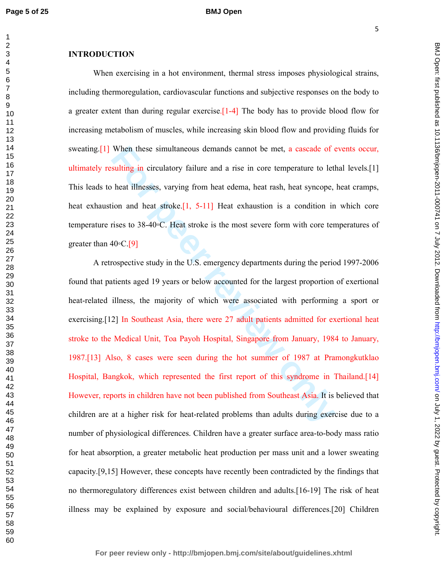### **BMJ Open**

## **INTRODUCTION**

When exercising in a hot environment, thermal stress imposes physiological strains, including thermoregulation, cardiovascular functions and subjective responses on the body to a greater extent than during regular exercise.[1-4] The body has to provide blood flow for increasing metabolism of muscles, while increasing skin blood flow and providing fluids for sweating.[1] When these simultaneous demands cannot be met, a cascade of events occur, ultimately resulting in circulatory failure and a rise in core temperature to lethal levels.[1] This leads to heat illnesses, varying from heat edema, heat rash, heat syncope, heat cramps, heat exhaustion and heat stroke.<sup>[1, 5-11]</sup> Heat exhaustion is a condition in which core temperature rises to 38-40◦C. Heat stroke is the most severe form with core temperatures of greater than  $40 \circ C$  [9]

When these simultaneous demands cannot be met, a cascade of esulting in circulatory failure and a rise in core temperature to let heat illnesses, varying from heat edema, heat rash, heat syncope, ion and heat stroke.[1, 5-A retrospective study in the U.S. emergency departments during the period 1997-2006 found that patients aged 19 years or below accounted for the largest proportion of exertional heat-related illness, the majority of which were associated with performing a sport or exercising.[12] In Southeast Asia, there were 27 adult patients admitted for exertional heat stroke to the Medical Unit, Toa Payoh Hospital, Singapore from January, 1984 to January, 1987.[13] Also, 8 cases were seen during the hot summer of 1987 at Pramongkutklao Hospital, Bangkok, which represented the first report of this syndrome in Thailand.[14] However, reports in children have not been published from Southeast Asia. It is believed that children are at a higher risk for heat-related problems than adults during exercise due to a number of physiological differences. Children have a greater surface area-to-body mass ratio for heat absorption, a greater metabolic heat production per mass unit and a lower sweating capacity.[9,15] However, these concepts have recently been contradicted by the findings that no thermoregulatory differences exist between children and adults.[16-19] The risk of heat illness may be explained by exposure and social/behavioural differences.[20] Children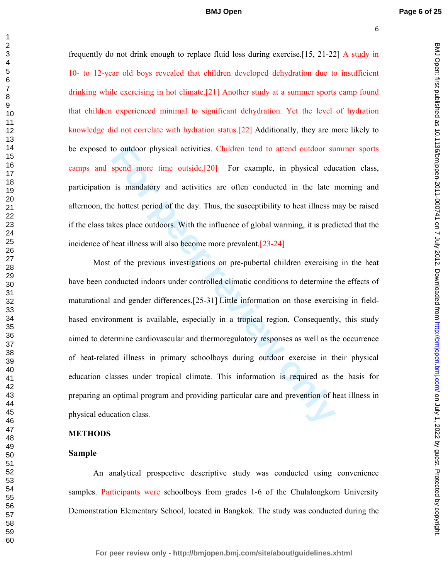BMJ Open: first published as 10.1136/bmjopen-2011-000741 on 7 July 2012. Downloaded from http://bmjopen.bmj.com/ on July 1, 2022 by guest. Protected by copyright on July 1, 2022 by guest. Protected by copyright. <http://bmjopen.bmj.com/> BMJ Open: first published as 10.1136/bmjopen-2011-000741 on 7 July 2012. Downloaded from

frequently do not drink enough to replace fluid loss during exercise.[15, 21-22] A study in 10- to 12-year old boys revealed that children developed dehydration due to insufficient drinking while exercising in hot climate.[21] Another study at a summer sports camp found that children experienced minimal to significant dehydration. Yet the level of hydration knowledge did not correlate with hydration status.[22] Additionally, they are more likely to be exposed to outdoor physical activities. Children tend to attend outdoor summer sports camps and spend more time outside.[20] For example, in physical education class, participation is mandatory and activities are often conducted in the late morning and afternoon, the hottest period of the day. Thus, the susceptibility to heat illness may be raised if the class takes place outdoors. With the influence of global warming, it is predicted that the incidence of heat illness will also become more prevalent.[23-24]

to outdoor physical activities. Children tend to attend outdoor su<br>spend more time outside.[20] For example, in physical edu<br>is mandatory and activities are often conducted in the late r<br>e hottest period of the day. Thus, Most of the previous investigations on pre-pubertal children exercising in the heat have been conducted indoors under controlled climatic conditions to determine the effects of maturational and gender differences.[25-31] Little information on those exercising in fieldbased environment is available, especially in a tropical region. Consequently, this study aimed to determine cardiovascular and thermoregulatory responses as well as the occurrence of heat-related illness in primary schoolboys during outdoor exercise in their physical education classes under tropical climate. This information is required as the basis for preparing an optimal program and providing particular care and prevention of heat illness in physical education class.

## **METHODS**

#### **Sample**

An analytical prospective descriptive study was conducted using convenience samples. Participants were schoolboys from grades 1-6 of the Chulalongkorn University Demonstration Elementary School, located in Bangkok. The study was conducted during the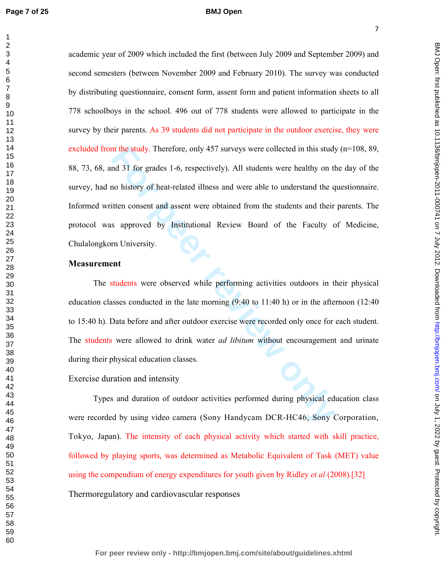#### **BMJ Open**

m the study. Therefore, only 457 surveys were collected in this study<br>and 31 for grades 1-6, respectively). All students were healthy on the onlistory of heat-related illness and were able to understand the q<br>itten consent academic year of 2009 which included the first (between July 2009 and September 2009) and second semesters (between November 2009 and February 2010). The survey was conducted by distributing questionnaire, consent form, assent form and patient information sheets to all 778 schoolboys in the school. 496 out of 778 students were allowed to participate in the survey by their parents. As 39 students did not participate in the outdoor exercise, they were excluded from the study. Therefore, only 457 surveys were collected in this study  $(n=108, 89, ...)$ 88, 73, 68, and 31 for grades 1-6, respectively). All students were healthy on the day of the survey, had no history of heat-related illness and were able to understand the questionnaire. Informed written consent and assent were obtained from the students and their parents. The protocol was approved by Institutional Review Board of the Faculty of Medicine, Chulalongkorn University.

#### **Measurement**

The students were observed while performing activities outdoors in their physical education classes conducted in the late morning (9:40 to 11:40 h) or in the afternoon (12:40 to 15:40 h). Data before and after outdoor exercise were recorded only once for each student. The students were allowed to drink water *ad libitum* without encouragement and urinate during their physical education classes.

Exercise duration and intensity

Types and duration of outdoor activities performed during physical education class were recorded by using video camera (Sony Handycam DCR-HC46, Sony Corporation, Tokyo, Japan). The intensity of each physical activity which started with skill practice, followed by playing sports, was determined as Metabolic Equivalent of Task (MET) value using the compendium of energy expenditures for youth given by Ridley *et al* (2008).[32] Thermoregulatory and cardiovascular responses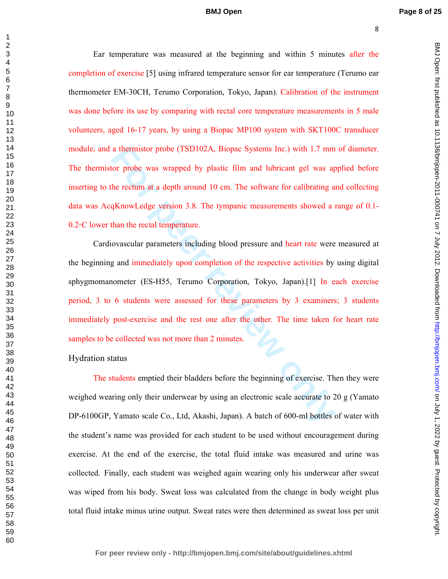BMJ Open: first published as 10.1136/bmijopen-2011-000741 on 7 July 2012. Downloaded from http://bmjopen.bmj.com/ on July 1, 2022 by guest. Protected by copyright on July 1, 2022 by guest. Protected by copyright. <http://bmjopen.bmj.com/> BMJ Open: first published as 10.1136/bmjopen-2011-000741 on 7 July 2012. Downloaded from

Ear temperature was measured at the beginning and within 5 minutes after the completion of exercise [5] using infrared temperature sensor for ear temperature (Terumo ear thermometer EM-30CH, Terumo Corporation, Tokyo, Japan). Calibration of the instrument was done before its use by comparing with rectal core temperature measurements in 5 male volunteers, aged 16-17 years, by using a Biopac MP100 system with SKT100C transducer module, and a thermistor probe (TSD102A, Biopac Systems Inc.) with 1.7 mm of diameter. The thermistor probe was wrapped by plastic film and lubricant gel was applied before inserting to the rectum at a depth around 10 cm. The software for calibrating and collecting data was AcqKnowLedge version 3.8. The tympanic measurements showed a range of 0.1- 0.2 ° C lower than the rectal temperature.

a thermistor probe (TSD102A, Biopac Systems Inc.) with 1.7 mm<br>tor probe was wrapped by plastic film and lubricant gel was ap<br>the rectum at a depth around 10 cm. The software for calibrating a<br>qKnowLedge version 3.8. The ty Cardiovascular parameters including blood pressure and heart rate were measured at the beginning and immediately upon completion of the respective activities by using digital sphygmomanometer (ES-H55, Terumo Corporation, Tokyo, Japan).[1] In each exercise period, 3 to 6 students were assessed for these parameters by 3 examiners; 3 students immediately post-exercise and the rest one after the other. The time taken for heart rate samples to be collected was not more than 2 minutes.

## Hydration status

The students emptied their bladders before the beginning of exercise. Then they were weighed wearing only their underwear by using an electronic scale accurate to 20 g (Yamato DP-6100GP, Yamato scale Co., Ltd, Akashi, Japan). A batch of 600-ml bottles of water with the student's name was provided for each student to be used without encouragement during exercise. At the end of the exercise, the total fluid intake was measured and urine was collected. Finally, each student was weighed again wearing only his underwear after sweat was wiped from his body. Sweat loss was calculated from the change in body weight plus total fluid intake minus urine output. Sweat rates were then determined as sweat loss per unit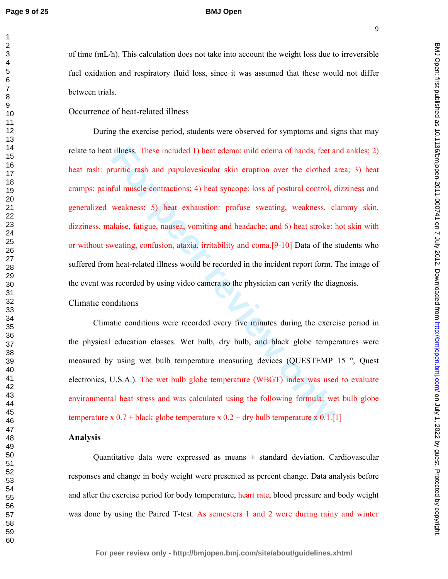## **BMJ Open**

of time (mL/h). This calculation does not take into account the weight loss due to irreversible fuel oxidation and respiratory fluid loss, since it was assumed that these would not differ between trials.

Occurrence of heat-related illness

illness. These included 1) heat edema: mild edema of hands, feet a<br>ruritic rash and papulovesicular skin eruption over the clothed a<br>ful muscle contractions; 4) heat syncope: loss of postural control, c<br>weakness; 5) heat During the exercise period, students were observed for symptoms and signs that may relate to heat illness. These included 1) heat edema: mild edema of hands, feet and ankles; 2) heat rash: pruritic rash and papulovesicular skin eruption over the clothed area; 3) heat cramps: painful muscle contractions; 4) heat syncope: loss of postural control, dizziness and generalized weakness; 5) heat exhaustion: profuse sweating, weakness, clammy skin, dizziness, malaise, fatigue, nausea, vomiting and headache; and 6) heat stroke: hot skin with or without sweating, confusion, ataxia, irritability and coma.[9-10] Data of the students who suffered from heat-related illness would be recorded in the incident report form. The image of the event was recorded by using video camera so the physician can verify the diagnosis.

Climatic conditions

Climatic conditions were recorded every five minutes during the exercise period in the physical education classes. Wet bulb, dry bulb, and black globe temperatures were measured by using wet bulb temperature measuring devices (QUESTEMP 15 °, Quest electronics, U.S.A.). The wet bulb globe temperature (WBGT) index was used to evaluate environmental heat stress and was calculated using the following formula: wet bulb globe temperature x  $0.7 +$  black globe temperature x  $0.2 +$  dry bulb temperature x  $0.1$ .[1]

## **Analysis**

Quantitative data were expressed as means  $\pm$  standard deviation. Cardiovascular responses and change in body weight were presented as percent change. Data analysis before and after the exercise period for body temperature, heart rate, blood pressure and body weight was done by using the Paired T-test. As semesters 1 and 2 were during rainy and winter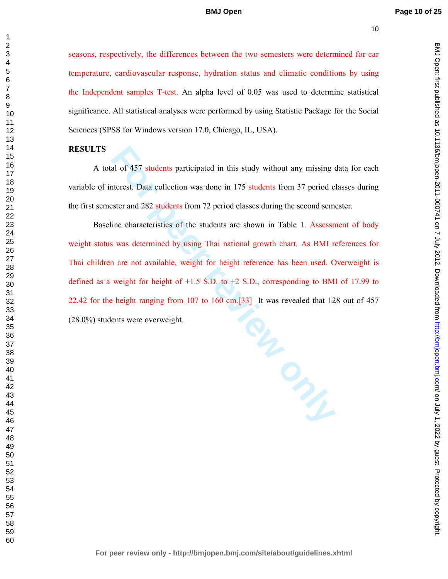seasons, respectively, the differences between the two semesters were determined for ear temperature, cardiovascular response, hydration status and climatic conditions by using the Independent samples T-test. An alpha level of 0.05 was used to determine statistical significance. All statistical analyses were performed by using Statistic Package for the Social Sciences (SPSS for Windows version 17.0, Chicago, IL, USA).

# **RESULTS**

A total of 457 students participated in this study without any missing data for each variable of interest. Data collection was done in 175 students from 37 period classes during the first semester and 282 students from 72 period classes during the second semester.

Baseline characteristics of the students are shown in Table 1. Assessment of body weight status was determined by using Thai national growth chart. As BMI references for Thai children are not available, weight for height reference has been used. Overweight is defined as a weight for height of +1.5 S.D. to +2 S.D., corresponding to BMI of 17.99 to 22.42 for the height ranging from 107 to 160 cm.[33] It was revealed that 128 out of 457 (28.0%) students were overweight.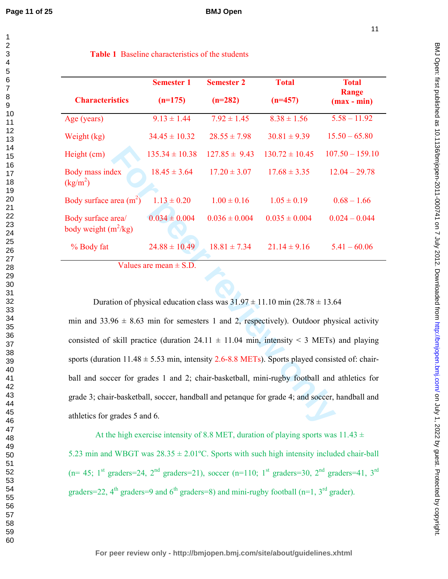BMJ Open: first published as 10.1136/bmijopen-2011-000741 on 7 July 2012. Downloaded from http://bmjopen.bmj.com/ on July 1, 2022 by guest. Protected by copyright on July 1, 2022 by guest. Protected by copyright. <http://bmjopen.bmj.com/> BMJ Open: first published as 10.1136/bmjopen-2011-000741 on 7 July 2012. Downloaded from

| 1                                         |  |
|-------------------------------------------|--|
| $\overline{c}$                            |  |
|                                           |  |
|                                           |  |
| 43456789111234567890122345678901123345678 |  |
|                                           |  |
|                                           |  |
|                                           |  |
|                                           |  |
|                                           |  |
|                                           |  |
|                                           |  |
|                                           |  |
|                                           |  |
|                                           |  |
|                                           |  |
|                                           |  |
|                                           |  |
|                                           |  |
|                                           |  |
|                                           |  |
|                                           |  |
|                                           |  |
|                                           |  |
|                                           |  |
|                                           |  |
|                                           |  |
|                                           |  |
|                                           |  |
|                                           |  |
|                                           |  |
|                                           |  |
|                                           |  |
|                                           |  |
|                                           |  |
|                                           |  |
|                                           |  |
|                                           |  |
|                                           |  |
|                                           |  |
|                                           |  |
|                                           |  |
| 39                                        |  |
| 40                                        |  |
| 41                                        |  |
| 42                                        |  |
| 43                                        |  |
| 44                                        |  |
| 45                                        |  |
|                                           |  |
| 46                                        |  |
| 47                                        |  |
| 48                                        |  |
| 49                                        |  |
| 50                                        |  |
|                                           |  |
| 51<br>52<br>53                            |  |
|                                           |  |
| 54                                        |  |
| 55                                        |  |
|                                           |  |
| 56                                        |  |
| 57                                        |  |
| 58                                        |  |
| 59                                        |  |
| 60                                        |  |

|                                                                                                    | <b>Semester 1</b>          | <b>Semester 2</b> | <b>Total</b>       | <b>Total</b>                  |  |
|----------------------------------------------------------------------------------------------------|----------------------------|-------------------|--------------------|-------------------------------|--|
| <b>Characteristics</b>                                                                             | $(n=175)$                  | $(n=282)$         | $(n=457)$          | <b>Range</b><br>$(max - min)$ |  |
| Age (years)                                                                                        | $9.13 \pm 1.44$            | $7.92 \pm 1.45$   | $8.38 \pm 1.56$    | $5.58 - 11.92$                |  |
| Weight (kg)                                                                                        | $34.45 \pm 10.32$          | $28.55 \pm 7.98$  | $30.81 \pm 9.39$   | $15.50 - 65.80$               |  |
| Height (cm)                                                                                        | $135.34 \pm 10.38$         | $127.85 \pm 9.43$ | $130.72 \pm 10.45$ | $107.50 - 159.10$             |  |
| Body mass index<br>(kg/m <sup>2</sup> )                                                            | $18.45 \pm 3.64$           | $17.20 \pm 3.07$  | $17.68 \pm 3.35$   | $12.04 - 29.78$               |  |
| Body surface area $(m^2)$                                                                          | $1.13 \pm 0.20$            | $1.00 \pm 0.16$   | $1.05 \pm 0.19$    | $0.68 - 1.66$                 |  |
| Body surface area/<br>body weight $(m^2/kg)$                                                       | $0.034 \pm 0.004$          | $0.036 \pm 0.004$ | $0.035 \pm 0.004$  | $0.024 - 0.044$               |  |
| % Body fat                                                                                         | $24.88 \pm 10.49$          | $18.81 \pm 7.34$  | $21.14 \pm 9.16$   | $5.41 - 60.06$                |  |
|                                                                                                    | Values are mean $\pm$ S.D. |                   |                    |                               |  |
|                                                                                                    |                            |                   |                    |                               |  |
| Duration of physical education class was $31.97 \pm 11.10$ min (28.78 $\pm$ 13.64                  |                            |                   |                    |                               |  |
| min and 33.96 $\pm$ 8.63 min for semesters 1 and 2, respectively). Outdoor physical activity       |                            |                   |                    |                               |  |
| consisted of skill practice (duration 24.11 $\pm$ 11.04 min, intensity < 3 METs) and playing       |                            |                   |                    |                               |  |
| sports (duration $11.48 \pm 5.53$ min, intensity 2.6-8.8 METs). Sports played consisted of: chair- |                            |                   |                    |                               |  |
| ball and soccer for grades 1 and 2; chair-basketball, mini-rugby football and athletics for        |                            |                   |                    |                               |  |
| grade 3; chair-basketball, soccer, handball and petanque for grade 4; and soccer, handball and     |                            |                   |                    |                               |  |
| athletics for grades 5 and 6.                                                                      |                            |                   |                    |                               |  |

At the high exercise intensity of 8.8 MET, duration of playing sports was  $11.43 \pm 1.43$ 

5.23 min and WBGT was  $28.35 \pm 2.01$ °C. Sports with such high intensity included chair-ball (n= 45; 1<sup>st</sup> graders=24, 2<sup>nd</sup> graders=21), soccer (n=110; 1<sup>st</sup> graders=30, 2<sup>nd</sup> graders=41, 3<sup>rd</sup> graders=22,  $4^{th}$  graders=9 and  $6^{th}$  graders=8) and mini-rugby football (n=1,  $3^{rd}$  grader).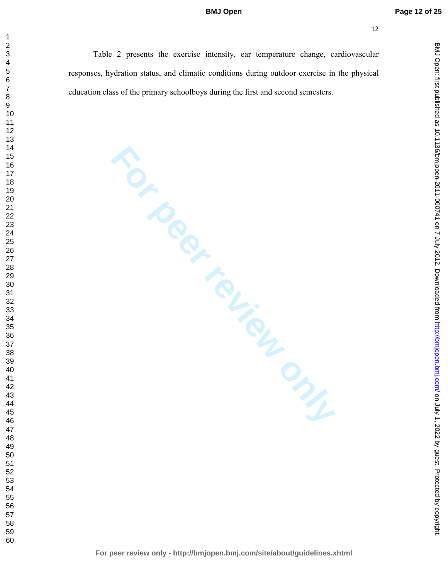BMJ Open: first published as 10.1136/bmjopen-2011-000741 on 7 July 2012. Downloaded from http://bmjopen.bmj.com/ on July 1, 2022 by guest. Protected by copyright on July 1, 2022 by guest. Protected by copyright. <http://bmjopen.bmj.com/> BMJ Open: first published as 10.1136/bmjopen-2011-000741 on 7 July 2012. Downloaded from

Table 2 presents the exercise intensity, ear temperature change, cardiovascular responses, hydration status, and climatic conditions during outdoor exercise in the physical education class of the primary schoolboys during the first and second semesters.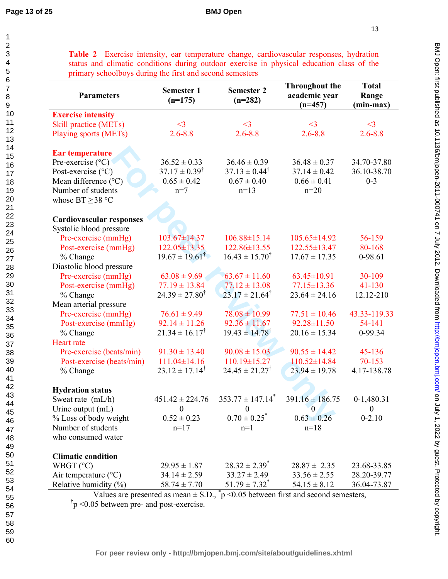# **BMJ Open**

**Table 2** Exercise intensity, ear temperature change, cardiovascular responses, hydration status and climatic conditions during outdoor exercise in physical education class of the primary schoolboys during the first and second semesters

| <b>Parameters</b>               | <b>Semester 1</b><br>$(n=175)$ | <b>Semester 2</b><br>$(n=282)$   | <b>Throughout the</b><br>academic year<br>$(n=457)$ | <b>Total</b><br>Range<br>(min-max) |
|---------------------------------|--------------------------------|----------------------------------|-----------------------------------------------------|------------------------------------|
| <b>Exercise intensity</b>       |                                |                                  |                                                     |                                    |
| Skill practice (METs)           | $<$ 3                          | $<$ 3                            | $<$ 3                                               | $<$ 3                              |
| Playing sports (METs)           | $2.6 - 8.8$                    | $2.6 - 8.8$                      | $2.6 - 8.8$                                         | $2.6 - 8.8$                        |
| Ear temperature                 |                                |                                  |                                                     |                                    |
| Pre-exercise $(^{\circ}C)$      | $36.52 \pm 0.33$               | $36.46 \pm 0.39$                 | $36.48 \pm 0.37$                                    | 34.70-37.80                        |
| Post-exercise $(^{\circ}C)$     | $37.17 \pm 0.39^{\dagger}$     | $37.13 \pm 0.44^{\dagger}$       | $37.14 \pm 0.42$                                    | 36.10-38.70                        |
| Mean difference $(^{\circ}C)$   | $0.65 \pm 0.42$                | $0.67 \pm 0.40$                  | $0.66 \pm 0.41$                                     | $0 - 3$                            |
| Number of students              | $n=7$                          | $n=13$                           | $n=20$                                              |                                    |
| whose $BT \geq 38$ °C           |                                |                                  |                                                     |                                    |
|                                 |                                |                                  |                                                     |                                    |
| <b>Cardiovascular responses</b> |                                |                                  |                                                     |                                    |
| Systolic blood pressure         |                                |                                  |                                                     |                                    |
| Pre-exercise (mmHg)             | $103.67 \pm 14.37$             | $106.88 \pm 15.14$               | $105.65 \pm 14.92$                                  | 56-159                             |
| Post-exercise (mmHg)            | $122.05 \pm 13.35$             | 122.86±13.55                     | 122.55±13.47                                        | 80-168                             |
| % Change                        | $19.67 \pm 19.61^{\dagger}$    | $16.43 \pm 15.70^{\dagger}$      | $17.67 \pm 17.35$                                   | 0-98.61                            |
| Diastolic blood pressure        |                                |                                  |                                                     |                                    |
| Pre-exercise (mmHg)             | $63.08 \pm 9.69$               | $63.67 \pm 11.60$                | 63.45±10.91                                         | 30-109                             |
| Post-exercise (mmHg)            | $77.19 \pm 13.84$              | $77.12 \pm 13.08$                | $77.15 \pm 13.36$                                   | 41-130                             |
| % Change                        | $24.39 \pm 27.80^{\dagger}$    | $23.17 \pm 21.64^{\dagger}$      | $23.64 \pm 24.16$                                   | 12.12-210                          |
| Mean arterial pressure          |                                |                                  |                                                     |                                    |
| Pre-exercise (mmHg)             | $76.61 \pm 9.49$               | $78.08 \pm 10.99$                | $77.51 \pm 10.46$                                   | 43.33-119.33                       |
| Post-exercise (mmHg)            | $92.14 \pm 11.26$              | $92.36 \pm 11.67$                | $92.28 \pm 11.50$                                   | 54-141                             |
| % Change                        | $21.34 \pm 16.17^{\dagger}$    | $19.43 \pm 14.78^{\dagger}$      | $20.16 \pm 15.34$                                   | 0-99.34                            |
| Heart rate                      |                                |                                  |                                                     |                                    |
| Pre-exercise (beats/min)        | $91.30 \pm 13.40$              | $90.08 \pm 15.03$                | $90.55 \pm 14.42$                                   | 45-136                             |
| Post-exercise (beats/min)       | $111.04 \pm 14.16$             | 110.19±15.27                     | $110.52 \pm 14.84$                                  | 70-153                             |
| % Change                        | $23.12 \pm 17.14^{\dagger}$    | $24.45 \pm 21.27^{\dagger}$      | $23.94 \pm 19.78$                                   | 4.17-138.78                        |
| <b>Hydration status</b>         |                                |                                  |                                                     |                                    |
| Sweat rate (mL/h)               | $451.42 \pm 224.76$            | $353.77 \pm 147.14$ <sup>*</sup> | $391.16 \pm 186.75$                                 | $0-1,480.31$                       |
| Urine output (mL)               | $\overline{0}$                 | $\overline{0}$                   | $\overline{\phantom{0}}$                            | $\mathbf{0}$                       |
| % Loss of body weight           | $0.52 \pm 0.23$                | $0.70 \pm 0.25$ <sup>*</sup>     | $0.63 \pm 0.26$                                     | $0 - 2.10$                         |
| Number of students              | $n=17$                         | $n=1$                            | $n=18$                                              |                                    |
| who consumed water              |                                |                                  |                                                     |                                    |
| <b>Climatic condition</b>       |                                |                                  |                                                     |                                    |
| WBGT (°C)                       | $29.95 \pm 1.87$               | $28.32 \pm 2.39^*$               | $28.87 \pm 2.35$                                    | 23.68-33.85                        |
| Air temperature $(^{\circ}C)$   | $34.14 \pm 2.59$               | $33.27 \pm 2.49$                 | $33.56 \pm 2.55$                                    | 28.20-39.77                        |
| Relative humidity $(\%)$        | $58.74 \pm 7.70$               | $51.79 \pm 7.32^*$               | $54.15 \pm 8.12$                                    | 36.04-73.87                        |
|                                 |                                |                                  |                                                     |                                    |

Values are presented as mean  $\pm$  S.D.,  $\uparrow p$  < 0.05 between first and second semesters,

† p <0.05 between pre- and post-exercise.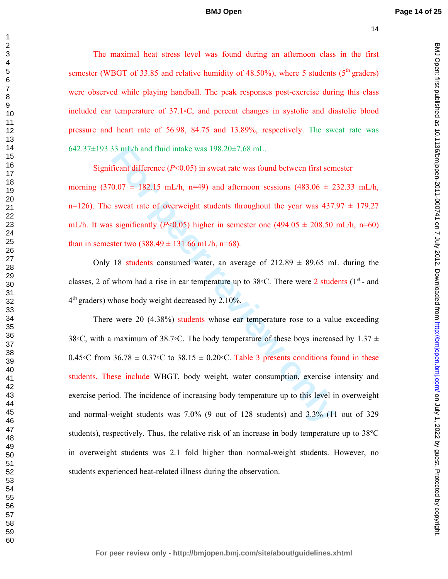BMJ Open: first published as 10.1136/bmijopen-2011-000741 on 7 July 2012. Downloaded from http://bmjopen.bmj.com/ on July 1, 2022 by guest. Protected by copyright on July 1, 2022 by guest. Protected by copyright. <http://bmjopen.bmj.com/> BMJ Open: first published as 10.1136/bmjopen-2011-000741 on 7 July 2012. Downloaded from

The maximal heat stress level was found during an afternoon class in the first semester (WBGT of 33.85 and relative humidity of  $48.50\%$ ), where 5 students ( $5<sup>th</sup>$  graders) were observed while playing handball. The peak responses post-exercise during this class included ear temperature of 37.1◦C, and percent changes in systolic and diastolic blood pressure and heart rate of 56.98, 84.75 and 13.89%, respectively. The sweat rate was 642.37±193.33 mL/h and fluid intake was 198.20±7.68 mL.

Significant difference  $(P<0.05)$  in sweat rate was found between first semester

morning  $(370.07 \pm 182.15 \text{ mL/h}, \text{ n=49})$  and afternoon sessions  $(483.06 \pm 232.33 \text{ mL/h},$ n=126). The sweat rate of overweight students throughout the year was  $437.97 \pm 179.27$ mL/h. It was significantly ( $P<0.05$ ) higher in semester one (494.05  $\pm$  208.50 mL/h, n=60) than in semester two  $(388.49 \pm 131.66 \text{ mL/h}, \text{n=68})$ .

Only 18 students consumed water, an average of  $212.89 \pm 89.65$  mL during the classes, 2 of whom had a rise in ear temperature up to  $38°C$ . There were 2 students ( $1<sup>st</sup>$  - and  $4<sup>th</sup>$  graders) whose body weight decreased by 2.10%.

33 mL/h and fluid intake was 198.20±7.68 mL.<br> **Ficant difference** (*P<*0.05) in sweat rate was found between first sem<br>  $0.07 \pm 182.15$  mL/h, n=49) and afternoon sessions (483.06  $\pm$  2<br>
sweat rate of overweight students There were 20 (4.38%) students whose ear temperature rose to a value exceeding 38◦C, with a maximum of 38.7◦C. The body temperature of these boys increased by 1.37  $\pm$ 0.45◦C from 36.78  $\pm$  0.37◦C to 38.15  $\pm$  0.20◦C. Table 3 presents conditions found in these students. These include WBGT, body weight, water consumption, exercise intensity and exercise period. The incidence of increasing body temperature up to this level in overweight and normal-weight students was 7.0% (9 out of 128 students) and 3.3% (11 out of 329 students), respectively. Thus, the relative risk of an increase in body temperature up to 38°C in overweight students was 2.1 fold higher than normal-weight students. However, no students experienced heat-related illness during the observation.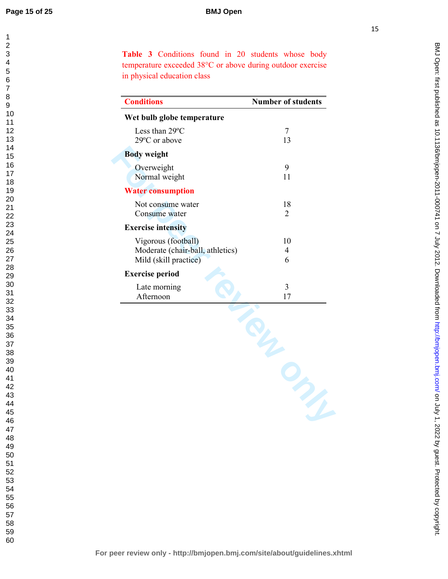# **BMJ Open**

Table 3 Conditions found in 20 students whose body temperature exceeded 38°C or above during outdoor exercise in physical education class

| <b>Conditions</b>                                                                | <b>Number of students</b> |
|----------------------------------------------------------------------------------|---------------------------|
| Wet bulb globe temperature                                                       |                           |
| Less than 29°C<br>29°C or above                                                  | 7<br>13                   |
| <b>Body</b> weight                                                               |                           |
| Overweight<br>Normal weight                                                      | 9<br>11                   |
| <b>Water consumption</b>                                                         |                           |
| Not consume water<br>Consume water                                               | 18<br>$\overline{2}$      |
| <b>Exercise intensity</b>                                                        |                           |
| Vigorous (football)<br>Moderate (chair-ball, athletics)<br>Mild (skill practice) | 10<br>4<br>6              |
| <b>Exercise period</b>                                                           |                           |
| Late morning<br>Afternoon                                                        | 3<br>17                   |
|                                                                                  |                           |
|                                                                                  |                           |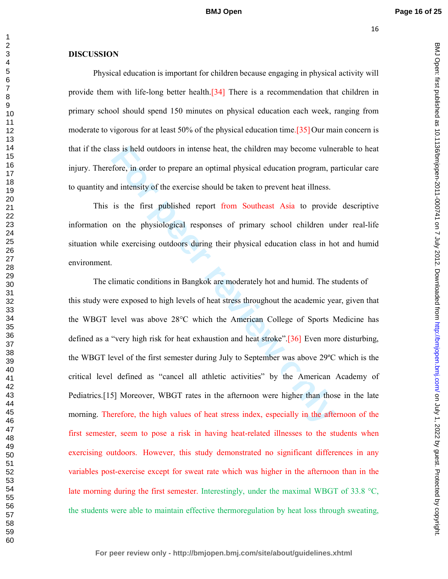## **DISCUSSION**

 Physical education is important for children because engaging in physical activity will provide them with life-long better health.[34] There is a recommendation that children in primary school should spend 150 minutes on physical education each week, ranging from moderate to vigorous for at least 50% of the physical education time.[35]Our main concern is that if the class is held outdoors in intense heat, the children may become vulnerable to heat injury. Therefore, in order to prepare an optimal physical education program, particular care to quantity and intensity of the exercise should be taken to prevent heat illness.

This is the first published report from Southeast Asia to provide descriptive information on the physiological responses of primary school children under real-life situation while exercising outdoors during their physical education class in hot and humid environment.

ass is held outdoors in intense heat, the children may become vulne<br>fore, in order to prepare an optimal physical education program, pa<br>d intensity of the exercise should be taken to prevent heat illness.<br>is the first publ The climatic conditions in Bangkok are moderately hot and humid. The students of this study were exposed to high levels of heat stress throughout the academic year, given that the WBGT level was above 28°C which the American College of Sports Medicine has defined as a "very high risk for heat exhaustion and heat stroke".[36] Even more disturbing, the WBGT level of the first semester during July to September was above 29ºC which is the critical level defined as "cancel all athletic activities" by the American Academy of Pediatrics.[15] Moreover, WBGT rates in the afternoon were higher than those in the late morning. Therefore, the high values of heat stress index, especially in the afternoon of the first semester, seem to pose a risk in having heat-related illnesses to the students when exercising outdoors. However, this study demonstrated no significant differences in any variables post-exercise except for sweat rate which was higher in the afternoon than in the late morning during the first semester. Interestingly, under the maximal WBGT of 33.8 °C, the students were able to maintain effective thermoregulation by heat loss through sweating,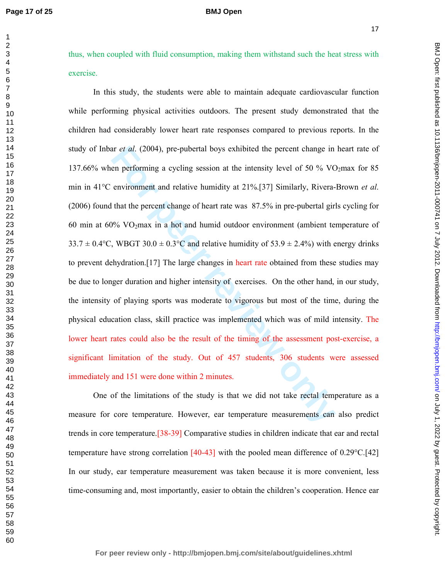## **BMJ Open**

thus, when coupled with fluid consumption, making them withstand such the heat stress with exercise.

ar *et al.* (2004), pre-pubertal boys exhibited the percent change in<br>en performing a cycling session at the intensity level of 50 % VC<br>environment and relative humidity at 21%.[37] Similarly, Rivera-<br>that the percent cha In this study, the students were able to maintain adequate cardiovascular function while performing physical activities outdoors. The present study demonstrated that the children had considerably lower heart rate responses compared to previous reports. In the study of Inbar *et al*. (2004), pre-pubertal boys exhibited the percent change in heart rate of 137.66% when performing a cycling session at the intensity level of 50 % VO<sub>2</sub>max for 85 min in 41°C environment and relative humidity at 21%.[37] Similarly, Rivera-Brown *et al*. (2006) found that the percent change of heart rate was 87.5% in pre-pubertal girls cycling for 60 min at 60% VO2max in a hot and humid outdoor environment (ambient temperature of  $33.7 \pm 0.4$ °C, WBGT  $30.0 \pm 0.3$ °C and relative humidity of  $53.9 \pm 2.4$ %) with energy drinks to prevent dehydration.[17] The large changes in heart rate obtained from these studies may be due to longer duration and higher intensity of exercises. On the other hand, in our study, the intensity of playing sports was moderate to vigorous but most of the time, during the physical education class, skill practice was implemented which was of mild intensity. The lower heart rates could also be the result of the timing of the assessment post-exercise, a significant limitation of the study. Out of 457 students, 306 students were assessed immediately and 151 were done within 2 minutes.

One of the limitations of the study is that we did not take rectal temperature as a measure for core temperature. However, ear temperature measurements can also predict trends in core temperature.[38-39] Comparative studies in children indicate that ear and rectal temperature have strong correlation [40-43] with the pooled mean difference of 0.29°C.[42] In our study, ear temperature measurement was taken because it is more convenient, less time-consuming and, most importantly, easier to obtain the children's cooperation. Hence ear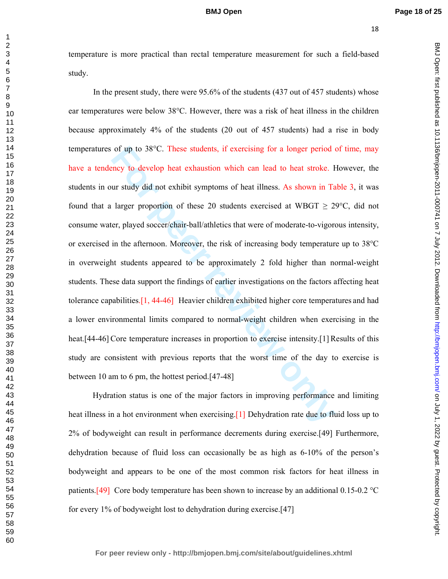temperature is more practical than rectal temperature measurement for such a field-based study.

of up to 38°C. These students, if exercising for a longer period of<br>ency to develop heat exhaustion which can lead to heat stroke. For<br>ur study did not exhibit symptoms of heat illness. As shown in Ta<br>larger proportion of In the present study, there were 95.6% of the students (437 out of 457 students) whose ear temperatures were below 38°C. However, there was a risk of heat illness in the children because approximately 4% of the students (20 out of 457 students) had a rise in body temperatures of up to 38°C. These students, if exercising for a longer period of time, may have a tendency to develop heat exhaustion which can lead to heat stroke. However, the students in our study did not exhibit symptoms of heat illness. As shown in Table 3, it was found that a larger proportion of these 20 students exercised at WBGT  $\geq$  29 $\degree$ C, did not consume water, played soccer/chair-ball/athletics that were of moderate-to-vigorous intensity, or exercised in the afternoon. Moreover, the risk of increasing body temperature up to 38°C in overweight students appeared to be approximately 2 fold higher than normal-weight students. These data support the findings of earlier investigations on the factors affecting heat tolerance capabilities.[1, 44-46] Heavier children exhibited higher core temperatures and had a lower environmental limits compared to normal-weight children when exercising in the heat.[44-46] Core temperature increases in proportion to exercise intensity.[1] Results of this study are consistent with previous reports that the worst time of the day to exercise is between 10 am to 6 pm, the hottest period.[47-48]

 Hydration status is one of the major factors in improving performance and limiting heat illness in a hot environment when exercising. [1] Dehydration rate due to fluid loss up to 2% of bodyweight can result in performance decrements during exercise.[49] Furthermore, dehydration because of fluid loss can occasionally be as high as 6-10% of the person's bodyweight and appears to be one of the most common risk factors for heat illness in patients.[49] Core body temperature has been shown to increase by an additional 0.15-0.2 °C for every 1% of bodyweight lost to dehydration during exercise.[47]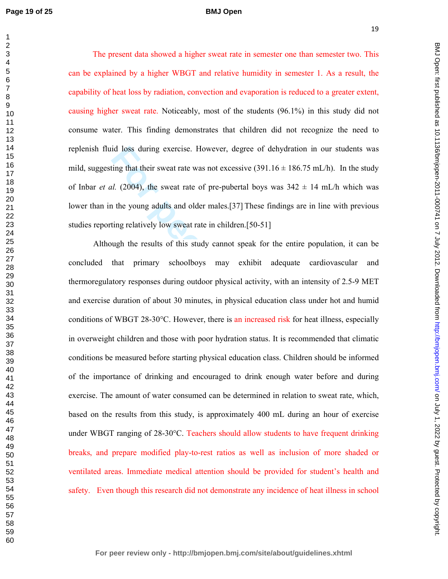#### **BMJ Open**

The present data showed a higher sweat rate in semester one than semester two. This can be explained by a higher WBGT and relative humidity in semester 1. As a result, the capability of heat loss by radiation, convection and evaporation is reduced to a greater extent, causing higher sweat rate. Noticeably, most of the students (96.1%) in this study did not consume water. This finding demonstrates that children did not recognize the need to replenish fluid loss during exercise. However, degree of dehydration in our students was mild, suggesting that their sweat rate was not excessive  $(391.16 \pm 186.75 \text{ mL/h})$ . In the study of Inbar *et al.* (2004), the sweat rate of pre-pubertal boys was  $342 \pm 14$  mL/h which was lower than in the young adults and older males.[37] These findings are in line with previous studies reporting relatively low sweat rate in children.[50-51]

id loss during exercise. However, degree of dehydration in our :<br>ting that their sweat rate was not excessive (391.16  $\pm$  186.75 mL/h).<br>*H.* (2004), the sweat rate of pre-pubertal boys was  $342 \pm 14$  mL/h<br>the young adult Although the results of this study cannot speak for the entire population, it can be concluded that primary schoolboys may exhibit adequate cardiovascular and thermoregulatory responses during outdoor physical activity, with an intensity of 2.5-9 MET and exercise duration of about 30 minutes, in physical education class under hot and humid conditions of WBGT 28-30°C. However, there is an increased risk for heat illness, especially in overweight children and those with poor hydration status. It is recommended that climatic conditions be measured before starting physical education class. Children should be informed of the importance of drinking and encouraged to drink enough water before and during exercise. The amount of water consumed can be determined in relation to sweat rate, which, based on the results from this study, is approximately 400 mL during an hour of exercise under WBGT ranging of 28-30°C. Teachers should allow students to have frequent drinking breaks, and prepare modified play-to-rest ratios as well as inclusion of more shaded or ventilated areas. Immediate medical attention should be provided for student's health and safety. Even though this research did not demonstrate any incidence of heat illness in school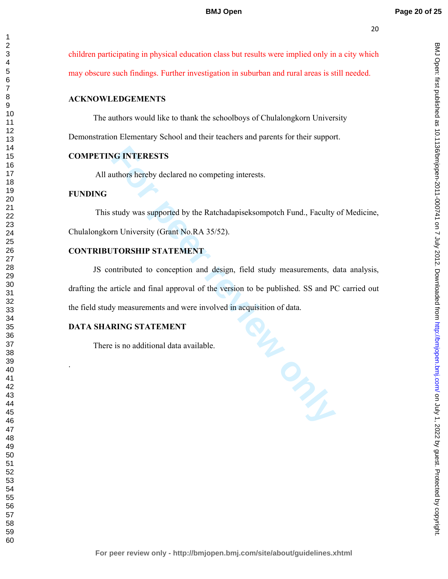children participating in physical education class but results were implied only in a city which may obscure such findings. Further investigation in suburban and rural areas is still needed.

# **ACKNOWLEDGEMENTS**

The authors would like to thank the schoolboys of Chulalongkorn University

Demonstration Elementary School and their teachers and parents for their support.

# **COMPETING INTERESTS**

All authors hereby declared no competing interests.

## **FUNDING**

.

 This study was supported by the Ratchadapiseksompotch Fund., Faculty of Medicine, Chulalongkorn University (Grant No.RA 35/52).

# **CONTRIBUTORSHIP STATEMENT**

JS contributed to conception and design, field study measurements, data analysis, drafting the article and final approval of the version to be published. SS and PC carried out the field study measurements and were involved in acquisition of data.

# **DATA SHARING STATEMENT**

There is no additional data available.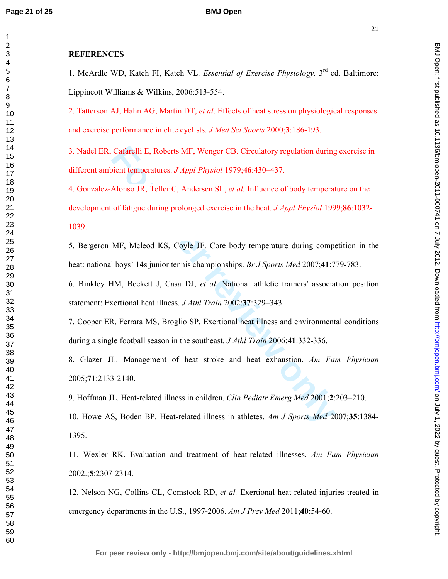## **BMJ Open**

## **REFERENCES**

1. McArdle WD, Katch FI, Katch VL. *Essential of Exercise Physiology.* 3rd ed. Baltimore: Lippincott Williams & Wilkins, 2006:513-554.

2. Tatterson AJ, Hahn AG, Martin DT, *et al*. Effects of heat stress on physiological responses and exercise performance in elite cyclists. *J Med Sci Sports* 2000;**3**:186-193.

3. Nadel ER, Cafarelli E, Roberts MF, Wenger CB. Circulatory regulation during exercise in different ambient temperatures. *J Appl Physiol* 1979;**46**:430–437.

Cafarelli E, Roberts MF, Wenger CB. Circulatory regulation during<br>
pient temperatures. *J Appl Physiol* 1979;46:430–437.<br>
Alonso JR, Teller C, Andersen SL, *et al.* Influence of body temperat<br>
of fatigue during prolonged e 4. Gonzalez-Alonso JR, Teller C, Andersen SL, *et al.* Influence of body temperature on the development of fatigue during prolonged exercise in the heat. *J Appl Physiol* 1999;**86**:1032- 1039.

5. Bergeron MF, Mcleod KS, Coyle JF. Core body temperature during competition in the heat: national boys' 14s junior tennis championships. *Br J Sports Med* 2007;**41**:779-783.

6. Binkley HM, Beckett J, Casa DJ, *et al*. National athletic trainers' association position statement: Exertional heat illness. *J Athl Train* 2002;**37**:329–343.

7. Cooper ER, Ferrara MS, Broglio SP. Exertional heat illness and environmental conditions during a single football season in the southeast*. J Athl Train* 2006;**41**:332-336.

8. Glazer JL. Management of heat stroke and heat exhaustion. *Am Fam Physician* 2005;**71**:2133-2140.

9. Hoffman JL. Heat-related illness in children. *Clin Pediatr Emerg Med* 2001;**2**:203–210.

10. Howe AS, Boden BP. Heat-related illness in athletes. *Am J Sports Med* 2007;**35**:1384- 1395.

11. Wexler RK. Evaluation and treatment of heat-related illnesses. *Am Fam Physician* 2002.;**5**:2307-2314.

12. Nelson NG, Collins CL, Comstock RD, *et al.* Exertional heat-related injuries treated in emergency departments in the U.S., 1997-2006. *Am J Prev Med* 2011;**40**:54-60.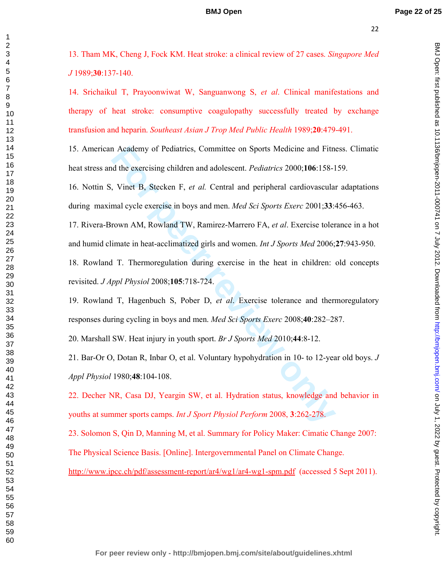13. Tham MK, Cheng J, Fock KM. Heat stroke: a clinical review of 27 cases. *Singapore Med J* 1989;**30**:137-140.

14. Srichaikul T, Prayoonwiwat W, Sanguanwong S, *et al*. Clinical manifestations and therapy of heat stroke: consumptive coagulopathy successfully treated by exchange transfusion and heparin. *Southeast Asian J Trop Med Public Health* 1989;**20**:479-491.

15. American Academy of Pediatrics, Committee on Sports Medicine and Fitness. Climatic heat stress and the exercising children and adolescent. *Pediatrics* 2000;**106**:158-159.

16. Nottin S, Vinet B, Stecken F, *et al.* Central and peripheral cardiovascular adaptations during maximal cycle exercise in boys and men. *Med Sci Sports Exerc* 2001;**33**:456-463.

17. Rivera-Brown AM, Rowland TW, Ramirez-Marrero FA, *et al*. Exercise tolerance in a hot and humid climate in heat-acclimatized girls and women. *Int J Sports Med* 2006;**27**:943-950.

18. Rowland T. Thermoregulation during exercise in the heat in children: old concepts revisited. *J Appl Physiol* 2008;**105**:718-724.

19. Rowland T, Hagenbuch S, Pober D, *et al*. Exercise tolerance and thermoregulatory responses during cycling in boys and men. *Med Sci Sports Exerc* 2008;**40**:282–287.

20. Marshall SW. Heat injury in youth sport. *Br J Sports Med* 2010;**44**:8-12.

n Academy of Pediatrics, Committee on Sports Medicine and Fitn<br>
and the exercising children and adolescent. *Pediatrics* 2000;106:158-1<br>
7. Vinet B, Stecken F, *et al.* Central and peripheral cardiovascular<br>
mal cycle exer 21. Bar-Or O, Dotan R, Inbar O, et al. Voluntary hypohydration in 10- to 12-year old boys. *J Appl Physiol* 1980;**48**:104-108.

22. Decher NR, Casa DJ, Yeargin SW, et al. Hydration status, knowledge and behavior in youths at summer sports camps. *Int J Sport Physiol Perform* 2008, **3**:262-278.

23. Solomon S, Qin D, Manning M, et al. Summary for Policy Maker: Cimatic Change 2007:

The Physical Science Basis. [Online]. Intergovernmental Panel on Climate Change.

http://www.ipcc.ch/pdf/assessment-report/ar4/wg1/ar4-wg1-spm.pdf (accessed 5 Sept 2011).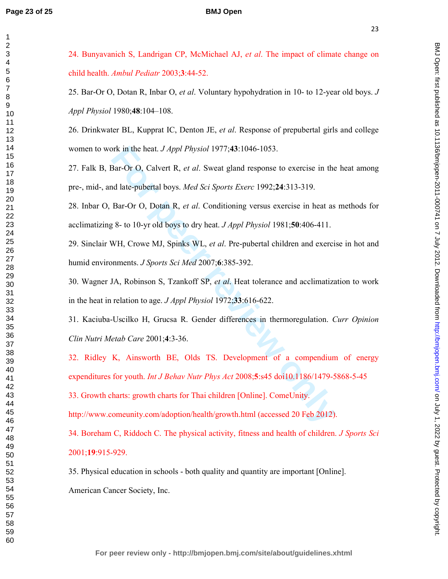## **BMJ Open**

| 23.                                                                                           |
|-----------------------------------------------------------------------------------------------|
| 24. Bunyavanich S, Landrigan CP, McMichael AJ, et al. The impact of climate change on         |
| child health. Ambul Pediatr 2003;3:44-52.                                                     |
| 25. Bar-Or O, Dotan R, Inbar O, et al. Voluntary hypohydration in 10- to 12-year old boys. J  |
| Appl Physiol 1980;48:104-108.                                                                 |
| 26. Drinkwater BL, Kupprat IC, Denton JE, et al. Response of prepubertal girls and college    |
| women to work in the heat. <i>J Appl Physiol</i> 1977;43:1046-1053.                           |
| 27. Falk B, Bar-Or O, Calvert R, et al. Sweat gland response to exercise in the heat among    |
| pre-, mid-, and late-pubertal boys. Med Sci Sports Exerc 1992;24:313-319.                     |
| 28. Inbar O, Bar-Or O, Dotan R, et al. Conditioning versus exercise in heat as methods for    |
| acclimatizing 8- to 10-yr old boys to dry heat. <i>J Appl Physiol</i> 1981;50:406-411.        |
| 29. Sinclair WH, Crowe MJ, Spinks WL, et al. Pre-pubertal children and exercise in hot and    |
| humid environments. J Sports Sci Med 2007;6:385-392.                                          |
| 30. Wagner JA, Robinson S, Tzankoff SP, et al. Heat tolerance and acclimatization to work     |
| in the heat in relation to age. <i>J Appl Physiol</i> 1972;33:616-622.                        |
| 31. Kaciuba-Uscilko H, Grucsa R. Gender differences in thermoregulation. Curr Opinion         |
| Clin Nutri Metab Care 2001;4:3-36.                                                            |
| 32. Ridley K, Ainsworth BE, Olds TS. Development of a compendium of energy                    |
| expenditures for youth. Int J Behav Nutr Phys Act 2008;5:s45 doi10.1186/1479-5868-5-45        |
| 33. Growth charts: growth charts for Thai children [Online]. ComeUnity.                       |
| http://www.comeunity.com/adoption/health/growth.html (accessed 20 Feb 2012).                  |
| 34. Boreham C, Riddoch C. The physical activity, fitness and health of children. J Sports Sci |
| 2001;19:915-929.                                                                              |

35. Physical education in schools - both quality and quantity are important [Online]. American Cancer Society, Inc.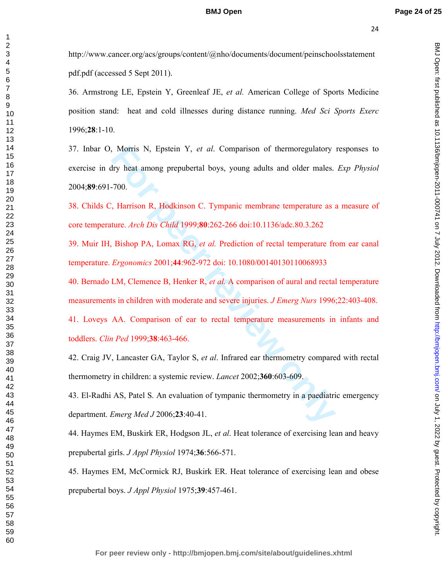## **BMJ Open**

BMJ Open: first published as 10.1136/bmijopen-2011-000741 on 7 July 2012. Downloaded from http://bmjopen.bmj.com/ on July 1, 2022 by guest. Protected by copyright on July 1, 2022 by guest. Protected by copyright. <http://bmjopen.bmj.com/> BMJ Open: first published as 10.1136/bmjopen-2011-000741 on 7 July 2012. Downloaded from

http://www.cancer.org/acs/groups/content/@nho/documents/document/peinschoolsstatement pdf.pdf (accessed 5 Sept 2011).

36. Armstrong LE, Epstein Y, Greenleaf JE, *et al.* American College of Sports Medicine position stand: heat and cold illnesses during distance running. *Med Sci Sports Exerc* 1996;**28**:1-10.

Morris N, Epstein Y, *et al.* Comparison of thermoregulatory<br>Iry heat among prepubertal boys, young adults and older males.<br>700.<br>The straight among the straight and the membrane temperature as ture. Arch Dis Child 1999;80: 37. Inbar O, Morris N, Epstein Y, *et al*. Comparison of thermoregulatory responses to exercise in dry heat among prepubertal boys, young adults and older males. *Exp Physiol* 2004;**89**:691-700.

38. Childs C, Harrison R, Hodkinson C. Tympanic membrane temperature as a measure of core temperature. *Arch Dis Child* 1999;**80**:262-266 doi:10.1136/adc.80.3.262

39. Muir IH, Bishop PA, Lomax RG, *et al.* Prediction of rectal temperature from ear canal temperature. *Ergonomics* 2001;**44**:962-972 doi: 10.1080/00140130110068933

40. Bernado LM, Clemence B, Henker R, *et al.* A comparison of aural and rectal temperature measurements in children with moderate and severe injuries. *J Emerg Nurs* 1996;22:403-408.

41. Loveys AA. Comparison of ear to rectal temperature measurements in infants and toddlers. *Clin Ped* 1999;**38**:463-466.

42. Craig JV, Lancaster GA, Taylor S, *et al*. Infrared ear thermometry compared with rectal thermometry in children: a systemic review. *Lancet* 2002;**360**:603-609.

43. El-Radhi AS, Patel S. An evaluation of tympanic thermometry in a paediatric emergency department. *Emerg Med J* 2006;**23**:40-41.

44. Haymes EM, Buskirk ER, Hodgson JL, *et al*. Heat tolerance of exercising lean and heavy prepubertal girls. *J Appl Physiol* 1974;**36**:566-571.

45. Haymes EM, McCormick RJ, Buskirk ER. Heat tolerance of exercising lean and obese prepubertal boys. *J Appl Physiol* 1975;**39**:457-461.